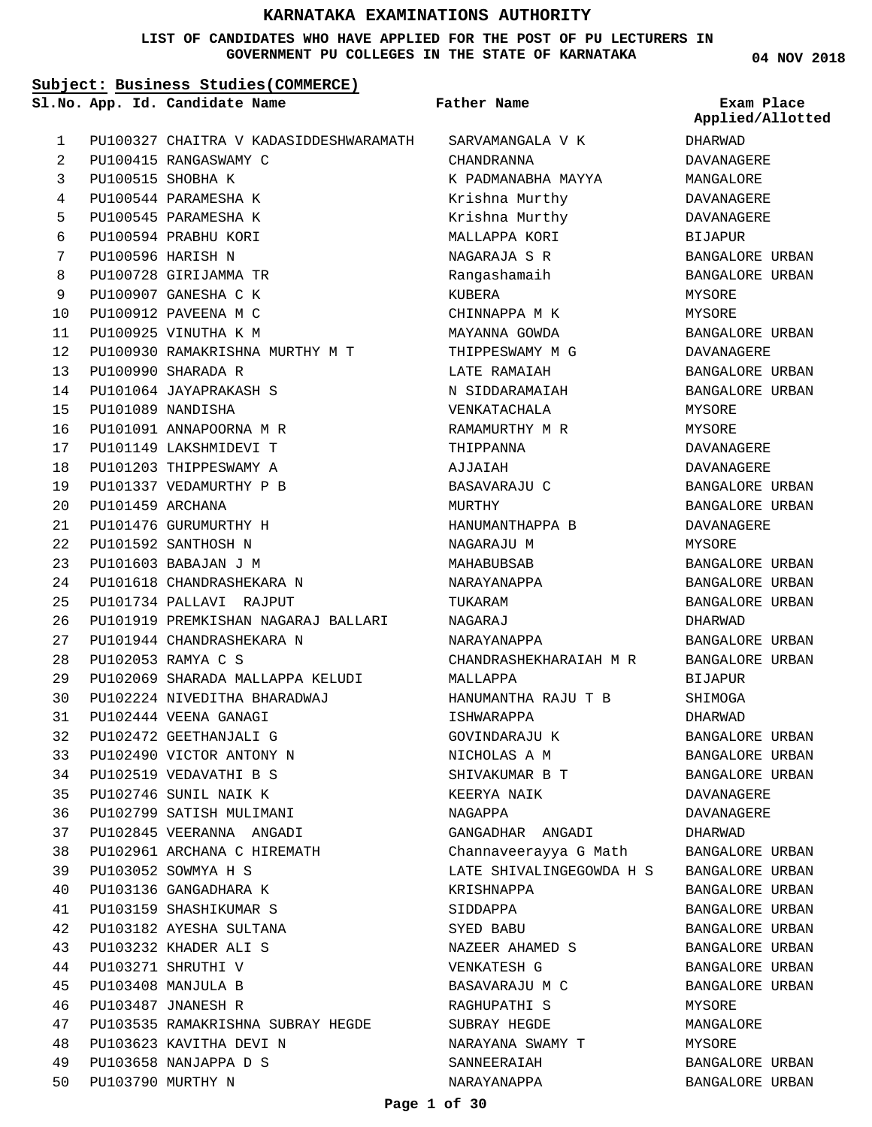**LIST OF CANDIDATES WHO HAVE APPLIED FOR THE POST OF PU LECTURERS IN GOVERNMENT PU COLLEGES IN THE STATE OF KARNATAKA**

**04 NOV 2018**

|    | Subject: Business Studies (COMMERCE) |                                        |                          |                                |  |
|----|--------------------------------------|----------------------------------------|--------------------------|--------------------------------|--|
|    |                                      | Sl.No. App. Id. Candidate Name         | Father Name              | Exam Place<br>Applied/Allotted |  |
| 1  |                                      | PU100327 CHAITRA V KADASIDDESHWARAMATH | SARVAMANGALA V K         | DHARWAD                        |  |
| 2  |                                      | PU100415 RANGASWAMY C                  | CHANDRANNA               | DAVANAGERE                     |  |
| 3  |                                      | PU100515 SHOBHA K                      | K PADMANABHA MAYYA       | MANGALORE                      |  |
| 4  |                                      | PU100544 PARAMESHA K                   | Krishna Murthy           | DAVANAGERE                     |  |
| 5  |                                      | PU100545 PARAMESHA K                   | Krishna Murthy           | DAVANAGERE                     |  |
| 6  |                                      | PU100594 PRABHU KORI                   | MALLAPPA KORI            | BIJAPUR                        |  |
| 7  |                                      | PU100596 HARISH N                      | NAGARAJA S R             | BANGALORE URBAN                |  |
| 8  |                                      | PU100728 GIRIJAMMA TR                  | Rangashamaih             | BANGALORE URBAN                |  |
| 9  |                                      | PU100907 GANESHA C K                   | KUBERA                   | MYSORE                         |  |
| 10 |                                      | PU100912 PAVEENA M C                   | CHINNAPPA M K            | MYSORE                         |  |
| 11 |                                      | PU100925 VINUTHA K M                   | MAYANNA GOWDA            | BANGALORE URBAN                |  |
| 12 |                                      | PU100930 RAMAKRISHNA MURTHY M T        | THIPPESWAMY M G          | DAVANAGERE                     |  |
| 13 |                                      | PU100990 SHARADA R                     | LATE RAMAIAH             | BANGALORE URBAN                |  |
| 14 |                                      | PU101064 JAYAPRAKASH S                 | N SIDDARAMAIAH           | BANGALORE URBAN                |  |
| 15 |                                      | PU101089 NANDISHA                      | VENKATACHALA             | MYSORE                         |  |
| 16 |                                      | PU101091 ANNAPOORNA M R                | RAMAMURTHY M R           | MYSORE                         |  |
| 17 |                                      | PU101149 LAKSHMIDEVI T                 | THIPPANNA                | DAVANAGERE                     |  |
| 18 |                                      | PU101203 THIPPESWAMY A                 | AJJAIAH                  | DAVANAGERE                     |  |
| 19 |                                      | PU101337 VEDAMURTHY P B                | BASAVARAJU C             | BANGALORE URBAN                |  |
| 20 | PU101459 ARCHANA                     |                                        | MURTHY                   | BANGALORE URBAN                |  |
| 21 |                                      | PU101476 GURUMURTHY H                  | HANUMANTHAPPA B          | DAVANAGERE                     |  |
| 22 |                                      | PU101592 SANTHOSH N                    | NAGARAJU M               | MYSORE                         |  |
| 23 |                                      | PU101603 BABAJAN J M                   | MAHABUBSAB               | BANGALORE URBAN                |  |
| 24 |                                      | PU101618 CHANDRASHEKARA N              | NARAYANAPPA              | BANGALORE URBAN                |  |
| 25 |                                      | PU101734 PALLAVI RAJPUT                | TUKARAM                  | BANGALORE URBAN                |  |
| 26 |                                      | PU101919 PREMKISHAN NAGARAJ BALLARI    | NAGARAJ                  | DHARWAD                        |  |
| 27 |                                      | PU101944 CHANDRASHEKARA N              | NARAYANAPPA              | BANGALORE URBAN                |  |
| 28 |                                      | PU102053 RAMYA C S                     | CHANDRASHEKHARAIAH M R   | BANGALORE URBAN                |  |
| 29 |                                      | PU102069 SHARADA MALLAPPA KELUDI       | MALLAPPA                 | BIJAPUR                        |  |
| 30 |                                      | PU102224 NIVEDITHA BHARADWAJ           |                          |                                |  |
| 31 |                                      | PU102444 VEENA GANAGI                  | HANUMANTHA RAJU T B      | SHIMOGA<br><b>DHARWAD</b>      |  |
|    |                                      |                                        | ISHWARAPPA               |                                |  |
| 32 |                                      | PU102472 GEETHANJALI G                 | GOVINDARAJU K            | BANGALORE URBAN                |  |
| 33 |                                      | PU102490 VICTOR ANTONY N               | NICHOLAS A M             | BANGALORE URBAN                |  |
| 34 |                                      | PU102519 VEDAVATHI B S                 | SHIVAKUMAR B T           | BANGALORE URBAN                |  |
| 35 |                                      | PU102746 SUNIL NAIK K                  | KEERYA NAIK              | DAVANAGERE                     |  |
| 36 |                                      | PU102799 SATISH MULIMANI               | NAGAPPA                  | DAVANAGERE                     |  |
| 37 |                                      | PU102845 VEERANNA ANGADI               | GANGADHAR ANGADI         | DHARWAD                        |  |
| 38 |                                      | PU102961 ARCHANA C HIREMATH            | Channaveerayya G Math    | BANGALORE URBAN                |  |
| 39 |                                      | PU103052 SOWMYA H S                    | LATE SHIVALINGEGOWDA H S | BANGALORE URBAN                |  |
| 40 |                                      | PU103136 GANGADHARA K                  | KRISHNAPPA               | BANGALORE URBAN                |  |
| 41 |                                      | PU103159 SHASHIKUMAR S                 | SIDDAPPA                 | BANGALORE URBAN                |  |
| 42 |                                      | PU103182 AYESHA SULTANA                | SYED BABU                | BANGALORE URBAN                |  |
| 43 |                                      | PU103232 KHADER ALI S                  | NAZEER AHAMED S          | BANGALORE URBAN                |  |
| 44 |                                      | PU103271 SHRUTHI V                     | VENKATESH G              | BANGALORE URBAN                |  |
| 45 |                                      | PU103408 MANJULA B                     | BASAVARAJU M C           | BANGALORE URBAN                |  |
| 46 |                                      | PU103487 JNANESH R                     | RAGHUPATHI S             | MYSORE                         |  |
| 47 |                                      | PU103535 RAMAKRISHNA SUBRAY HEGDE      | SUBRAY HEGDE             | MANGALORE                      |  |
| 48 |                                      | PU103623 KAVITHA DEVI N                | NARAYANA SWAMY T         | MYSORE                         |  |
| 49 |                                      | PU103658 NANJAPPA D S                  | SANNEERAIAH              | BANGALORE URBAN                |  |
| 50 |                                      | PU103790 MURTHY N                      | NARAYANAPPA              | BANGALORE URBAN                |  |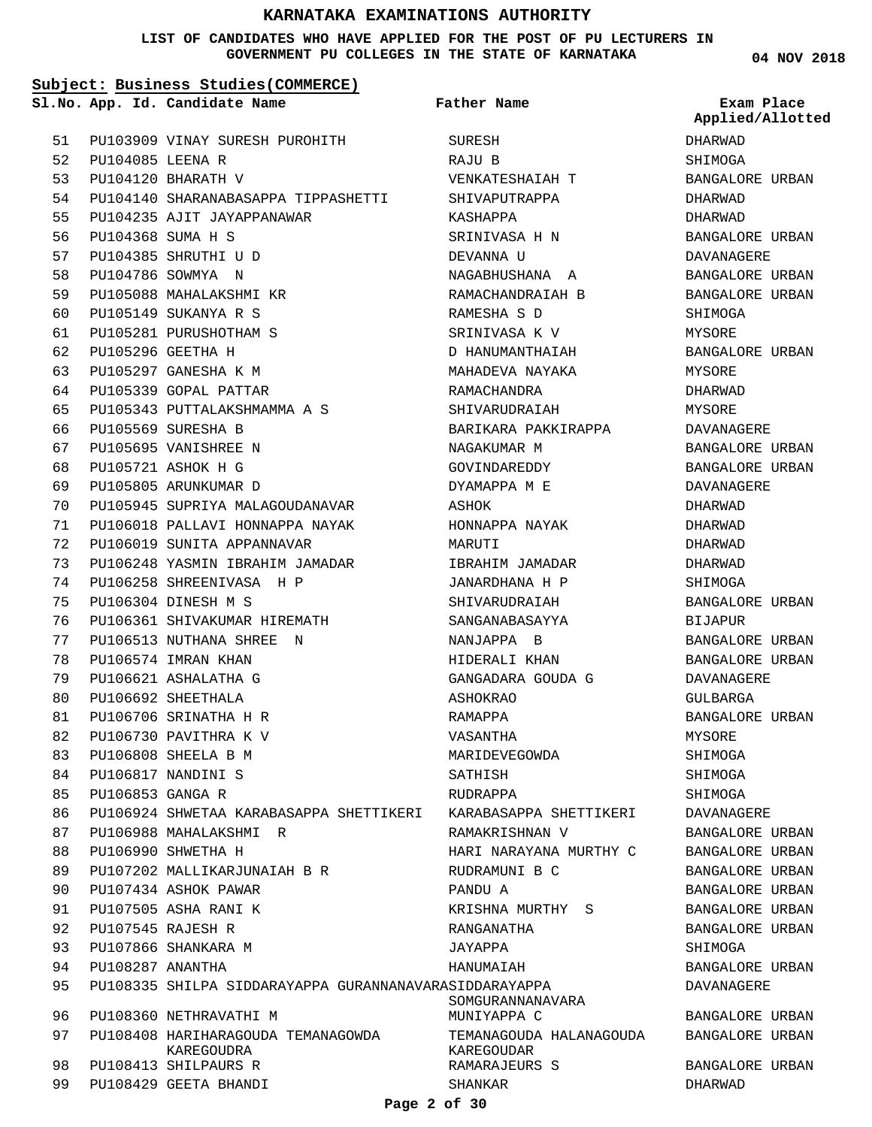#### **LIST OF CANDIDATES WHO HAVE APPLIED FOR THE POST OF PU LECTURERS IN GOVERNMENT PU COLLEGES IN THE STATE OF KARNATAKA**

**Subject: Business Studies(COMMERCE)**

**App. Id. Candidate Name Sl.No. Exam Place**

**Father Name**

PU103909 VINAY SURESH PUROHITH PU104085 LEENA R PU104120 BHARATH V PU104140 SHARANABASAPPA TIPPASHETTI PU104235 AJIT JAYAPPANAWAR PU104368 SUMA H S PU104385 SHRUTHI U D PU104786 SOWMYA N PU105088 MAHALAKSHMI KR PU105149 SUKANYA R S PU105281 PURUSHOTHAM S PU105296 GEETHA H PU105297 GANESHA K M PU105339 GOPAL PATTAR PU105343 PUTTALAKSHMAMMA A S PU105569 SURESHA B PU105695 VANISHREE N PU105721 ASHOK H G PU105805 ARUNKUMAR D PU105945 SUPRIYA MALAGOUDANAVAR PU106018 PALLAVI HONNAPPA NAYAK PU106019 SUNITA APPANNAVAR PU106248 YASMIN IBRAHIM JAMADAR PU106258 SHREENIVASA H P PU106304 DINESH M S PU106361 SHIVAKUMAR HIREMATH PU106513 NUTHANA SHREE N PU106574 IMRAN KHAN PU106621 ASHALATHA G PU106692 SHEETHALA PU106706 SRINATHA H R PU106730 PAVITHRA K V PU106808 SHEELA B M PU106817 NANDINI S PU106853 GANGA R PU106924 SHWETAA KARABASAPPA SHETTIKERI PU106988 MAHALAKSHMI R PU106990 SHWETHA H PU107202 MALLIKARJUNAIAH B R PU107434 ASHOK PAWAR PU107505 ASHA RANI K PU107545 RAJESH R PU107866 SHANKARA M PU108287 ANANTHA PU108335 SHILPA SIDDARAYAPPA GURANNANAVARA SIDDARAYAPPA PU108360 NETHRAVATHI M PU108408 HARIHARAGOUDA TEMANAGOWDA PU108413 SHILPAURS R PU108429 GEETA BHANDI KAREGOUDRA SHANKAR 51 52 53 54 55 56 57 58 59  $60$ 61 62 63 64 65 66 67  $68$ 69  $70$ 71 72 73 74 75 76 77 78 79 80 81 82 83 84 85  $86$ 87 88 89 90 91  $Q<sub>2</sub>$ 93 94  $95$ 96 97 98 99

SURESH RAJU B VENKATESHAIAH T SHIVAPUTRAPPA KASHAPPA SRINIVASA H N DEVANNA U NAGABHUSHANA A RAMACHANDRAIAH B RAMESHA S D SRINIVASA K V D HANUMANTHAIAH MAHADEVA NAYAKA RAMACHANDRA SHIVARUDRAIAH BARIKARA PAKKIRAPPA NAGAKUMAR M GOVINDAREDDY DYAMAPPA M E ASHOK HONNAPPA NAYAK MARUTI IBRAHIM JAMADAR JANARDHANA H P SHIVARUDRAIAH SANGANABASAYYA NANJAPPA B HIDERALI KHAN GANGADARA GOUDA G ASHOKRAO RAMAPPA VASANTHA MARIDEVEGOWDA SATHISH **RIIDRAPPA** KARABASAPPA SHETTIKERI RAMAKRISHNAN V HARI NARAYANA MURTHY C RUDRAMUNI B C PANDU A KRISHNA MURTHY S RANGANATHA JAYAPPA HANUMAIAH SOMGURANNANAVARA MUNIYAPPA C TEMANAGOUDA HALANAGOUDA KAREGOUDAR RAMARAJEURS S

**04 NOV 2018**

DHARWAD **SHIMOGA** BANGALORE URBAN DHARWAD DHARWAD BANGALORE URBAN DAVANAGERE BANGALORE URBAN BANGALORE URBAN SHIMOGA MYSORE BANGALORE URBAN MYSORE DHARWAD MYSORE DAVANAGERE BANGALORE URBAN BANGALORE URBAN DAVANAGERE DHARWAD DHARWAD DHARWAD DHARWAD SHIMOGA BANGALORE URBAN BIJAPUR BANGALORE URBAN BANGALORE URBAN DAVANAGERE GULBARGA BANGALORE URBAN MYSORE SHIMOGA SHIMOGA SHIMOGA DAVANAGERE BANGALORE URBAN BANGALORE URBAN BANGALORE URBAN BANGALORE URBAN BANGALORE URBAN BANGALORE URBAN SHIMOGA BANGALORE URBAN DAVANAGERE BANGALORE URBAN BANGALORE URBAN BANGALORE URBAN DHARWAD **Applied/Allotted**

**Page 2 of 30**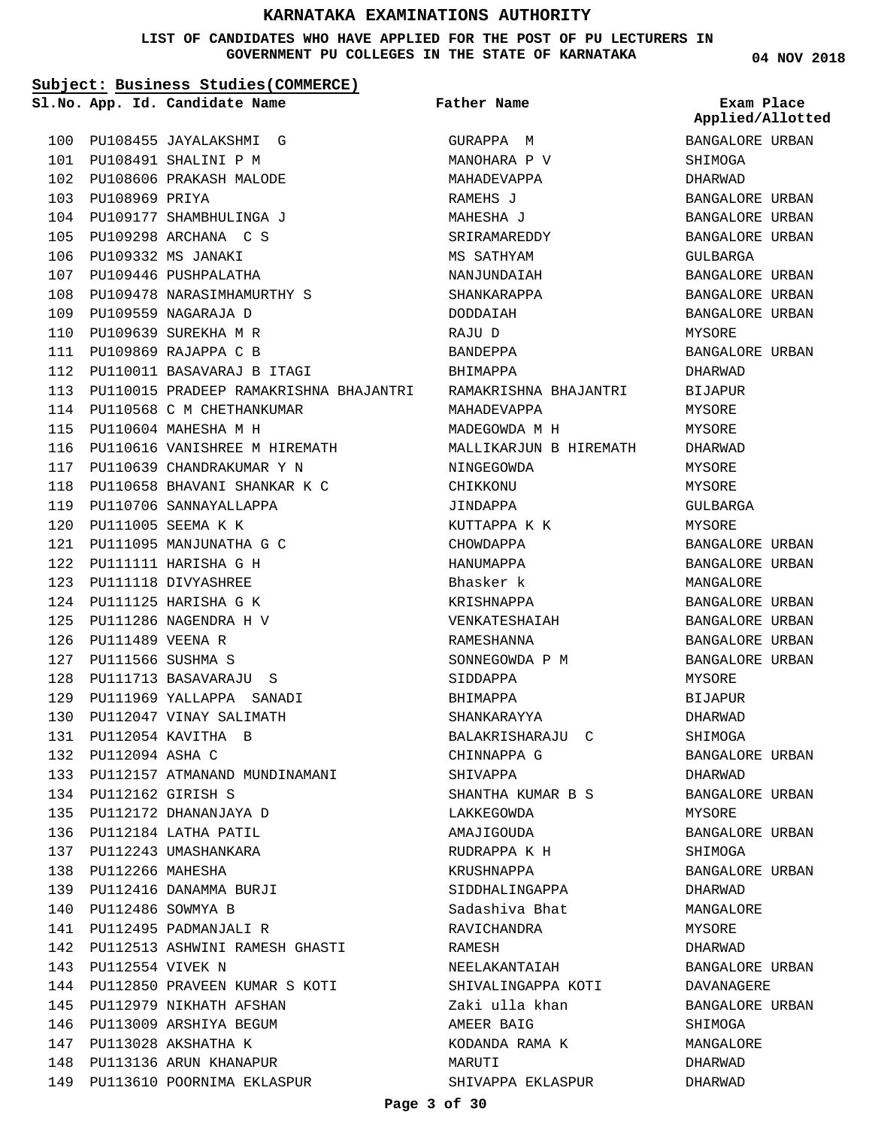#### **LIST OF CANDIDATES WHO HAVE APPLIED FOR THE POST OF PU LECTURERS IN GOVERNMENT PU COLLEGES IN THE STATE OF KARNATAKA**

**Subject: Business Studies(COMMERCE)**

100 PU108455 JAYALAKSHMI G PU108491 SHALINI P M 101 PU108606 PRAKASH MALODE 102

PU109177 SHAMBHULINGA J 104 PU109298 ARCHANA C S 105 PU109332 MS JANAKI 106 107 PU109446 PUSHPALATHA

PU109478 NARASIMHAMURTHY S 108

112 PU110011 BASAVARAJ B ITAGI

114 PU110568 C M CHETHANKUMAR

116 PU110616 VANISHREE M HIREMATH 117 PU110639 CHANDRAKUMAR Y N 118 PU110658 BHAVANI SHANKAR K C

115 PU110604 MAHESHA M H

119 PU110706 SANNAYALLAPPA PU111005 SEEMA K K 120

PU111095 MANJUNATHA G C 121 PU111111 HARISHA G H 122 123 PU111118 DIVYASHREE PU111125 HARISHA G K 124 PU111286 NAGENDRA H V 125

PU111713 BASAVARAJU S 128 PU111969 YALLAPPA SANADI 129 PU112047 VINAY SALIMATH 130 PU112054 KAVITHA B 131 PU112094 ASHA C 132

133 PU112157 ATMANAND MUNDINAMANI

PU112513 ASHWINI RAMESH GHASTI 142

144 PU112850 PRAVEEN KUMAR S KOTI

PU111489 VEENA R 126 PU111566 SUSHMA S 127

PU112162 GIRISH S 134 135 PU112172 DHANANJAYA D PU112184 LATHA PATIL 136 PU112243 UMASHANKARA 137 PU112266 MAHESHA 138

PU112486 SOWMYA B 140 141 PU112495 PADMANJALI R

143 PU112554 VIVEK N

PU112416 DANAMMA BURJI 139

145 PU112979 NIKHATH AFSHAN 146 PU113009 ARSHIYA BEGUM PU113028 AKSHATHA K 147 148 PU113136 ARUN KHANAPUR 149 PU113610 POORNIMA EKLASPUR

PU109559 NAGARAJA D 109 PU109639 SUREKHA M R 110 111 PU109869 RAJAPPA C B

103 PU108969 PRIYA

PU110015 PRADEEP RAMAKRISHNA BHAJANTRI 113 **App. Id. Candidate Name Sl.No. Exam Place** GURAPPA M MANOHARA P V MAHADEVAPPA RAMEHS J MAHESHA J SRIRAMAREDDY MS SATHYAM NANJUNDAIAH SHANKARAPPA DODDAIAH RAJU D BANDEPPA BHIMAPPA RAMAKRISHNA BHAJANTRI MAHADEVAPPA MADEGOWDA M H MALLIKARJUN B HIREMAT NINGEGOWDA CHIKKONII JINDAPPA KUTTAPPA K K CHOWDAPPA HANUMAPPA Bhasker k KRISHNAPPA VENKATESHAIAH RAMESHANNA SONNEGOWDA P M SIDDAPPA BHIMAPPA SHANKARAYYA BALAKRISHARAJU C CHINNAPPA G SHIVAPPA SHANTHA KUMAR B S LAKKEGOWDA AMAJIGOUDA RUDRAPPA K H KRUSHNAPPA SIDDHALINGAPPA Sadashiva Bhat RAVICHANDRA RAMESH NEELAKANTAIAH SHIVALINGAPPA KOTI Zaki ulla khan AMEER BAIG KODANDA RAMA K MARUTI **Father Name**

**04 NOV 2018**

|    | Applied/Allotted       |  |
|----|------------------------|--|
|    | BANGALORE URBAN        |  |
|    | SHIMOGA                |  |
|    | DHARWAD                |  |
|    | BANGALORE URBAN        |  |
|    | BANGALORE URBAN        |  |
|    |                        |  |
|    | BANGALORE URBAN        |  |
|    | GULBARGA               |  |
|    | <b>BANGALORE URBAN</b> |  |
|    | BANGALORE URBAN        |  |
|    | BANGALORE URBAN        |  |
|    | MYSORE                 |  |
|    | BANGALORE URBAN        |  |
|    | DHARWAD                |  |
|    | <b>BIJAPUR</b>         |  |
|    | MYSORE                 |  |
|    | MYSORE                 |  |
| Ή. | DHARWAD                |  |
|    | MYSORE                 |  |
|    | MYSORE                 |  |
|    | GULBARGA               |  |
|    | MYSORE                 |  |
|    | BANGALORE URBAN        |  |
|    | BANGALORE URBAN        |  |
|    | MANGALORE              |  |
|    | BANGALORE URBAN        |  |
|    | BANGALORE URBAN        |  |
|    | BANGALORE URBAN        |  |
|    | BANGALORE URBAN        |  |
|    | MYSORE                 |  |
|    | <b>BIJAPUR</b>         |  |
|    | DHARWAD                |  |
|    | SHIMOGA                |  |
|    | BANGALORE URBAN        |  |
|    | DHARWAD                |  |
|    | BANGALORE URBAN        |  |
|    | MYSORE                 |  |
|    | BANGALORE URBAN        |  |
|    | SHIMOGA                |  |
|    | BANGALORE URBAN        |  |
|    | DHARWAD                |  |
|    | MANGALORE              |  |
|    | MYSORE                 |  |
|    | DHARWAD                |  |
|    | BANGALORE URBAN        |  |
|    | DAVANAGERE             |  |
|    | BANGALORE URBAN        |  |
|    | SHIMOGA                |  |
|    | MANGALORE              |  |
|    | DHARWAD                |  |
|    | DHARWAD                |  |

#### **Page 3 of 30**

SHIVAPPA EKLASPUR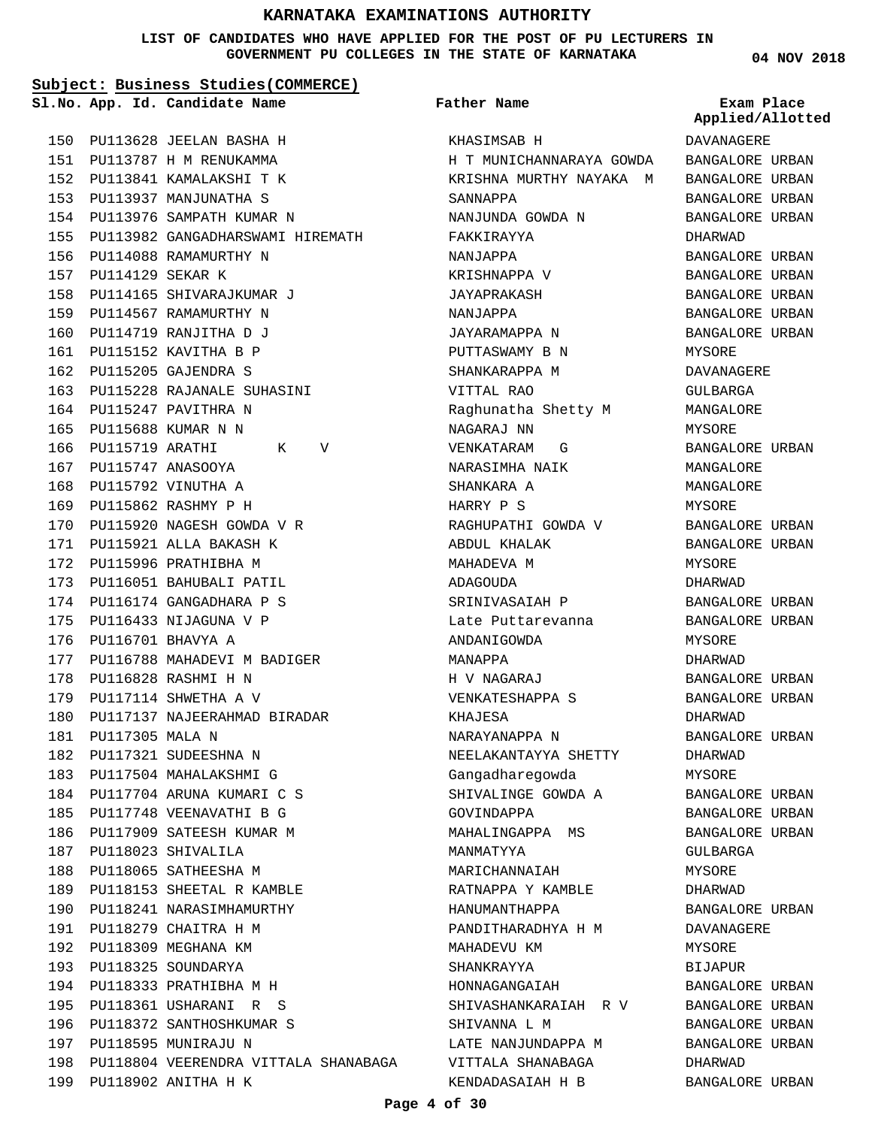**LIST OF CANDIDATES WHO HAVE APPLIED FOR THE POST OF PU LECTURERS IN GOVERNMENT PU COLLEGES IN THE STATE OF KARNATAKA**

**Subject: Business Studies(COMMERCE)**

155 PU113982 GANGADHARSWAMI HIREMATH

**App. Id. Candidate Name Sl.No. Exam Place**

PU113628 JEELAN BASHA H 150 PU113787 H M RENUKAMMA 151 PU113841 KAMALAKSHI T K 152 153 PU113937 MANJUNATHA S PU113976 SAMPATH KUMAR N 154

156 PU114088 RAMAMURTHY N

PU114165 SHIVARAJKUMAR J 158 159 PU114567 RAMAMURTHY N 160 PU114719 RANJITHA D J PU115152 KAVITHA B P 161 PU115205 GAJENDRA S 162

PU115228 RAJANALE SUHASINI 163

K V

PU115920 NAGESH GOWDA V R 170 PU115921 ALLA BAKASH K 171 172 PU115996 PRATHIBHA M 173 PU116051 BAHUBALI PATIL PU116174 GANGADHARA P S 174 175 PU116433 NIJAGUNA V P 176 PU116701 BHAVYA A

PU116788 MAHADEVI M BADIGER 177

PU117137 NAJEERAHMAD BIRADAR 180

PU116828 RASHMI H N 178 179 PU117114 SHWETHA A V

PU117321 SUDEESHNA N 182 183 PU117504 MAHALAKSHMI G PU117704 ARUNA KUMARI C S 184 185 PU117748 VEENAVATHI B G 186 PU117909 SATEESH KUMAR M

PU118023 SHIVALILA 187 188 PU118065 SATHEESHA M

197 PU118595 MUNIRAJU N

PU118902 ANITHA H K 199

198 PU118804 VEERENDRA VITTALA SHANABAGA

189 PU118153 SHEETAL R KAMBLE PU118241 NARASIMHAMURTHY 190 PU118279 CHAITRA H M 191 192 PU118309 MEGHANA KM PU118325 SOUNDARYA 193 PU118333 PRATHIBHA M H 194 PU118361 USHARANI R S 195 PU118372 SANTHOSHKUMAR S 196

PU117305 MALA N 181

PU115247 PAVITHRA N 164 PU115688 KUMAR N N 165

PU115747 ANASOOYA 167 PU115792 VINUTHA A 168 PU115862 RASHMY P H 169

166 **PU115719** 

PU114129 SEKAR K 157

**Father Name**

KHASIMSAB H H T MUNICHANNARAYA GOWDA KRISHNA MURTHY NAYAKA M SANNAPPA NANJUNDA GOWDA N FAKKIRAYYA NANJAPPA KRISHNAPPA V JAYAPRAKASH NANJAPPA JAYARAMAPPA N PUTTASWAMY B N SHANKARAPPA M VITTAL RAO Raghunatha Shetty M NAGARAJ NN VENKATARAM G NARASIMHA NAIK SHANKARA A HARRY P S RAGHUPATHI GOWDA V ABDUL KHALAK MAHADEVA M **ADAGOUDA** SRINIVASAIAH P Late Puttarevanna ANDANIGOWDA MANAPPA H V NAGARAJ VENKATESHAPPA S KHAJESA NARAYANAPPA N NEELAKANTAYYA SHETTY Gangadharegowda SHIVALINGE GOWDA A GOVINDAPPA MAHALINGAPPA MS MANMATYYA MARICHANNAIAH RATNAPPA Y KAMBLE HANUMANTHAPPA PANDITHARADHYA H M MAHADEVU KM SHANKRAYYA HONNAGANGAIAH SHIVASHANKARAIAH R V SHIVANNA L M LATE NANJUNDAPPA M VITTALA SHANABAGA KENDADASAIAH H B

**04 NOV 2018**

DAVANAGERE BANGALORE URBAN BANGALORE URBAN **Applied/Allotted**

BANGALORE URBAN BANGALORE URBAN

DHARWAD BANGALORE URBAN BANGALORE URBAN BANGALORE URBAN BANGALORE URBAN BANGALORE URBAN MYSORE DAVANAGERE GULBARGA MANGALORE MYSORE BANGALORE URBAN MANGALORE MANGALORE MYSORE BANGALORE URBAN BANGALORE URBAN MYSORE DHARWAD BANGALORE URBAN BANGALORE URBAN MYSORE DHARWAD BANGALORE URBAN BANGALORE URBAN DHARWAD BANGALORE URBAN DHARWAD MYSORE BANGALORE URBAN BANGALORE URBAN BANGALORE URBAN GULBARGA MYSORE DHARWAD BANGALORE URBAN DAVANAGERE MYSORE BIJAPUR BANGALORE URBAN BANGALORE URBAN

BANGALORE URBAN BANGALORE URBAN

BANGALORE URBAN

DHARWAD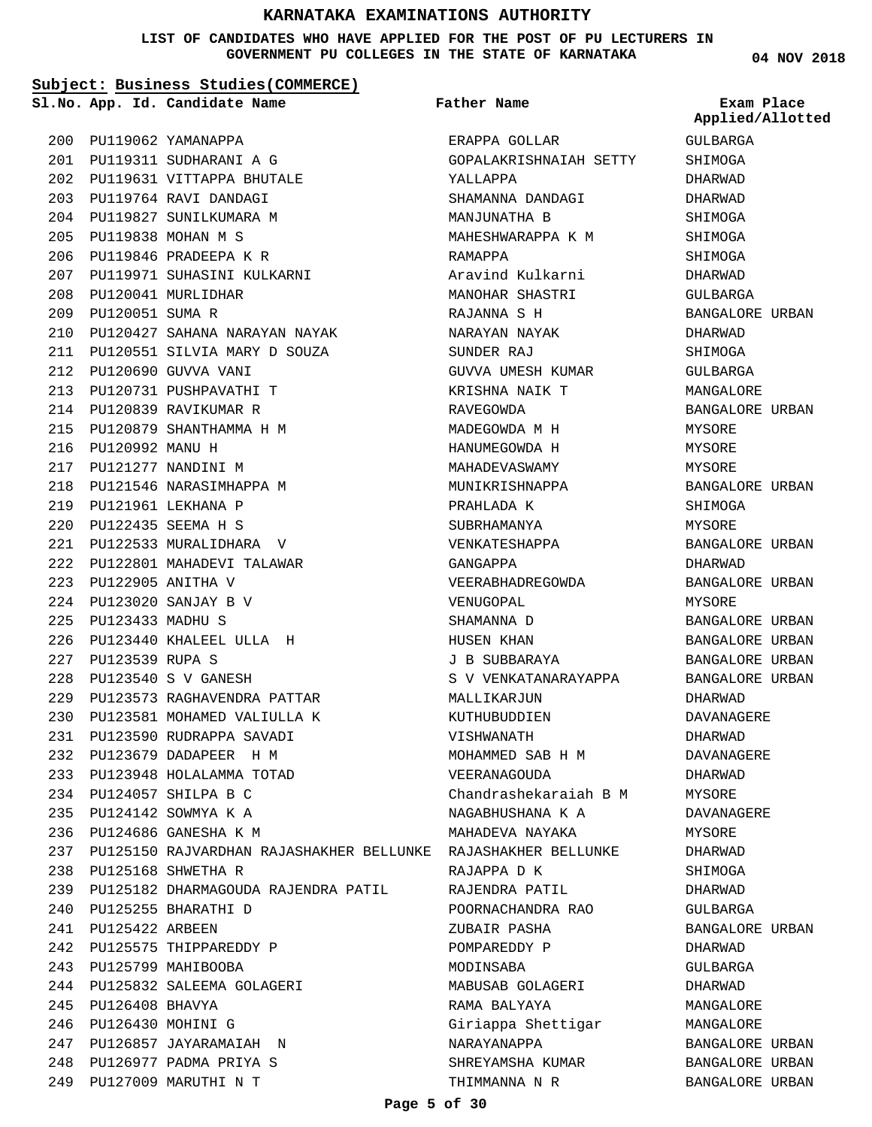#### **LIST OF CANDIDATES WHO HAVE APPLIED FOR THE POST OF PU LECTURERS IN GOVERNMENT PU COLLEGES IN THE STATE OF KARNATAKA**

**Subject: Business Studies(COMMERCE)**

**App. Id. Candidate Name Sl.No. Exam Place**

PU127009 MARUTHI N T 249

**Father Name**

ERAPPA GOLLAR SHREYAMSHA KUMAR **04 NOV 2018**

GULBARGA **Applied/Allotted**

BANGALORE URBAN

PU119062 YAMANAPPA 200 PU119311 SUDHARANI A G 201 PU119631 VITTAPPA BHUTALE 202 PU119764 RAVI DANDAGI 203 PU119827 SUNILKUMARA M 204 PU119838 MOHAN M S 205 PU119846 PRADEEPA K R 206 PU119971 SUHASINI KULKARNI 207 PU120041 MURLIDHAR 208 PU120051 SUMA R 209 PU120427 SAHANA NARAYAN NAYAK 210 PU120551 SILVIA MARY D SOUZA 211 PU120690 GUVVA VANI 212 PU120731 PUSHPAVATHI T 213 PU120839 RAVIKUMAR R 214 PU120879 SHANTHAMMA H M 215 216 PU120992 MANU H PU121277 NANDINI M 217 218 PU121546 NARASIMHAPPA M PU121961 LEKHANA P 219 PU122435 SEEMA H S 220 PU122533 MURALIDHARA V 221 PU122801 MAHADEVI TALAWAR 222 PU122905 ANITHA V 223 PU123020 SANJAY B V 224 PU123433 MADHU S 225 PU123440 KHALEEL ULLA H 226 PU123539 RUPA S 227 PU123540 S V GANESH 228 PU123573 RAGHAVENDRA PATTAR 229 PU123581 MOHAMED VALIULLA K 230 PU123590 RUDRAPPA SAVADI 231 PU123679 DADAPEER H M 232 PU123948 HOLALAMMA TOTAD 233 PU124057 SHILPA B C 234 PU124142 SOWMYA K A 235 PU124686 GANESHA K M 236 PU125150 RAJVARDHAN RAJASHAKHER BELLUNKE RAJASHAKHER BELLUNKE 237 PU125168 SHWETHA R 238 PU125182 DHARMAGOUDA RAJENDRA PATIL 239 PU125255 BHARATHI D 240 241 **PU125422 ARBEEN** 242 PU125575 THIPPAREDDY P PU125799 MAHIBOOBA 243 PU125832 SALEEMA GOLAGERI 244 PU126408 BHAVYA 245 PU126430 MOHINI G 246 PU126857 JAYARAMAIAH N 247 PU126977 PADMA PRIYA S 248 GOPALAKRISHNAIAH SETTY YALLAPPA SHAMANNA DANDAGI MANJUNATHA B MAHESHWARAPPA K M RAMAPPA Aravind Kulkarni MANOHAR SHASTRI RAJANNA S H NARAYAN NAYAK SUNDER RAJ GUVVA UMESH KUMAR KRISHNA NAIK T RAVEGOWDA MADEGOWDA M H HANUMEGOWDA H MAHADEVASWAMY MUNIKRISHNAPPA PRAHLADA K SUBRHAMANYA VENKATESHAPPA GANGAPPA VEERABHADREGOWDA VENUGOPAL SHAMANNA D HUSEN KHAN J B SUBBARAYA S V VENKATANARAYAPPA MALLIKARJUN KUTHUBUDDIEN VISHWANATH MOHAMMED SAB H M VEERANAGOUDA Chandrashekaraiah B M NAGABHUSHANA K A MAHADEVA NAYAKA RAJAPPA D K RAJENDRA PATIL POORNACHANDRA RAO ZUBAIR PASHA POMPAREDDY P MODINSABA MABUSAB GOLAGERI RAMA BALYAYA Giriappa Shettigar NARAYANAPPA SHIMOGA DHARWAD DHARWAD SHIMOGA SHIMOGA SHIMOGA DHARWAD GULBARGA BANGALORE URBAN DHARWAD SHIMOGA GULBARGA MANGALORE BANGALORE URBAN MYSORE MYSORE **MYSORE** BANGALORE URBAN SHIMOGA MYSORE BANGALORE URBAN DHARWAD BANGALORE URBAN MYSORE BANGALORE URBAN BANGALORE URBAN BANGALORE URBAN BANGALORE URBAN DHARWAD DAVANAGERE DHARWAD DAVANAGERE DHARWAD MYSORE DAVANAGERE MYSORE DHARWAD SHIMOGA DHARWAD GULBARGA BANGALORE URBAN DHARWAD GULBARGA DHARWAD MANGALORE MANGALORE BANGALORE URBAN BANGALORE URBAN

THIMMANNA N R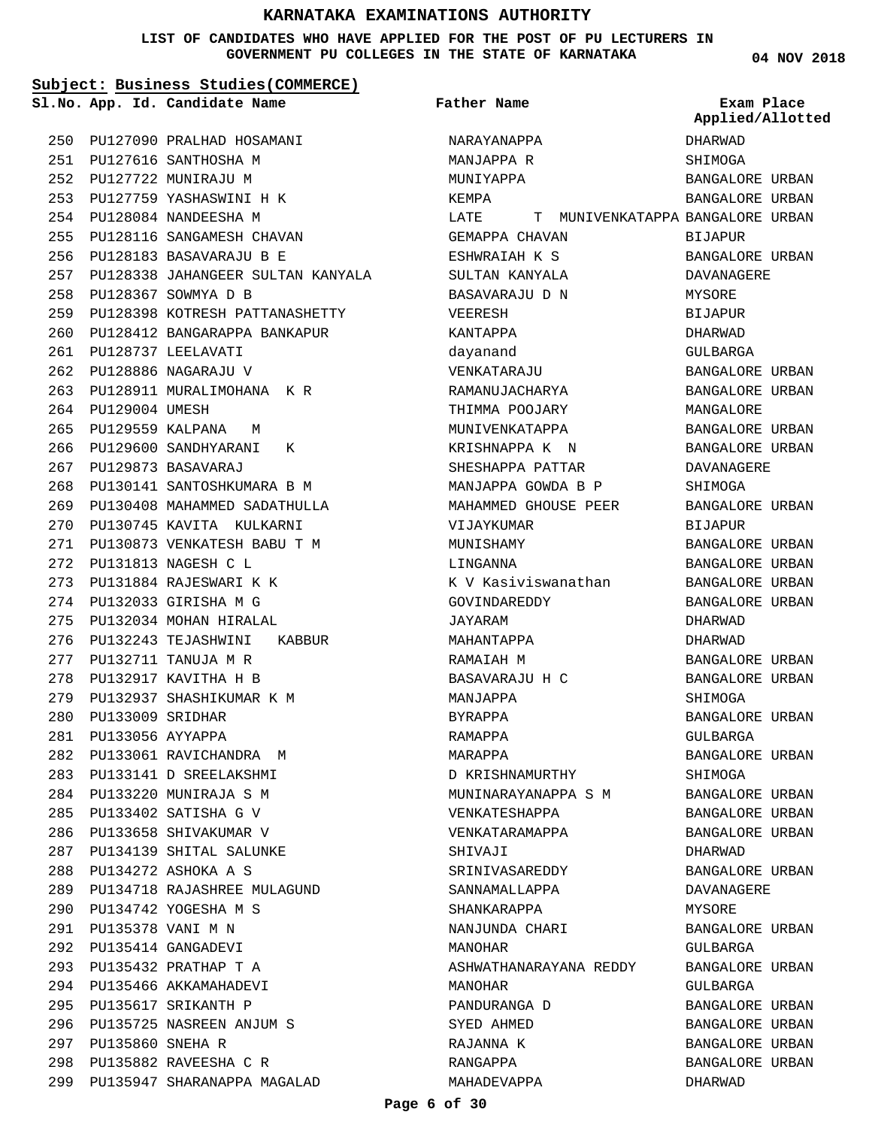### **LIST OF CANDIDATES WHO HAVE APPLIED FOR THE POST OF PU LECTURERS IN GOVERNMENT PU COLLEGES IN THE STATE OF KARNATAKA**

**04 NOV 2018**

|     | Subject: Business Studies (COMMERCE) |                                   |                                          |                                |  |
|-----|--------------------------------------|-----------------------------------|------------------------------------------|--------------------------------|--|
|     |                                      | Sl.No. App. Id. Candidate Name    | Father Name                              | Exam Place<br>Applied/Allotted |  |
| 250 |                                      | PU127090 PRALHAD HOSAMANI         | NARAYANAPPA                              | DHARWAD                        |  |
| 251 |                                      | PU127616 SANTHOSHA M              | MANJAPPA R                               | SHIMOGA                        |  |
| 252 |                                      | PU127722 MUNIRAJU M               | MUNIYAPPA                                | BANGALORE URBAN                |  |
| 253 |                                      | PU127759 YASHASWINI H K           | KEMPA                                    | BANGALORE URBAN                |  |
| 254 |                                      | PU128084 NANDEESHA M              | T MUNIVENKATAPPA BANGALORE URBAN<br>LATE |                                |  |
| 255 |                                      | PU128116 SANGAMESH CHAVAN         | GEMAPPA CHAVAN                           | <b>BIJAPUR</b>                 |  |
| 256 |                                      | PU128183 BASAVARAJU B E           | ESHWRAIAH K S                            | BANGALORE URBAN                |  |
| 257 |                                      | PU128338 JAHANGEER SULTAN KANYALA | SULTAN KANYALA                           | DAVANAGERE                     |  |
| 258 |                                      | PU128367 SOWMYA D B               | BASAVARAJU D N                           | MYSORE                         |  |
| 259 |                                      | PU128398 KOTRESH PATTANASHETTY    | VEERESH                                  | <b>BIJAPUR</b>                 |  |
| 260 |                                      | PU128412 BANGARAPPA BANKAPUR      | KANTAPPA                                 | DHARWAD                        |  |
| 261 |                                      | PU128737 LEELAVATI                | dayanand                                 | GULBARGA                       |  |
| 262 |                                      | PU128886 NAGARAJU V               | VENKATARAJU                              | BANGALORE URBAN                |  |
| 263 |                                      | PU128911 MURALIMOHANA K R         | RAMANUJACHARYA                           | BANGALORE URBAN                |  |
| 264 | <b>PU129004 UMESH</b>                |                                   | THIMMA POOJARY                           | MANGALORE                      |  |
| 265 | PU129559 KALPANA                     | M                                 | MUNIVENKATAPPA                           | BANGALORE URBAN                |  |
| 266 |                                      | PU129600 SANDHYARANI<br>К         | KRISHNAPPA K N                           | BANGALORE URBAN                |  |
| 267 |                                      | PU129873 BASAVARAJ                | SHESHAPPA PATTAR                         | DAVANAGERE                     |  |
| 268 |                                      | PU130141 SANTOSHKUMARA B M        | MANJAPPA GOWDA B P                       | SHIMOGA                        |  |
| 269 |                                      | PU130408 MAHAMMED SADATHULLA      | MAHAMMED GHOUSE PEER                     | BANGALORE URBAN                |  |
| 270 |                                      | PU130745 KAVITA KULKARNI          | VIJAYKUMAR                               | <b>BIJAPUR</b>                 |  |
| 271 |                                      | PU130873 VENKATESH BABU T M       | MUNISHAMY                                | BANGALORE URBAN                |  |
| 272 |                                      | PU131813 NAGESH C L               | LINGANNA                                 | BANGALORE URBAN                |  |
| 273 |                                      | PU131884 RAJESWARI K K            | K V Kasiviswanathan                      | BANGALORE URBAN                |  |
| 274 |                                      | PU132033 GIRISHA M G              | GOVINDAREDDY                             | <b>BANGALORE URBAN</b>         |  |
| 275 |                                      | PU132034 MOHAN HIRALAL            | JAYARAM                                  | DHARWAD                        |  |
| 276 |                                      | PU132243 TEJASHWINI<br>KABBUR     | MAHANTAPPA                               | DHARWAD                        |  |
| 277 |                                      | PU132711 TANUJA M R               | RAMAIAH M                                | BANGALORE URBAN                |  |
| 278 |                                      | PU132917 KAVITHA H B              | BASAVARAJU H C                           | BANGALORE URBAN                |  |
| 279 |                                      | PU132937 SHASHIKUMAR K M          | MANJAPPA                                 | SHIMOGA                        |  |
|     | 280 PU133009 SRIDHAR                 |                                   | <b>BYRAPPA</b>                           | BANGALORE URBAN                |  |
| 281 | PU133056 AYYAPPA                     |                                   | RAMAPPA                                  | GULBARGA                       |  |
| 282 |                                      | PU133061 RAVICHANDRA M            | MARAPPA                                  | BANGALORE URBAN                |  |
| 283 |                                      | PU133141 D SREELAKSHMI            | D KRISHNAMURTHY                          | SHIMOGA                        |  |
| 284 |                                      | PU133220 MUNIRAJA S M             | MUNINARAYANAPPA S M                      | BANGALORE URBAN                |  |
| 285 |                                      | PU133402 SATISHA G V              | VENKATESHAPPA                            | BANGALORE URBAN                |  |
| 286 |                                      | PU133658 SHIVAKUMAR V             | VENKATARAMAPPA                           | BANGALORE URBAN                |  |
|     |                                      | 287 PU134139 SHITAL SALUNKE       | SHIVAJI                                  | DHARWAD                        |  |
| 288 |                                      | PU134272 ASHOKA A S               | SRINIVASAREDDY                           | BANGALORE URBAN                |  |
| 289 |                                      | PU134718 RAJASHREE MULAGUND       | SANNAMALLAPPA                            | DAVANAGERE                     |  |
| 290 |                                      | PU134742 YOGESHA M S              | SHANKARAPPA                              | MYSORE                         |  |
| 291 | PU135378 VANI M N                    |                                   | NANJUNDA CHARI                           | BANGALORE URBAN                |  |
| 292 |                                      | PU135414 GANGADEVI                | MANOHAR                                  | GULBARGA                       |  |
| 293 |                                      | PU135432 PRATHAP T A              | ASHWATHANARAYANA REDDY                   | BANGALORE URBAN                |  |
| 294 |                                      | PU135466 AKKAMAHADEVI             | MANOHAR                                  | GULBARGA                       |  |
|     |                                      | 295 PU135617 SRIKANTH P           | PANDURANGA D                             | BANGALORE URBAN                |  |
| 296 |                                      | PU135725 NASREEN ANJUM S          | SYED AHMED                               | BANGALORE URBAN                |  |
| 297 | <b>PU135860 SNEHA R</b>              |                                   | RAJANNA K                                | BANGALORE URBAN                |  |
| 298 |                                      | PU135882 RAVEESHA C R             | RANGAPPA                                 | BANGALORE URBAN                |  |
| 299 |                                      | PU135947 SHARANAPPA MAGALAD       | MAHADEVAPPA                              | DHARWAD                        |  |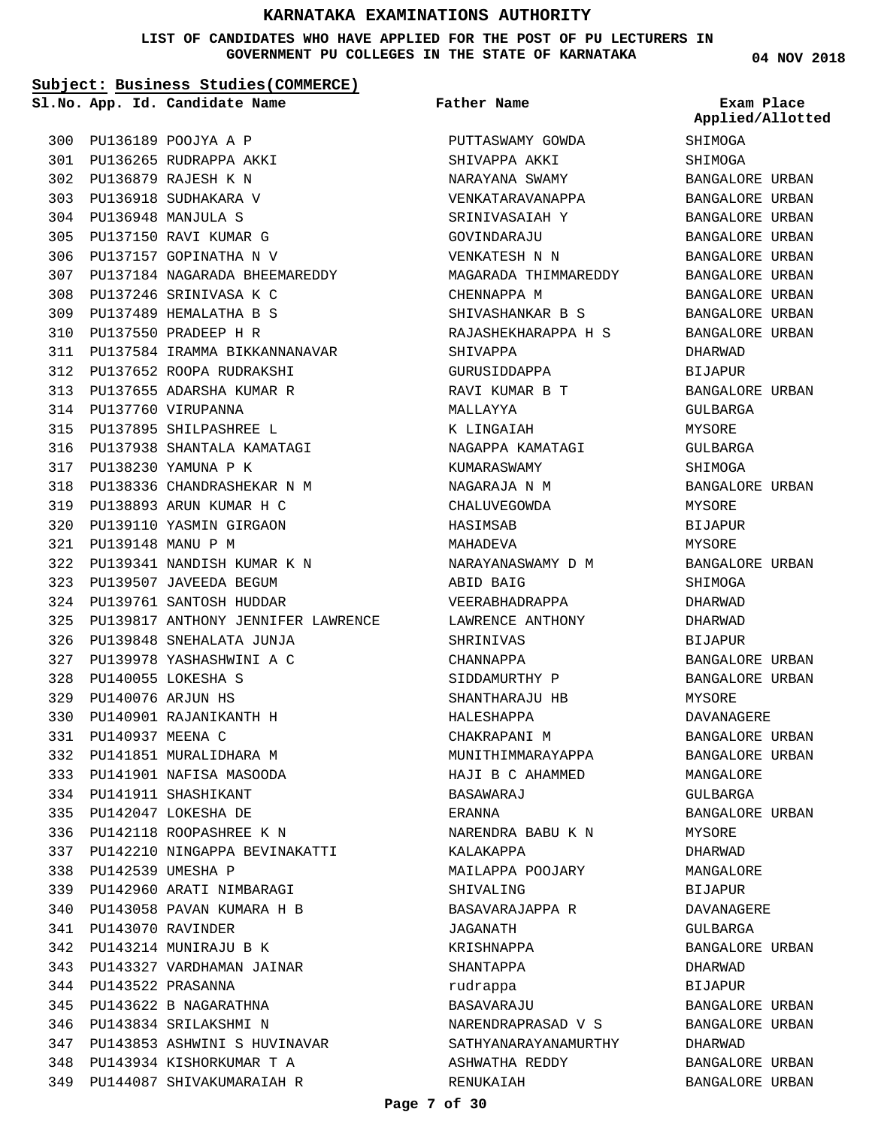**LIST OF CANDIDATES WHO HAVE APPLIED FOR THE POST OF PU LECTURERS IN GOVERNMENT PU COLLEGES IN THE STATE OF KARNATAKA**

**Subject: Business Studies(COMMERCE)**

**Father Name**

**04 NOV 2018**

|     |                  | Sl.No. App. Id. Candidate Name         | Father Name          | Exam Place<br>Applied/Allotted |
|-----|------------------|----------------------------------------|----------------------|--------------------------------|
|     |                  | 300 PU136189 POOJYA A P                | PUTTASWAMY GOWDA     | SHIMOGA                        |
|     |                  | 301 PU136265 RUDRAPPA AKKI             | SHIVAPPA AKKI        | SHIMOGA                        |
|     |                  | 302 PU136879 RAJESH K N                | NARAYANA SWAMY       | BANGALORE URBAN                |
|     |                  | 303 PU136918 SUDHAKARA V               | VENKATARAVANAPPA     | BANGALORE URBAN                |
|     |                  | 304 PU136948 MANJULA S                 | SRINIVASAIAH Y       | BANGALORE URBAN                |
|     |                  | 305 PU137150 RAVI KUMAR G              | GOVINDARAJU          | BANGALORE URBAN                |
|     |                  | 306 PU137157 GOPINATHA N V             | VENKATESH N N        | BANGALORE URBAN                |
|     |                  | 307 PU137184 NAGARADA BHEEMAREDDY      | MAGARADA THIMMAREDDY | BANGALORE URBAN                |
|     |                  | 308 PU137246 SRINIVASA K C             | CHENNAPPA M          | BANGALORE URBAN                |
|     |                  | 309 PU137489 HEMALATHA B S             | SHIVASHANKAR B S     | BANGALORE URBAN                |
|     |                  | 310 PU137550 PRADEEP H R               | RAJASHEKHARAPPA H S  | BANGALORE URBAN                |
|     |                  | 311 PU137584 IRAMMA BIKKANNANAVAR      | SHIVAPPA             | DHARWAD                        |
|     |                  | 312 PU137652 ROOPA RUDRAKSHI           | GURUSIDDAPPA         | BIJAPUR                        |
|     |                  | 313 PU137655 ADARSHA KUMAR R           | RAVI KUMAR B T       | BANGALORE URBAN                |
|     |                  | 314 PU137760 VIRUPANNA                 | MALLAYYA             | GULBARGA                       |
|     |                  | 315 PU137895 SHILPASHREE L             | K LINGAIAH           | MYSORE                         |
|     |                  | 316 PU137938 SHANTALA KAMATAGI         | NAGAPPA KAMATAGI     | GULBARGA                       |
|     |                  | 317 PU138230 YAMUNA P K                | KUMARASWAMY          | SHIMOGA                        |
|     |                  | 318 PU138336 CHANDRASHEKAR N M         | NAGARAJA N M         | BANGALORE URBAN                |
|     |                  | 319 PU138893 ARUN KUMAR H C            | CHALUVEGOWDA         | MYSORE                         |
| 320 |                  | PU139110 YASMIN GIRGAON                | HASIMSAB             | BIJAPUR                        |
| 321 |                  | PU139148 MANU P M                      | MAHADEVA             | MYSORE                         |
|     |                  | 322 PU139341 NANDISH KUMAR K N         | NARAYANASWAMY D M    | BANGALORE URBAN                |
| 323 |                  | PU139507 JAVEEDA BEGUM                 | ABID BAIG            | SHIMOGA                        |
|     |                  | 324 PU139761 SANTOSH HUDDAR            | VEERABHADRAPPA       | DHARWAD                        |
|     |                  | 325 PU139817 ANTHONY JENNIFER LAWRENCE | LAWRENCE ANTHONY     | DHARWAD                        |
|     |                  | 326 PU139848 SNEHALATA JUNJA           | SHRINIVAS            | BIJAPUR                        |
| 327 |                  | PU139978 YASHASHWINI A C               | CHANNAPPA            | BANGALORE URBAN                |
| 328 |                  | PU140055 LOKESHA S                     | SIDDAMURTHY P        | BANGALORE URBAN                |
|     |                  | 329 PU140076 ARJUN HS                  | SHANTHARAJU HB       | MYSORE                         |
|     |                  | 330 PU140901 RAJANIKANTH H             | HALESHAPPA           | DAVANAGERE                     |
| 331 | PU140937 MEENA C |                                        | CHAKRAPANI M         | BANGALORE URBAN                |
|     |                  | 332 PU141851 MURALIDHARA M             | MUNITHIMMARAYAPPA    | BANGALORE URBAN                |
|     |                  | 333 PU141901 NAFISA MASOODA            | HAJI B C AHAMMED     | MANGALORE                      |
|     |                  | 334 PU141911 SHASHIKANT                | BASAWARAJ            | GULBARGA                       |
|     |                  | 335 PU142047 LOKESHA DE                | ERANNA               | BANGALORE URBAN                |
|     |                  | 336 PU142118 ROOPASHREE K N            | NARENDRA BABU K N    | MYSORE                         |
|     |                  | 337 PU142210 NINGAPPA BEVINAKATTI      | KALAKAPPA            | DHARWAD                        |
|     |                  | 338 PU142539 UMESHA P                  | MAILAPPA POOJARY     | MANGALORE                      |
|     |                  | 339 PU142960 ARATI NIMBARAGI           | SHIVALING            | <b>BIJAPUR</b>                 |
|     |                  | 340 PU143058 PAVAN KUMARA H B          | BASAVARAJAPPA R      | DAVANAGERE                     |
|     |                  | 341 PU143070 RAVINDER                  | JAGANATH             | GULBARGA                       |
|     |                  | 342 PU143214 MUNIRAJU B K              | KRISHNAPPA           | BANGALORE URBAN                |
|     |                  | 343 PU143327 VARDHAMAN JAINAR          | SHANTAPPA            | DHARWAD                        |
|     |                  | 344 PU143522 PRASANNA                  | rudrappa             | BIJAPUR                        |
|     |                  | 345 PU143622 B NAGARATHNA              | BASAVARAJU           | BANGALORE URBAN                |
|     |                  | 346 PU143834 SRILAKSHMI N              | NARENDRAPRASAD V S   | BANGALORE URBAN                |
|     |                  | 347 PU143853 ASHWINI S HUVINAVAR       | SATHYANARAYANAMURTHY | DHARWAD                        |
|     |                  | 348 PU143934 KISHORKUMAR T A           | ASHWATHA REDDY       | BANGALORE URBAN                |
|     |                  | 349 PU144087 SHIVAKUMARAIAH R          | RENUKAIAH            | BANGALORE URBAN                |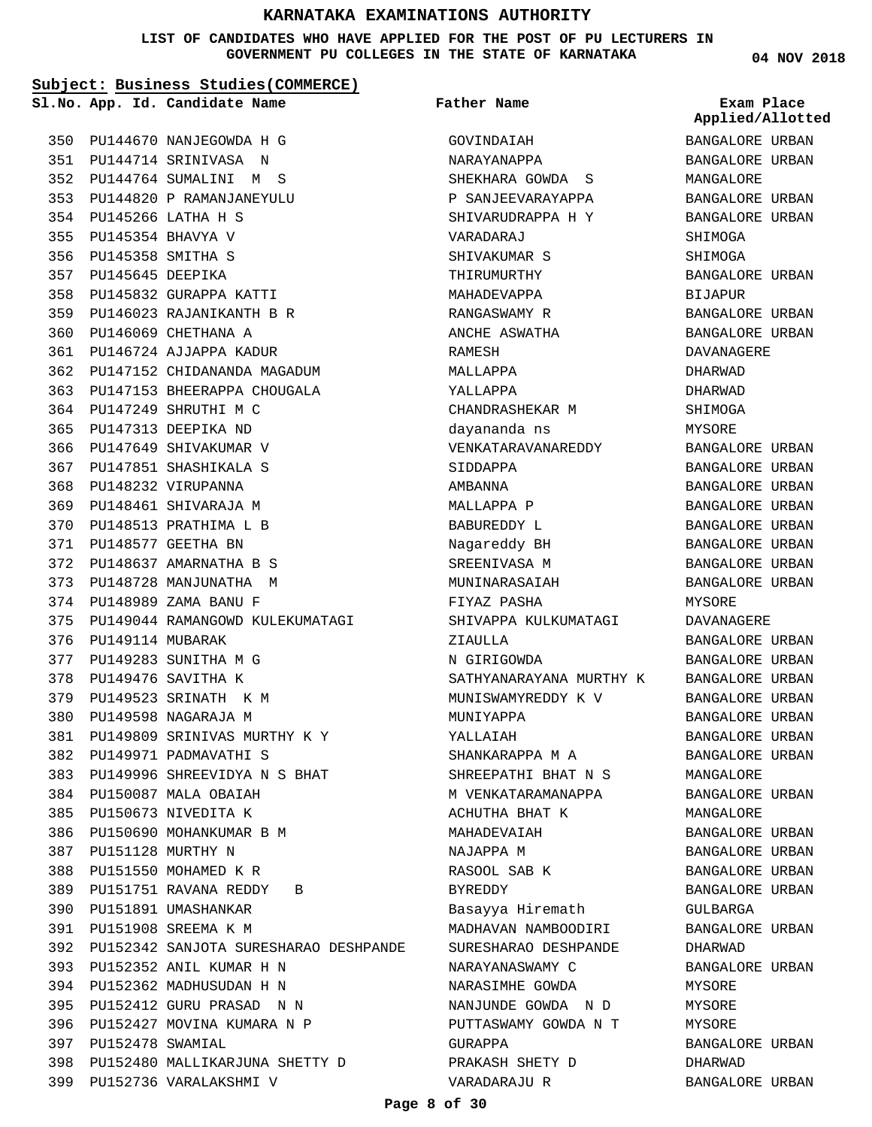**LIST OF CANDIDATES WHO HAVE APPLIED FOR THE POST OF PU LECTURERS IN GOVERNMENT PU COLLEGES IN THE STATE OF KARNATAKA**

#### **Subject: Business Studies(COMMERCE)**

**Father Name**

PU144670 NANJEGOWDA H G 350 PU144714 SRINIVASA N 351 PU144764 SUMALINI M S 352 PU144820 P RAMANJANEYULU 353 PU145266 LATHA H S 354 PU145354 BHAVYA V 355 PU145358 SMITHA S 356 357 PU145645 DEEPIKA PU145832 GURAPPA KATTI 358 PU146023 RAJANIKANTH B R 359 PU146069 CHETHANA A 360 PU146724 AJJAPPA KADUR 361 PU147152 CHIDANANDA MAGADUM 362 PU147153 BHEERAPPA CHOUGALA 363 PU147249 SHRUTHI M C 364 PU147313 DEEPIKA ND 365 366 PU147649 SHIVAKUMAR V PU147851 SHASHIKALA S 367 PU148232 VIRUPANNA 368 369 PU148461 SHIVARAJA M 370 PU148513 PRATHIMA L B PU148577 GEETHA BN 371 PU148637 AMARNATHA B S 372 373 PU148728 MANJUNATHA M PU148989 ZAMA BANU F 374 375 PU149044 RAMANGOWD KULEKUMATAGI 376 PU149114 MUBARAK PU149283 SUNITHA M G 377 PU149476 SAVITHA K 378 379 PU149523 SRINATH K M PU149598 NAGARAJA M 380 PU149809 SRINIVAS MURTHY K Y 381 PU149971 PADMAVATHI S 382 PU149996 SHREEVIDYA N S BHAT 383 PU150087 MALA OBAIAH 384 385 PU150673 NIVEDITA K 386 PU150690 MOHANKUMAR B M PU151128 MURTHY N 387 388 PU151550 MOHAMED K R PU151751 RAVANA REDDY B 389 390 PU151891 UMASHANKAR PU151908 SREEMA K M 391 PU152342 SANJOTA SURESHARAO DESHPANDE 392 PU152352 ANIL KUMAR H N 393 PU152362 MADHUSUDAN H N 394 PU152412 GURU PRASAD N N 395 396 PU152427 MOVINA KUMARA N P PU152478 SWAMIAL 397 PU152480 MALLIKARJUNA SHETTY D 398 PU152736 VARALAKSHMI V 399 **App. Id. Candidate Name Sl.No. Exam Place**

GOVINDAIAH NARAYANAPPA SHEKHARA GOWDA S P SANJEEVARAYAPPA SHIVARUDRAPPA H Y VARADARAJ SHIVAKUMAR S THIRUMURTHY MAHADEVAPPA RANGASWAMY R ANCHE ASWATHA RAMESH MALLAPPA YALLAPPA CHANDRASHEKAR M dayananda ns VENKATARAVANAREDDY SIDDAPPA AMBANNA MALLAPPA P BABUREDDY L Nagareddy BH SREENIVASA M MUNINARASAIAH FIYAZ PASHA SHIVAPPA KULKUMATAGI ZIAULLA N GIRIGOWDA SATHYANARAYANA MURTHY K MUNISWAMYREDDY K V MUNIYAPPA YALLAIAH SHANKARAPPA M A SHREEPATHI BHAT N S M VENKATARAMANAPPA ACHUTHA BHAT K MAHADEVAIAH NAJAPPA M RASOOL SAB K BYREDDY Basayya Hiremath MADHAVAN NAMBOODIRI SURESHARAO DESHPANDE NARAYANASWAMY C NARASIMHE GOWDA NANJUNDE GOWDA N D PUTTASWAMY GOWDA N T GURAPPA PRAKASH SHETY D VARADARAJU R

**04 NOV 2018**

BANGALORE URBAN BANGALORE URBAN MANGALORE BANGALORE URBAN BANGALORE URBAN SHIMOGA SHIMOGA BANGALORE URBAN **BIJAPUR** BANGALORE URBAN BANGALORE URBAN DAVANAGERE DHARWAD DHARWAD SHIMOGA MYSORE BANGALORE URBAN BANGALORE URBAN BANGALORE URBAN BANGALORE URBAN BANGALORE URBAN BANGALORE URBAN BANGALORE URBAN BANGALORE URBAN MYSORE DAVANAGERE BANGALORE URBAN BANGALORE URBAN BANGALORE URBAN BANGALORE URBAN BANGALORE URBAN BANGALORE URBAN BANGALORE URBAN MANGALORE BANGALORE URBAN MANGALORE BANGALORE URBAN BANGALORE URBAN BANGALORE URBAN BANGALORE URBAN GULBARGA BANGALORE URBAN DHARWAD BANGALORE URBAN MYSORE MYSORE MYSORE BANGALORE URBAN DHARWAD BANGALORE URBAN **Applied/Allotted**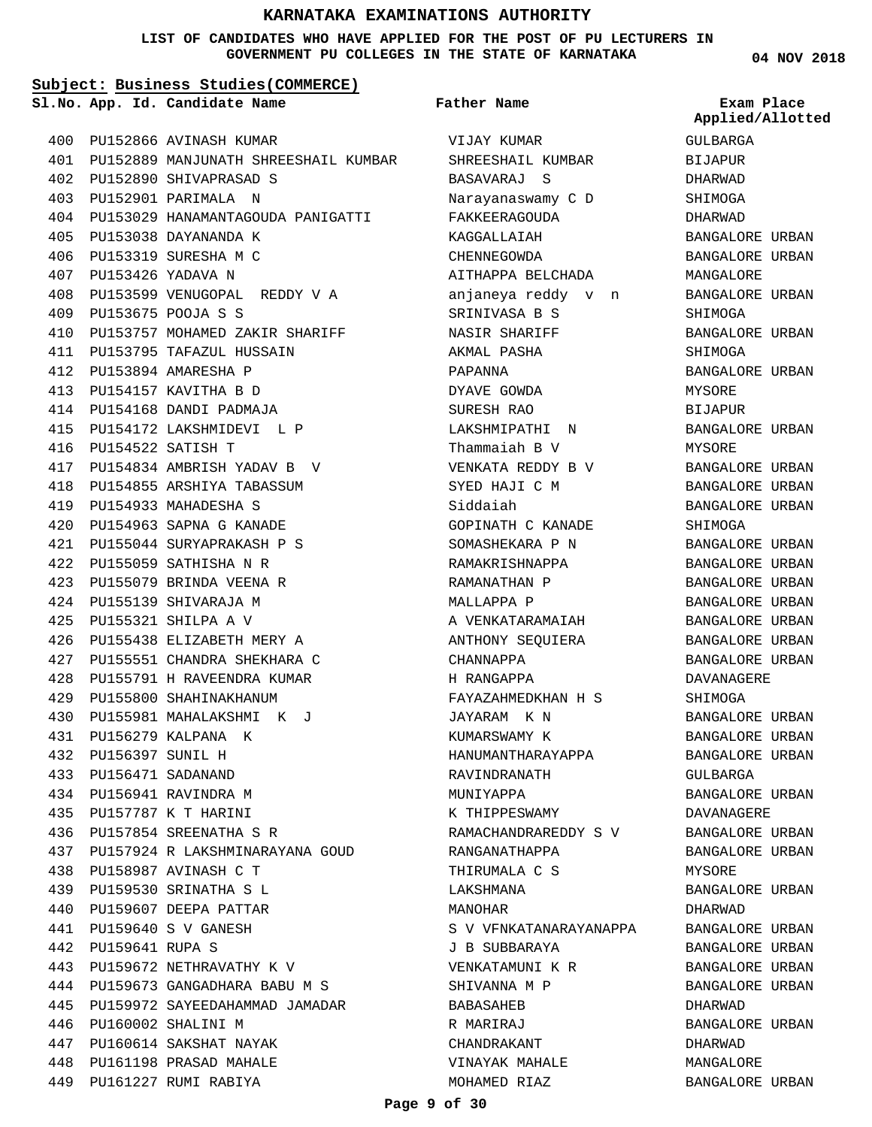#### **LIST OF CANDIDATES WHO HAVE APPLIED FOR THE POST OF PU LECTURERS IN GOVERNMENT PU COLLEGES IN THE STATE OF KARNATAKA**

#### **Subject: Business Studies(COMMERCE)**

**App. Id. Candidate Name Sl.No. Exam Place**

PU152866 AVINASH KUMAR 400 PU152889 MANJUNATH SHREESHAIL KUMBAR 401 PU152890 SHIVAPRASAD S 402 PU152901 PARIMALA N 403 PU153029 HANAMANTAGOUDA PANIGATTI 404 PU153038 DAYANANDA K 405 PU153319 SURESHA M C 406 PU153426 YADAVA N 407 PU153599 VENUGOPAL REDDY V A 408 PU153675 POOJA S S 409 PU153757 MOHAMED ZAKIR SHARIFF 410 PU153795 TAFAZUL HUSSAIN 411 PU153894 AMARESHA P 412 PU154157 KAVITHA B D 413 PU154168 DANDI PADMAJA 414 PU154172 LAKSHMIDEVI L P 415 PU154522 SATISH T 416 PU154834 AMBRISH YADAV B V 417 PU154855 ARSHIYA TABASSUM 418 PU154933 MAHADESHA S 419 PU154963 SAPNA G KANADE 420 PU155044 SURYAPRAKASH P S 421 PU155059 SATHISHA N R 422 PU155079 BRINDA VEENA R 423 PU155139 SHIVARAJA M 424 PU155321 SHILPA A V 425 PU155438 ELIZABETH MERY A 426 PU155551 CHANDRA SHEKHARA C 427 PU155791 H RAVEENDRA KUMAR 428 PU155800 SHAHINAKHANUM 429 PU155981 MAHALAKSHMI K J 430 PU156279 KALPANA K 431 PU156397 SUNIL H 432 PU156471 SADANAND 433 PU156941 RAVINDRA M 434 PU157787 K T HARINI 435 PU157854 SREENATHA S R 436 PU157924 R LAKSHMINARAYANA GOUD 437 PU158987 AVINASH C T 438 PU159530 SRINATHA S L 439 440 PU159607 DEEPA PATTAR PU159640 S V GANESH 441 PU159641 RUPA S 442 PU159672 NETHRAVATHY K V 443 PU159673 GANGADHARA BABU M S 444 PU159972 SAYEEDAHAMMAD JAMADAR 445 PU160002 SHALINI M 446 PU160614 SAKSHAT NAYAK 447 PU161198 PRASAD MAHALE 448 449 PU161227 RUMI RABIYA

VIJAY KUMAR SHREESHAIL KUMBAR BASAVARAJ S Narayanaswamy C D FAKKEERAGOUDA KAGGALLAIAH CHENNEGOWDA AITHAPPA BELCHADA anjaneya reddy v n SRINIVASA B S NASIR SHARIFF AKMAL PASHA PAPANNA DYAVE GOWDA SURESH RAO LAKSHMIPATHI N Thammaiah B V VENKATA REDDY B V SYED HAJI C M Siddaiah GOPINATH C KANADE SOMASHEKARA P N RAMAKRISHNAPPA RAMANATHAN P MALLAPPA P A VENKATARAMAIAH ANTHONY SEQUIERA CHANNAPPA H RANGAPPA FAYAZAHMEDKHAN H S JAYARAM K N KUMARSWAMY K HANUMANTHARAYAPPA RAVINDRANATH MUNIYAPPA K THIPPESWAMY RAMACHANDRAREDDY S V RANGANATHAPPA THIRUMALA C S LAKSHMANA MANOHAR S V VFNKATANARAYANAPPA J B SUBBARAYA VENKATAMUNI K R SHIVANNA M P BABASAHEB R MARIRAJ CHANDRAKANT VINAYAK MAHALE MOHAMED RIAZ **Father Name**

**04 NOV 2018**

GULBARGA BIJAPUR DHARWAD SHIMOGA DHARWAD BANGALORE URBAN BANGALORE URBAN MANGALORE BANGALORE URBAN SHIMOGA BANGALORE URBAN SHIMOGA BANGALORE URBAN MYSORE BIJAPUR BANGALORE URBAN MYSORE BANGALORE URBAN BANGALORE URBAN BANGALORE URBAN SHIMOGA BANGALORE URBAN BANGALORE URBAN BANGALORE URBAN BANGALORE URBAN BANGALORE URBAN BANGALORE URBAN BANGALORE URBAN DAVANAGERE SHIMOGA BANGALORE URBAN BANGALORE URBAN BANGALORE URBAN GULBARGA BANGALORE URBAN DAVANAGERE BANGALORE URBAN BANGALORE URBAN MYSORE BANGALORE URBAN DHARWAD BANGALORE URBAN BANGALORE URBAN BANGALORE URBAN BANGALORE URBAN DHARWAD BANGALORE URBAN DHARWAD MANGALORE BANGALORE URBAN **Applied/Allotted**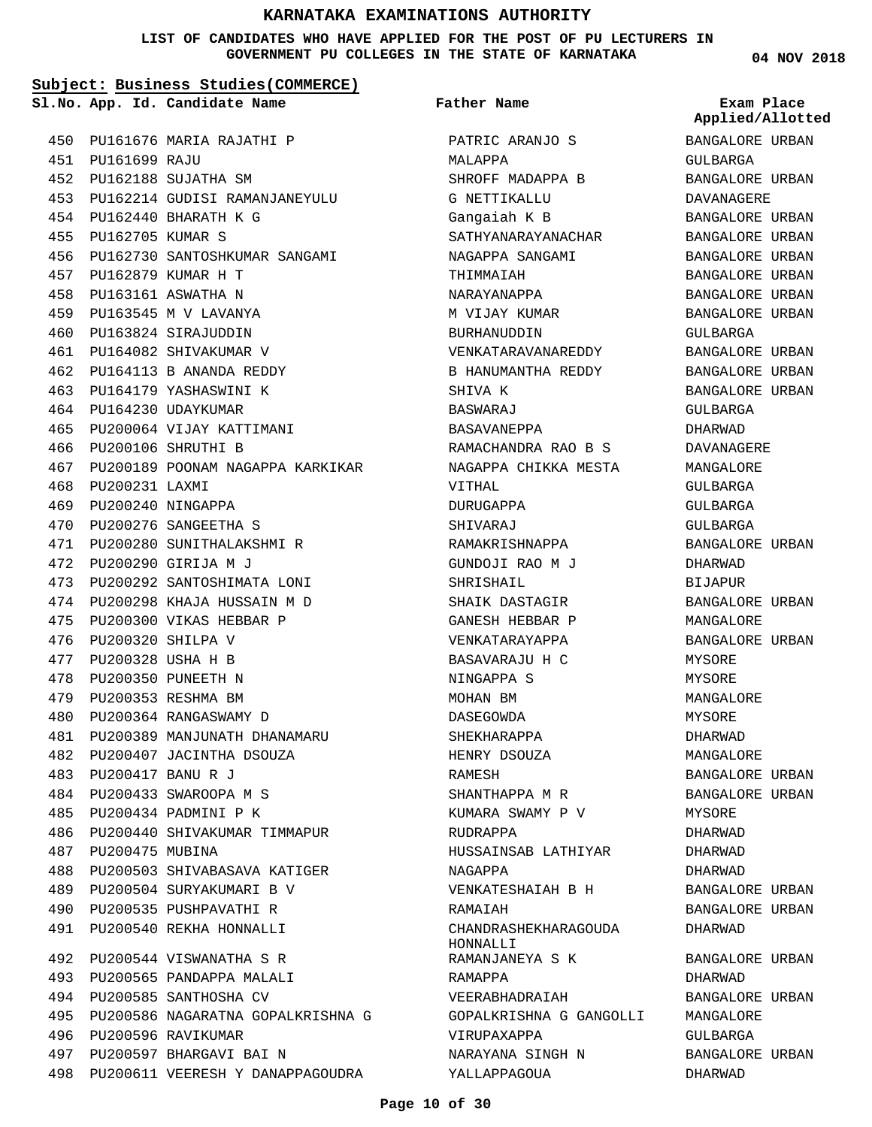**LIST OF CANDIDATES WHO HAVE APPLIED FOR THE POST OF PU LECTURERS IN GOVERNMENT PU COLLEGES IN THE STATE OF KARNATAKA**

**Father Name**

#### **Subject: Business Studies(COMMERCE)**

**App. Id. Candidate Name Sl.No. Exam Place**

PU161676 MARIA RAJATHI P 450 PU161699 RAJU 451 PU162188 SUJATHA SM 452 PU162214 GUDISI RAMANJANEYULU 453 PU162440 BHARATH K G 454 PU162705 KUMAR S PU162730 SANTOSHKUMAR SANGAMI PU162879 KUMAR H T 457 PU163161 ASWATHA N 458 PU163545 M V LAVANYA 459 PU163824 SIRAJUDDIN 460 461 PU164082 SHIVAKUMAR V PU164113 B ANANDA REDDY 462 463 PU164179 YASHASWINI K 464 PU164230 UDAYKUMAR PU200064 VIJAY KATTIMANI PU200106 SHRUTHI B 466 PU200189 POONAM NAGAPPA KARKIKAR 468 PU200231 LAXMI PU200240 NINGAPPA PU200276 SANGEETHA S 470 PU200280 SUNITHALAKSHMI R 471 PU200290 GIRIJA M J 472 PU200292 SANTOSHIMATA LONI 473 PU200298 KHAJA HUSSAIN M D PU200300 VIKAS HEBBAR P 475 PU200320 SHILPA V 476 PU200328 USHA H B 477 PU200350 PUNEETH N 478 PU200353 RESHMA BM 479 PU200364 RANGASWAMY D 480 PU200389 MANJUNATH DHANAMARU 481 PU200407 JACINTHA DSOUZA 482 PU200417 BANU R J 483 PU200433 SWAROOPA M S 484 PU200434 PADMINI P K PU200440 SHIVAKUMAR TIMMAPUR 486 487 PU200475 MUBINA PU200503 SHIVABASAVA KATIGER 488 PU200504 SURYAKUMARI B V PU200535 PUSHPAVATHI R PU200540 REKHA HONNALLI 491 PU200544 VISWANATHA S R 492 PU200565 PANDAPPA MALALI 493 494 PU200585 SANTHOSHA CV PU200586 NAGARATNA GOPALKRISHNA G 495 496 PU200596 RAVIKUMAR PU200597 BHARGAVI BAI N 497 455 456 465 467 469 474 485 489 490

498 PU200611 VEERESH Y DANAPPAGOUDRA

PATRIC ARANJO S MALAPPA SHROFF MADAPPA B G NETTIKALLU Gangaiah K B SATHYANARAYANACHAR NAGAPPA SANGAMI THIMMAIAH NARAYANAPPA M VIJAY KUMAR BURHANUDDIN VENKATARAVANAREDDY B HANUMANTHA REDDY SHIVA K BASWARAJ BASAVANEPPA RAMACHANDRA RAO B S NAGAPPA CHIKKA MESTA VITHAL DURUGAPPA SHIVARAJ RAMAKRISHNAPPA GUNDOJI RAO M J SHRISHAIL SHAIK DASTAGIR GANESH HEBBAR P VENKATARAYAPPA BASAVARAJU H C NINGAPPA S MOHAN BM DASEGOWDA SHEKHARAPPA HENRY DSOUZA RAMESH SHANTHAPPA M R KUMARA SWAMY P V RUDRAPPA HUSSAINSAB LATHIYAR NAGAPPA VENKATESHAIAH B H **RAMATAH** CHANDRASHEKHARAGOUDA HONNALLI RAMANJANEYA S K RAMAPPA VEERABHADRAIAH GOPALKRISHNA G GANGOLLI VIRUPAXAPPA NARAYANA SINGH N

**04 NOV 2018**

BANGALORE URBAN GULBARGA BANGALORE URBAN DAVANAGERE BANGALORE URBAN BANGALORE URBAN BANGALORE URBAN BANGALORE URBAN BANGALORE URBAN BANGALORE URBAN GULBARGA BANGALORE URBAN BANGALORE URBAN BANGALORE URBAN GULBARGA DHARWAD DAVANAGERE MANGALORE GULBARGA GULBARGA GULBARGA BANGALORE URBAN DHARWAD BIJAPUR BANGALORE URBAN MANGALORE BANGALORE URBAN MYSORE. MYSORE MANGALORE MYSORE DHARWAD MANGALORE BANGALORE URBAN BANGALORE URBAN **MYSORE** DHARWAD DHARWAD DHARWAD BANGALORE URBAN BANGALORE URBAN DHARWAD BANGALORE URBAN DHARWAD BANGALORE URBAN MANGALORE GULBARGA BANGALORE URBAN DHARWAD **Applied/Allotted**

#### **Page 10 of 30**

YALLAPPAGOUA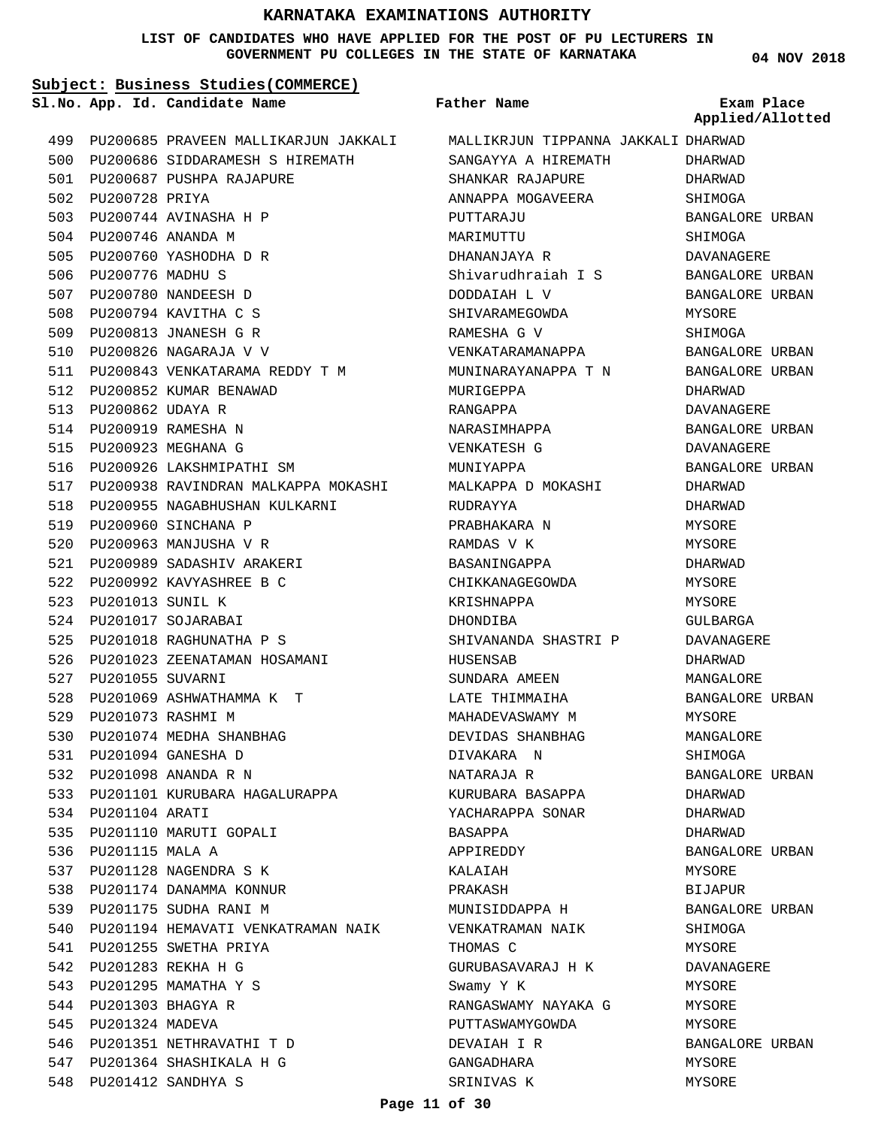#### **LIST OF CANDIDATES WHO HAVE APPLIED FOR THE POST OF PU LECTURERS IN GOVERNMENT PU COLLEGES IN THE STATE OF KARNATAKA**

**04 NOV 2018**

#### **Subject: Business Studies(COMMERCE)** 499 PU200685 PRAVEEN MALLIKARJUN JAKKALI MALLIKRJUN TIPPANNA JAKKALI DHARWAD 500 PU200686 SIDDARAMESH S HIREMATH 501 PU200687 PUSHPA RAJAPURE 502 PU200728 PRIYA 503 PU200744 AVINASHA H P PU200746 ANANDA M 504 505 PU200760 YASHODHA D R 506 PU200776 MADHU S 507 PU200780 NANDEESH D PU200794 KAVITHA C S 508 509 PU200813 JNANESH G R 510 PU200826 NAGARAJA V V PU200843 VENKATARAMA REDDY T M 511 512 PU200852 KUMAR BENAWAD 513 PU200862 UDAYA R PU200919 RAMESHA N 514 515 PU200923 MEGHANA G 516 PU200926 LAKSHMIPATHI SM 517 PU200938 RAVINDRAN MALKAPPA MOKASHI 518 PU200955 NAGABHUSHAN KULKARNI 519 PU200960 SINCHANA P 520 PU200963 MANJUSHA V R PU200989 SADASHIV ARAKERI 521 PU200992 KAVYASHREE B C 522 523 PU201013 SUNIL K 524 PU201017 SOJARABAI PU201018 RAGHUNATHA P S 525 526 PU201023 ZEENATAMAN HOSAMANI 527 PU201055 SUVARNI PU201069 ASHWATHAMMA K T 528 529 PU201073 RASHMI M PU201074 MEDHA SHANBHAG 530 PU201094 GANESHA D 531 PU201098 ANANDA R N 532 533 PU201101 KURUBARA HAGALURAPPA 534 PU201104 ARATI 535 PU201110 MARUTI GOPALI 536 PU201115 MALA A 537 PU201128 NAGENDRA S K 538 PU201174 DANAMMA KONNUR 539 PU201175 SUDHA RANI M 540 PU201194 HEMAVATI VENKATRAMAN NAIK 541 PU201255 SWETHA PRIYA PU201283 REKHA H G 542 543 PU201295 MAMATHA Y S 544 PU201303 BHAGYA R 545 PU201324 MADEVA 546 PU201351 NETHRAVATHI T D PU201364 SHASHIKALA H G 547 PU201412 SANDHYA S 548 **App. Id. Candidate Name Sl.No. Exam Place** SANGAYYA A HIREMATH SHANKAR RAJAPURE ANNAPPA MOGAVEERA PUTTARAJU MARIMUTTU DHANANJAYA R Shivarudhraiah I S DODDAIAH L V SHIVARAMEGOWDA RAMESHA G V VENKATARAMANAPPA MUNINARAYANAPPA T N MURIGEPPA RANGAPPA NARASIMHAPPA VENKATESH G MUNIYAPPA MALKAPPA D MOKASHI RUDRAYYA PRABHAKARA N RAMDAS V K BASANINGAPPA CHIKKANAGEGOWDA KRISHNAPPA DHONDIBA SHIVANANDA SHASTRI P HUSENSAB SUNDARA AMEEN LATE THIMMAIHA MAHADEVASWAMY M DEVIDAS SHANBHAG DIVAKARA N NATARAJA R KURUBARA BASAPPA YACHARAPPA SONAR BASAPPA APPIREDDY KALAIAH PRAKASH MUNISIDDAPPA H VENKATRAMAN NAIK THOMAS C GURUBASAVARAJ H K Swamy Y K RANGASWAMY NAYAKA G PUTTASWAMYGOWDA DEVAIAH I R GANGADHARA SRINIVAS K **Father Name** DHARWAD DHARWAD SHIMOGA BANGALORE URBAN SHIMOGA DAVANAGERE BANGALORE URBAN BANGALORE URBAN MYSORE SHIMOGA BANGALORE URBAN BANGALORE URBAN DHARWAD DAVANAGERE BANGALORE URBAN DAVANAGERE BANGALORE URBAN DHARWAD DHARWAD MYSORE MYSORE DHARWAD MYSORE. MYSORE GULBARGA DAVANAGERE DHARWAD MANGALORE BANGALORE URBAN MYSORE MANGALORE SHIMOGA BANGALORE URBAN DHARWAD DHARWAD DHARWAD BANGALORE URBAN MYSORE BIJAPUR BANGALORE URBAN SHIMOGA MYSORE DAVANAGERE **MYSORE** MYSORE MYSORE BANGALORE URBAN MYSORE MYSORE **Applied/Allotted**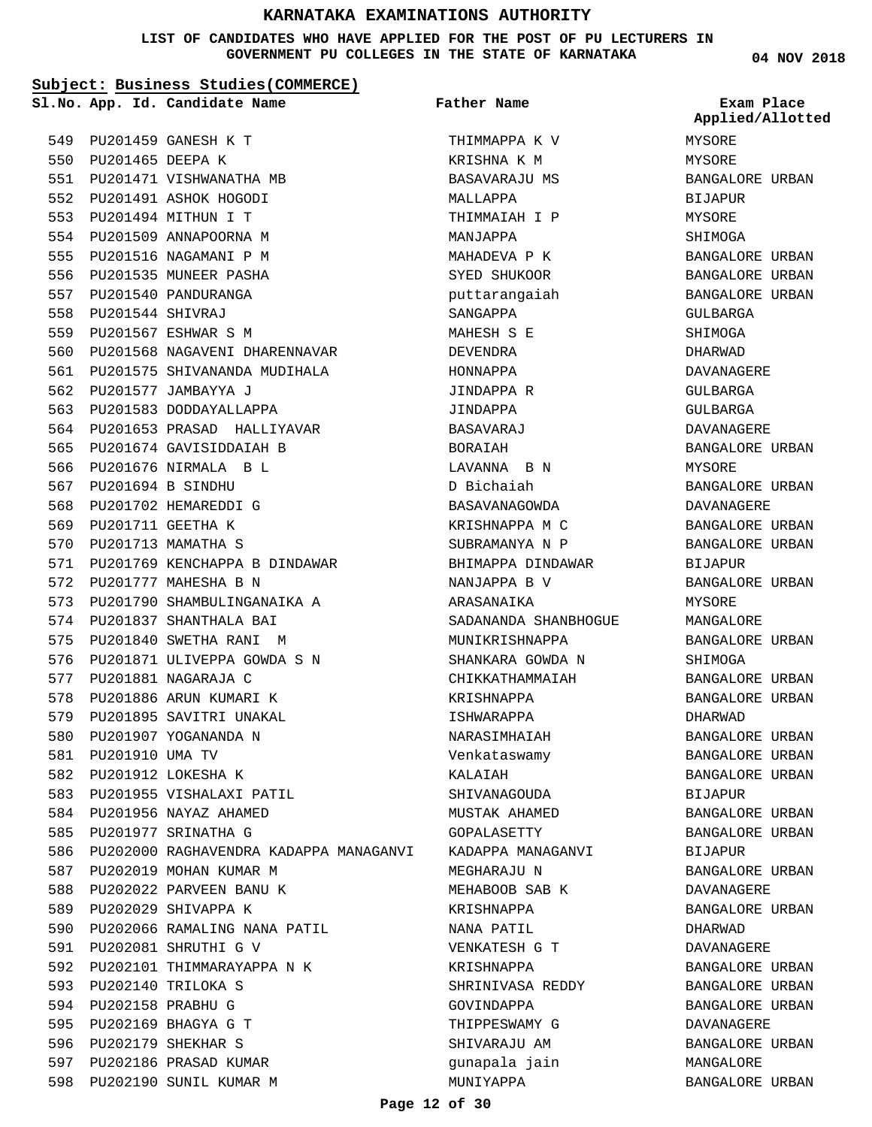#### **LIST OF CANDIDATES WHO HAVE APPLIED FOR THE POST OF PU LECTURERS IN GOVERNMENT PU COLLEGES IN THE STATE OF KARNATAKA**

**Subject: Business Studies(COMMERCE)**

**Father Name**

PU201459 GANESH K T 549 550 PU201465 DEEPA K 551 PU201471 VISHWANATHA MB 552 PU201491 ASHOK HOGODI PU201494 MITHUN I T 553 554 PU201509 ANNAPOORNA M 555 PU201516 NAGAMANI P M 556 PU201535 MUNEER PASHA 557 PU201540 PANDURANGA PU201544 SHIVRAJ 558 PU201567 ESHWAR S M 559 560 PU201568 NAGAVENI DHARENNAVAR 561 PU201575 SHIVANANDA MUDIHALA 562 PU201577 JAMBAYYA J 563 PU201583 DODDAYALLAPPA 564 PU201653 PRASAD HALLIYAVAR 565 PU201674 GAVISIDDAIAH B 566 PU201676 NIRMALA B L PU201694 B SINDHU 567 568 PU201702 HEMAREDDI G 569 PU201711 GEETHA K 570 PU201713 MAMATHA S 571 PU201769 KENCHAPPA B DINDAWAR 572 PU201777 MAHESHA B N 573 PU201790 SHAMBULINGANAIKA A 574 PU201837 SHANTHALA BAI 575 PU201840 SWETHA RANI M 576 PU201871 ULIVEPPA GOWDA S N 577 PU201881 NAGARAJA C 578 PU201886 ARUN KUMARI K 579 PU201895 SAVITRI UNAKAL 580 PU201907 YOGANANDA N 581 PU201910 UMA TV 582 PU201912 LOKESHA K 583 PU201955 VISHALAXI PATIL 584 PU201956 NAYAZ AHAMED 585 PU201977 SRINATHA G 586 PU202000 RAGHAVENDRA KADAPPA MANAGANVI 587 PU202019 MOHAN KUMAR M 588 PU202022 PARVEEN BANU K 589 PU202029 SHIVAPPA K 590 PU202066 RAMALING NANA PATIL PU202081 SHRUTHI G V 591 592 PU202101 THIMMARAYAPPA N K PU202140 TRILOKA S 593 594 PU202158 PRABHU G PU202169 BHAGYA G T 595 596 PU202179 SHEKHAR S 597 PU202186 PRASAD KUMAR 598 PU202190 SUNIL KUMAR M **App. Id. Candidate Name Sl.No. Exam Place**

THIMMAPPA K V KRISHNA K M BASAVARAJU MS MALLAPPA THIMMAIAH I P MANJAPPA MAHADEVA P K SYED SHUKOOR puttarangaiah SANGAPPA MAHESH S E DEVENDRA HONNAPPA JINDAPPA R JINDAPPA BASAVARAJ BORAIAH LAVANNA B N D Bichaiah BASAVANAGOWDA KRISHNAPPA M C SUBRAMANYA N P BHIMAPPA DINDAWAR NANJAPPA B V ARASANAIKA SADANANDA SHANBHOGUE MUNIKRISHNAPPA SHANKARA GOWDA N CHIKKATHAMMAIAH KRISHNAPPA ISHWARAPPA NARASIMHAIAH Venkataswamy KALAIAH SHIVANAGOUDA MUSTAK AHAMED GOPALASETTY KADAPPA MANAGANVI MEGHARAJU N MEHABOOB SAB K KRISHNAPPA NANA PATIL VENKATESH G T KRISHNAPPA SHRINIVASA REDDY GOVINDAPPA THIPPESWAMY G SHIVARAJU AM gunapala jain MUNIYAPPA

**04 NOV 2018**

MYSORE MYSORE BANGALORE URBAN BIJAPUR MYSORE SHIMOGA BANGALORE URBAN BANGALORE URBAN BANGALORE URBAN GULBARGA SHIMOGA DHARWAD DAVANAGERE GULBARGA GULBARGA DAVANAGERE BANGALORE URBAN MYSORE BANGALORE URBAN DAVANAGERE BANGALORE URBAN BANGALORE URBAN BIJAPUR BANGALORE URBAN MYSORE MANGALORE BANGALORE URBAN SHIMOGA BANGALORE URBAN BANGALORE URBAN DHARWAD BANGALORE URBAN BANGALORE URBAN BANGALORE URBAN BIJAPUR BANGALORE URBAN BANGALORE URBAN BIJAPUR BANGALORE URBAN DAVANAGERE BANGALORE URBAN DHARWAD DAVANAGERE BANGALORE URBAN BANGALORE URBAN BANGALORE URBAN DAVANAGERE BANGALORE URBAN MANGALORE BANGALORE URBAN **Applied/Allotted**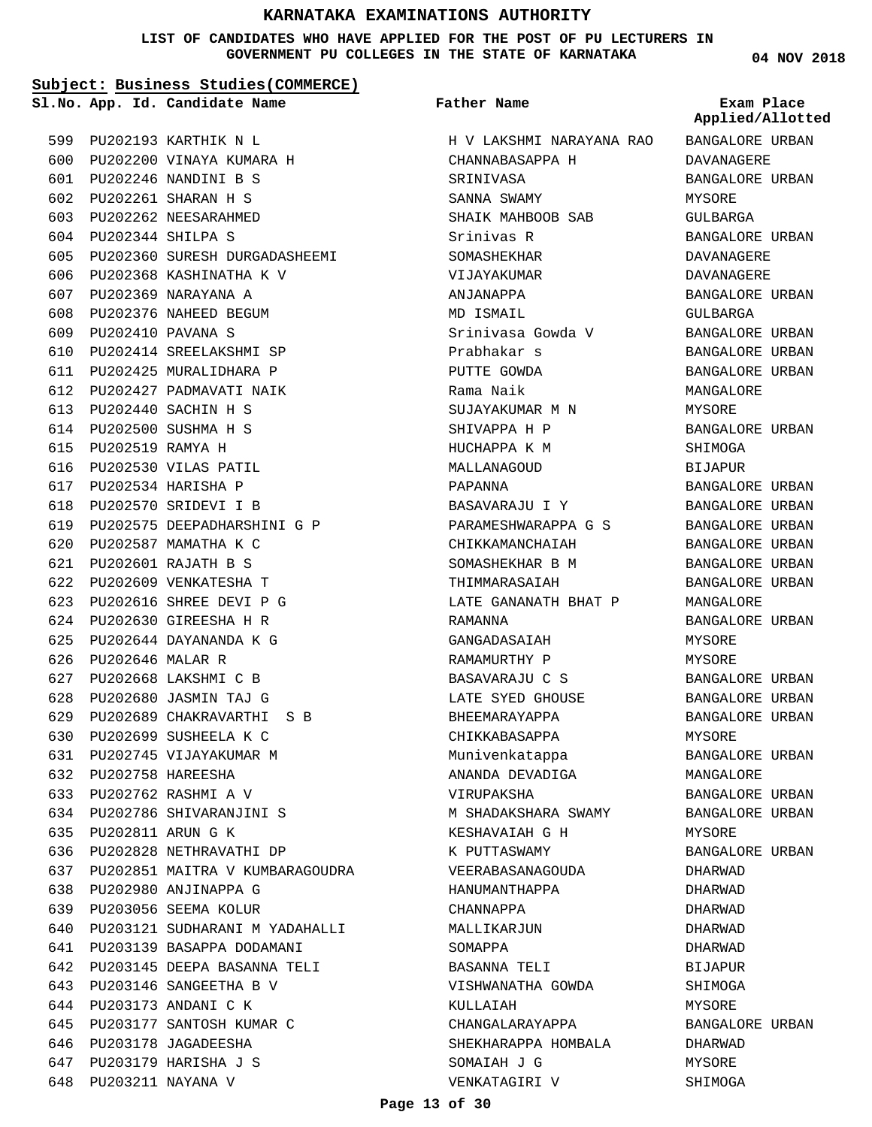**LIST OF CANDIDATES WHO HAVE APPLIED FOR THE POST OF PU LECTURERS IN GOVERNMENT PU COLLEGES IN THE STATE OF KARNATAKA**

**Subject: Business Studies(COMMERCE)**

PU202360 SURESH DURGADASHEEMI 605

606 PU202368 KASHINATHA K V PU202369 NARAYANA A 607 608 PU202376 NAHEED BEGUM PU202410 PAVANA S 609

PU202414 SREELAKSHMI SP 610 611 PU202425 MURALIDHARA P 612 PU202427 PADMAVATI NAIK PU202440 SACHIN H S 613 PU202500 SUSHMA H S 614 PU202519 RAMYA H 615 616 PU202530 VILAS PATIL PU202534 HARISHA P 617 PU202570 SRIDEVI I B 618

PU202575 DEEPADHARSHINI G P 619

PU202689 CHAKRAVARTHI S B 629

PU202699 SUSHEELA K C 630 631 PU202745 VIJAYAKUMAR M

PU202758 HAREESHA 632 PU202762 RASHMI A V 633 PU202786 SHIVARANJINI S 634

PU202811 ARUN G K 635

636 PU202828 NETHRAVATHI DP

PU202980 ANJINAPPA G 638 PU203056 SEEMA KOLUR 639

637 PU202851 MAITRA V KUMBARAGOUDRA

PU203121 SUDHARANI M YADAHALLI 640

641 PU203139 BASAPPA DODAMANI PU203145 DEEPA BASANNA TELI 642

PU203146 SANGEETHA B V 643 644 PU203173 ANDANI C K

646 PU203178 JAGADEESHA PU203179 HARISHA J S 647 648 PU203211 NAYANA V

PU203177 SANTOSH KUMAR C 645

PU202587 MAMATHA K C 620 PU202601 RAJATH B S 621 622 PU202609 VENKATESHA T PU202616 SHREE DEVI P G 623 PU202630 GIREESHA H R 624 PU202644 DAYANANDA K G 625

PU202646 MALAR R 626 PU202668 LAKSHMI C B 627 PU202680 JASMIN TAJ G 628

**App. Id. Candidate Name Sl.No. Exam Place**

PU202193 KARTHIK N L 599 PU202200 VINAYA KUMARA H 600 PU202246 NANDINI B S 601 PU202261 SHARAN H S 602 603 PU202262 NEESARAHMED PU202344 SHILPA S 604

# **Father Name**

H V LAKSHMI NARAYANA RAO CHANNABASAPPA H SRINIVASA SANNA SWAMY SHAIK MAHBOOB SAB Srinivas R SOMASHEKHAR VIJAYAKUMAR ANJANAPPA MD ISMAIL Srinivasa Gowda V Prabhakar s PUTTE GOWDA Rama Naik SUJAYAKUMAR M N SHIVAPPA H P HUCHAPPA K M MALLANAGOUD PAPANNA BASAVARAJU I Y PARAMESHWARAPPA G S CHIKKAMANCHAIAH SOMASHEKHAR B M THIMMARASAIAH LATE GANANATH BHAT P RAMANNA GANGADASAIAH RAMAMURTHY P BASAVARAJU C S LATE SYED GHOUSE BHEEMARAYAPPA CHIKKABASAPPA Munivenkatappa ANANDA DEVADIGA VIRUPAKSHA M SHADAKSHARA SWAMY KESHAVAIAH G H K PUTTASWAMY VEERABASANAGOUDA HANUMANTHAPPA CHANNAPPA MALLIKARJUN SOMAPPA BASANNA TELI VISHWANATHA GOWDA KULLAIAH CHANGALARAYAPPA SHEKHARAPPA HOMBALA SOMAIAH J G VENKATAGIRI V

**04 NOV 2018**

BANGALORE URBAN DAVANAGERE BANGALORE URBAN MYSORE GULBARGA BANGALORE URBAN DAVANAGERE DAVANAGERE BANGALORE URBAN GULBARGA BANGALORE URBAN BANGALORE URBAN BANGALORE URBAN MANGALORE MYSORE BANGALORE URBAN SHIMOGA **BIJAPUR** BANGALORE URBAN BANGALORE URBAN BANGALORE URBAN BANGALORE URBAN BANGALORE URBAN BANGALORE URBAN MANGALORE BANGALORE URBAN MYSORE MYSORE BANGALORE URBAN BANGALORE URBAN BANGALORE URBAN MYSORE BANGALORE URBAN MANGALORE BANGALORE URBAN BANGALORE URBAN MYSORE BANGALORE URBAN DHARWAD DHARWAD DHARWAD DHARWAD DHARWAD **BIJAPUR** SHIMOGA MYSORE BANGALORE URBAN DHARWAD MYSORE SHIMOGA **Applied/Allotted**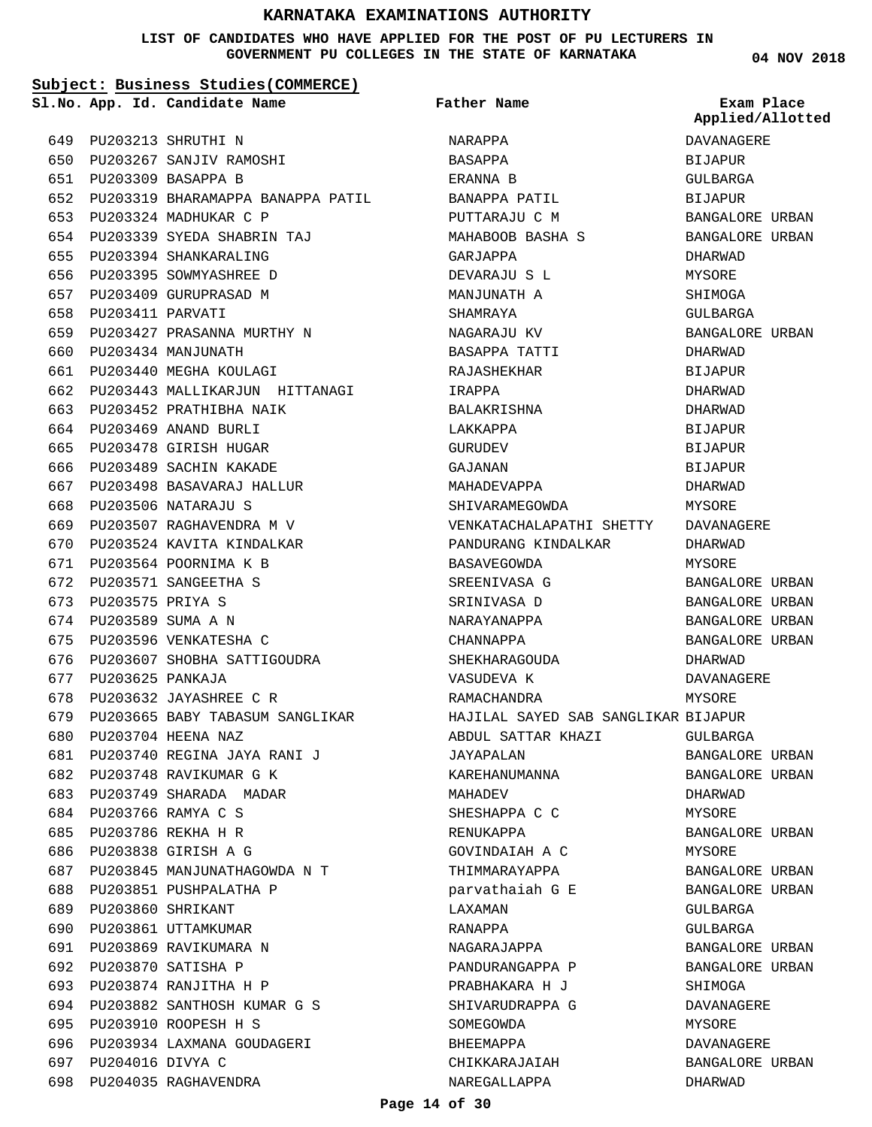### **LIST OF CANDIDATES WHO HAVE APPLIED FOR THE POST OF PU LECTURERS IN GOVERNMENT PU COLLEGES IN THE STATE OF KARNATAKA**

**04 NOV 2018**

|       |                       | Subject: Business Studies (COMMERCE)  |                                     |                                    |
|-------|-----------------------|---------------------------------------|-------------------------------------|------------------------------------|
|       |                       | Sl.No. App. Id. Candidate Name        | Father Name                         | Exam Place<br>Applied/Allotted     |
| 649   |                       | PU203213 SHRUTHI N                    | NARAPPA                             | DAVANAGERE                         |
|       |                       | 650 PU203267 SANJIV RAMOSHI           | BASAPPA                             | <b>BIJAPUR</b>                     |
|       |                       | 651 PU203309 BASAPPA B                | ERANNA B                            | GULBARGA                           |
|       |                       | 652 PU203319 BHARAMAPPA BANAPPA PATIL | BANAPPA PATIL                       | <b>BIJAPUR</b>                     |
| 653   |                       | PU203324 MADHUKAR C P                 | PUTTARAJU C M                       | BANGALORE URBAN                    |
|       |                       | 654 PU203339 SYEDA SHABRIN TAJ        | MAHABOOB BASHA S                    | BANGALORE URBAN                    |
| 655   |                       | PU203394 SHANKARALING                 | GARJAPPA                            | DHARWAD                            |
| 656   |                       | PU203395 SOWMYASHREE D                | DEVARAJU S L                        | MYSORE                             |
| 657   |                       | PU203409 GURUPRASAD M                 | MANJUNATH A                         | SHIMOGA                            |
|       | 658 PU203411 PARVATI  |                                       | SHAMRAYA                            | GULBARGA                           |
| 659   |                       | PU203427 PRASANNA MURTHY N            | NAGARAJU KV                         | BANGALORE URBAN                    |
| 660   |                       | PU203434 MANJUNATH                    | BASAPPA TATTI                       | DHARWAD                            |
| 661   |                       | PU203440 MEGHA KOULAGI                | RAJASHEKHAR                         | <b>BIJAPUR</b>                     |
|       |                       | 662 PU203443 MALLIKARJUN HITTANAGI    | IRAPPA                              | DHARWAD                            |
| 663   |                       | PU203452 PRATHIBHA NAIK               | BALAKRISHNA                         | DHARWAD                            |
|       |                       | 664 PU203469 ANAND BURLI              | LAKKAPPA                            | <b>BIJAPUR</b>                     |
| 665   |                       | PU203478 GIRISH HUGAR                 | GURUDEV                             | <b>BIJAPUR</b>                     |
|       |                       | 666 PU203489 SACHIN KAKADE            | GAJANAN                             | <b>BIJAPUR</b>                     |
|       |                       | 667 PU203498 BASAVARAJ HALLUR         | MAHADEVAPPA                         | DHARWAD                            |
| 668   |                       | PU203506 NATARAJU S                   | SHIVARAMEGOWDA                      | MYSORE                             |
| 669   |                       | PU203507 RAGHAVENDRA M V              | VENKATACHALAPATHI SHETTY            | DAVANAGERE                         |
| 670   |                       | PU203524 KAVITA KINDALKAR             | PANDURANG KINDALKAR                 | DHARWAD                            |
| 671   |                       |                                       |                                     |                                    |
| 672   |                       | PU203564 POORNIMA K B                 | BASAVEGOWDA                         | MYSORE                             |
| 673   | PU203575 PRIYA S      | PU203571 SANGEETHA S                  | SREENIVASA G                        | BANGALORE URBAN                    |
|       | 674 PU203589 SUMA A N |                                       | SRINIVASA D                         | BANGALORE URBAN<br>BANGALORE URBAN |
|       |                       |                                       | NARAYANAPPA                         |                                    |
| 675   |                       | PU203596 VENKATESHA C                 | CHANNAPPA                           | BANGALORE URBAN                    |
| 676   |                       | PU203607 SHOBHA SATTIGOUDRA           | SHEKHARAGOUDA                       | DHARWAD                            |
| 677   | PU203625 PANKAJA      |                                       | VASUDEVA K                          | DAVANAGERE                         |
| 678   |                       | PU203632 JAYASHREE C R                | RAMACHANDRA                         | MYSORE                             |
|       |                       | 679 PU203665 BABY TABASUM SANGLIKAR   | HAJILAL SAYED SAB SANGLIKAR BIJAPUR |                                    |
| 680 - |                       | PU203704 HEENA NAZ                    | ABDUL SATTAR KHAZI                  | GULBARGA                           |
| 681   |                       | PU203740 REGINA JAYA RANI J           | JAYAPALAN                           | BANGALORE URBAN                    |
|       |                       | 682 PU203748 RAVIKUMAR G K            | KAREHANUMANNA                       | BANGALORE URBAN                    |
|       |                       | 683 PU203749 SHARADA MADAR            | MAHADEV                             | DHARWAD                            |
|       |                       | 684 PU203766 RAMYA C S                | SHESHAPPA C C                       | MYSORE                             |
| 685   |                       | PU203786 REKHA H R                    | RENUKAPPA                           | BANGALORE URBAN                    |
|       |                       | 686 PU203838 GIRISH A G               | GOVINDAIAH A C                      | MYSORE                             |
|       |                       | 687 PU203845 MANJUNATHAGOWDA N T      | THIMMARAYAPPA                       | BANGALORE URBAN                    |
| 688   |                       | PU203851 PUSHPALATHA P                | parvathaiah G E                     | BANGALORE URBAN                    |
| 689   |                       | PU203860 SHRIKANT                     | LAXAMAN                             | GULBARGA                           |
| 690   |                       | PU203861 UTTAMKUMAR                   | RANAPPA                             | GULBARGA                           |
|       |                       | 691 PU203869 RAVIKUMARA N             | NAGARAJAPPA                         | BANGALORE URBAN                    |
| 692   |                       | PU203870 SATISHA P                    | PANDURANGAPPA P                     | BANGALORE URBAN                    |
| 693   |                       | PU203874 RANJITHA H P                 | PRABHAKARA H J                      | SHIMOGA                            |
|       |                       | 694 PU203882 SANTHOSH KUMAR G S       | SHIVARUDRAPPA G                     | DAVANAGERE                         |
|       |                       | 695 PU203910 ROOPESH H S              | SOMEGOWDA                           | MYSORE                             |
| 696   |                       | PU203934 LAXMANA GOUDAGERI            | BHEEMAPPA                           | DAVANAGERE                         |
| 697   | PU204016 DIVYA C      |                                       | CHIKKARAJAIAH                       | BANGALORE URBAN                    |
|       |                       | 698 PU204035 RAGHAVENDRA              | NAREGALLAPPA                        | DHARWAD                            |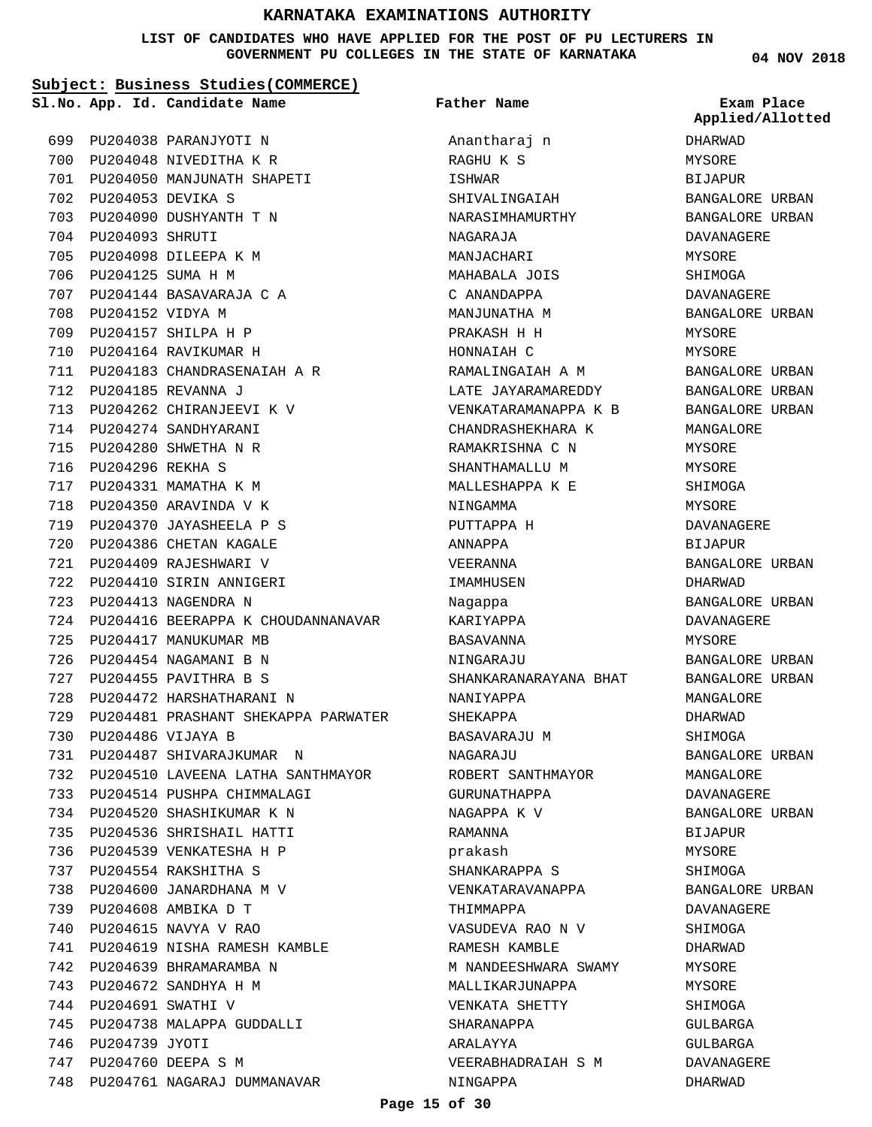#### **LIST OF CANDIDATES WHO HAVE APPLIED FOR THE POST OF PU LECTURERS IN GOVERNMENT PU COLLEGES IN THE STATE OF KARNATAKA**

**Subject: Business Studies(COMMERCE)**

699 PU204038 PARANJYOTI N 700 PU204048 NIVEDITHA K R

PU204090 DUSHYANTH T N 703

PU204144 BASAVARAJA C A 707

PU204262 CHIRANJEEVI K V 713 714 PU204274 SANDHYARANI PU204280 SHWETHA N R 715 PU204296 REKHA S 716 717 PU204331 MAMATHA K M 718 PU204350 ARAVINDA V K PU204370 JAYASHEELA P S 719 720 PU204386 CHETAN KAGALE 721 PU204409 RAJESHWARI V PU204410 SIRIN ANNIGERI 722 PU204413 NAGENDRA N 723

725 PU204417 MANUKUMAR MB 726 PU204454 NAGAMANI B N 727 PU204455 PAVITHRA B S PU204472 HARSHATHARANI N 728

PU204486 VIJAYA B 730

PU204487 SHIVARAJKUMAR N 731

PU204520 SHASHIKUMAR K N 734 PU204536 SHRISHAIL HATTI 735 736 PU204539 VENKATESHA H P PU204554 RAKSHITHA S 737 PU204600 JANARDHANA M V 738 PU204608 AMBIKA D T 739 PU204615 NAVYA V RAO 740

742 PU204639 BHRAMARAMBA N PU204672 SANDHYA H M 743 744 PU204691 SWATHI V

746 PU204739 JYOTI PU204760 DEEPA S M 747

745 PU204738 MALAPPA GUDDALLI

PU204098 DILEEPA K M 705 706 PU204125 SUMA H M

PU204053 DEVIKA S 702

704 PU204093 SHRUTI

708 PU204152 VIDYA M PU204157 SHILPA H P 709 PU204164 RAVIKUMAR H 710

PU204185 REVANNA J 712

**Father Name**

PU204050 MANJUNATH SHAPETI 701 PU204183 CHANDRASENAIAH A R 711 724 PU204416 BEERAPPA K CHOUDANNANAVAR PU204481 PRASHANT SHEKAPPA PARWATER 729 PU204510 LAVEENA LATHA SANTHMAYOR 732 733 PU204514 PUSHPA CHIMMALAGI PU204619 NISHA RAMESH KAMBLE 741 748 PU204761 NAGARAJ DUMMANAVAR **App. Id. Candidate Name Sl.No. Exam Place** Anantharaj n RAGHU K S ISHWAR SHIVALINGAIAH NARASIMHAMURTHY NAGARAJA MANJACHARI MAHABALA JOIS C ANANDAPPA MANJUNATHA M PRAKASH H H HONNAIAH C RAMALINGAIAH A M LATE JAYARAMAREDDY VENKATARAMANAPPA K B CHANDRASHEKHARA K RAMAKRISHNA C N SHANTHAMALLU M MALLESHAPPA K E NINGAMMA PUTTAPPA H ANNAPPA VEERANNA IMAMHUSEN Nagappa KARIYAPPA BASAVANNA NINGARAJU SHANKARANARAYANA BHAT NANIYAPPA SHEKAPPA BASAVARAJU M NAGARAJU ROBERT SANTHMAYOR GURUNATHAPPA NAGAPPA K V RAMANNA prakash SHANKARAPPA S VENKATARAVANAPPA THIMMAPPA VASUDEVA RAO N V RAMESH KAMBLE M NANDEESHWARA SWAMY MALLIKARJUNAPPA VENKATA SHETTY SHARANAPPA ARALAYYA VEERABHADRAIAH S M NINGAPPA

**04 NOV 2018**

| Exam Place<br>Applied/Allotted |       |
|--------------------------------|-------|
| DHARWAD                        |       |
| MYSORE                         |       |
| BIJAPUR                        |       |
| BANGALORE URBAN                |       |
| BANGALORE URBAN                |       |
| DAVANAGERE                     |       |
| MYSORE                         |       |
| SHIMOGA                        |       |
| <b>DAVANAGERE</b>              |       |
| BANGALORE URBAN                |       |
| MYSORE                         |       |
| MYSORE                         |       |
| <b>BANGALORE URBAN</b>         |       |
| <b>BANGALORE URBAN</b>         |       |
| BANGALORE                      | URBAN |
| MANGALORE                      |       |
| MYSORE                         |       |
| MYSORE                         |       |
| SHIMOGA                        |       |
| MYSORE                         |       |
| DAVANAGERE                     |       |
| BIJAPUR                        |       |
| BANGALORE URBAN                |       |
| DHARWAD                        |       |
| <b>BANGALORE URBAN</b>         |       |
| DAVANAGERE                     |       |
| MYSORE                         |       |
| BANGALORE URBAN                |       |
| BANGALORE URBAN                |       |
| MANGALORE                      |       |
| DHARWAD                        |       |
| SHIMOGA                        |       |
| <b>BANGALORE URBAN</b>         |       |
| MANGALORE                      |       |
| DAVANAGERE                     |       |
| <b>BANGALORE URBAN</b>         |       |
| <b>BIJAPUR</b>                 |       |
| MYSORE                         |       |
| SHIMOGA                        |       |
|                                |       |
| <b>BANGALORE URBAN</b>         |       |
| DAVANAGERE                     |       |
| SHIMOGA                        |       |
| DHARWAD                        |       |
| MYSORE                         |       |
| MYSORE                         |       |
| SHIMOGA                        |       |
| GULBARGA                       |       |
| GULBARGA                       |       |
| DAVANAGERE                     |       |
| DHARWAD                        |       |

#### **Page 15 of 30**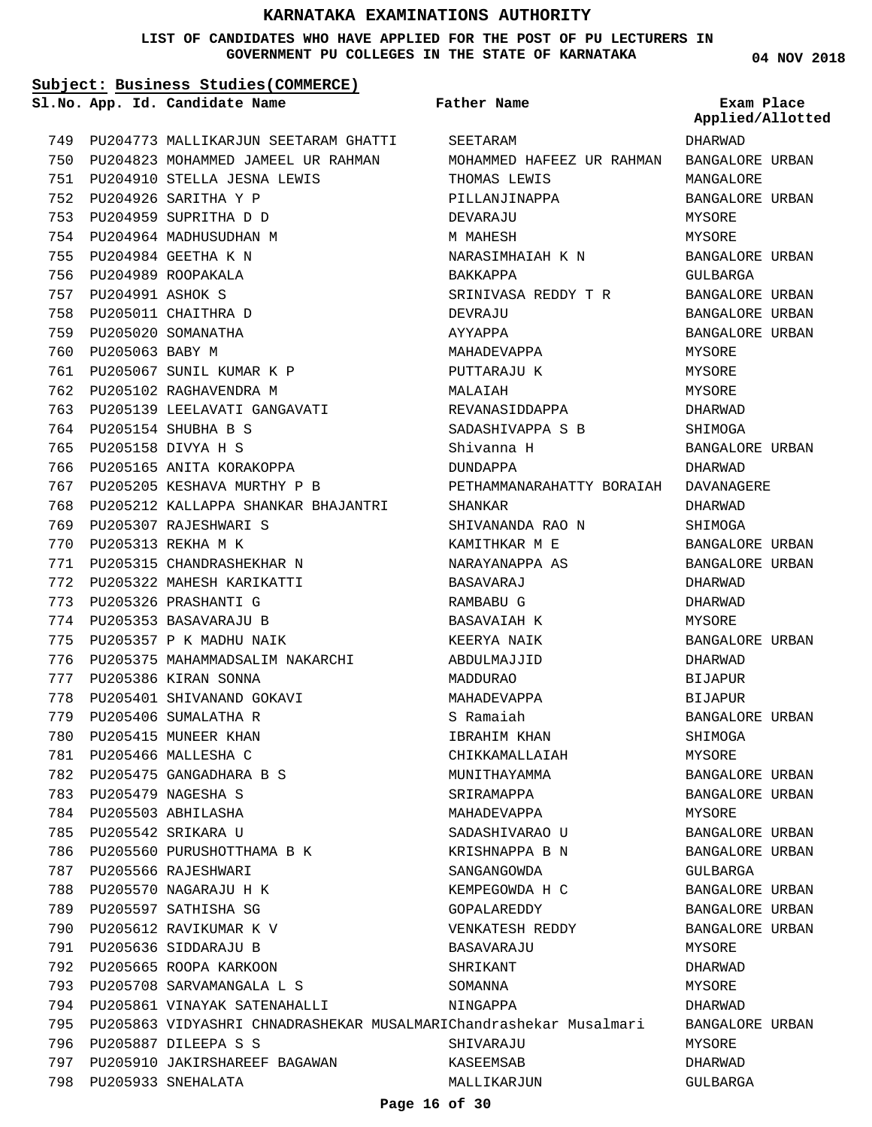#### **LIST OF CANDIDATES WHO HAVE APPLIED FOR THE POST OF PU LECTURERS IN GOVERNMENT PU COLLEGES IN THE STATE OF KARNATAKA**

**04 NOV 2018**

#### **Subject: Business Studies(COMMERCE)** 749 PU204773 MALLIKARJUN SEETARAM GHATTI 750 PU204823 MOHAMMED JAMEEL UR RAHMAN PU204910 STELLA JESNA LEWIS 751 PU204926 SARITHA Y P 752 PU204959 SUPRITHA D D 753 754 PU204964 MADHUSUDHAN M PU204984 GEETHA K N 755 PU204989 ROOPAKALA 756 PU204991 ASHOK S 757 758 PU205011 CHAITHRA D PU205020 SOMANATHA 759 760 PU205063 BABY M PU205067 SUNIL KUMAR K P 761 762 PU205102 RAGHAVENDRA M 763 PU205139 LEELAVATI GANGAVATI PU205154 SHUBHA B S 764 PU205158 DIVYA H S 765 766 PU205165 ANITA KORAKOPPA PU205205 KESHAVA MURTHY P B 767 768 PU205212 KALLAPPA SHANKAR BHAJANTRI 769 PU205307 RAJESHWARI S PU205313 REKHA M K 770 PU205315 CHANDRASHEKHAR N 771 PU205322 MAHESH KARIKATTI 772 773 PU205326 PRASHANTI G 774 PU205353 BASAVARAJU B 775 PU205357 P K MADHU NAIK 776 PU205375 MAHAMMADSALIM NAKARCHI PU205386 KIRAN SONNA 777 778 PU205401 SHIVANAND GOKAVI 779 PU205406 SUMALATHA R 780 PU205415 MUNEER KHAN PU205466 MALLESHA C 781 PU205475 GANGADHARA B S 782 PU205479 NAGESHA S 783 PU205503 ABHILASHA 784 PU205542 SRIKARA U 785 786 PU205560 PURUSHOTTHAMA B K 787 PU205566 RAJESHWARI 788 PU205570 NAGARAJU H K 789 PU205597 SATHISHA SG 790 PU205612 RAVIKUMAR K V PU205636 SIDDARAJU B 791 792 PU205665 ROOPA KARKOON PU205708 SARVAMANGALA L S 793 794 PU205861 VINAYAK SATENAHALLI 795 PU205863 VIDYASHRI CHNADRASHEKAR MUSALMARIChandrashekar Musalmari PU205887 DILEEPA S S 796 797 PU205910 JAKIRSHAREEF BAGAWAN PU205933 SNEHALATA 798 **App. Id. Candidate Name Sl.No. Exam Place** SEETARAM MOHAMMED HAFEEZ UR RAHMAN THOMAS LEWIS PILLANJINAPPA DEVARAJU M MAHESH NARASIMHAIAH K N BAKKAPPA SRINIVASA REDDY T R DEVRAJU AYYAPPA MAHADEVAPPA PUTTARAJU K MALAIAH REVANASIDDAPPA SADASHIVAPPA S B Shivanna H DUNDAPPA PETHAMMANARAHATTY BORAIAH DAVANAGERE SHANKAR SHIVANANDA RAO N KAMITHKAR M E NARAYANAPPA AS BASAVARAJ RAMBABU G BASAVAIAH K KEERYA NAIK ABDULMAJJID MADDURAO MAHADEVAPPA S Ramaiah IBRAHIM KHAN CHIKKAMALLAIAH MUNITHAYAMMA SRIRAMAPPA MAHADEVAPPA SADASHIVARAO U KRISHNAPPA B N SANGANGOWDA KEMPEGOWDA H C GOPALAREDDY VENKATESH REDDY BASAVARAJU **SHRIKANT** SOMANNA NINGAPPA SHIVARAJU KASEEMSAB MALLIKARJUN **Father Name** DHARWAD BANGALORE URBAN MANGALORE BANGALORE URBAN MYSORE MYSORE BANGALORE URBAN GULBARGA BANGALORE URBAN BANGALORE URBAN BANGALORE URBAN MYSORE MYSORE MYSORE DHARWAD SHIMOGA BANGALORE URBAN DHARWAD DHARWAD **SHIMOGA** BANGALORE URBAN BANGALORE URBAN DHARWAD DHARWAD MYSORE BANGALORE URBAN DHARWAD BIJAPUR BIJAPUR BANGALORE URBAN SHIMOGA MYSORE BANGALORE URBAN BANGALORE URBAN MYSORE BANGALORE URBAN BANGALORE URBAN GULBARGA BANGALORE URBAN BANGALORE URBAN BANGALORE URBAN MYSORE DHARWAD **MYSORE** DHARWAD BANGALORE URBAN MYSORE DHARWAD GULBARGA **Applied/Allotted**

#### **Page 16 of 30**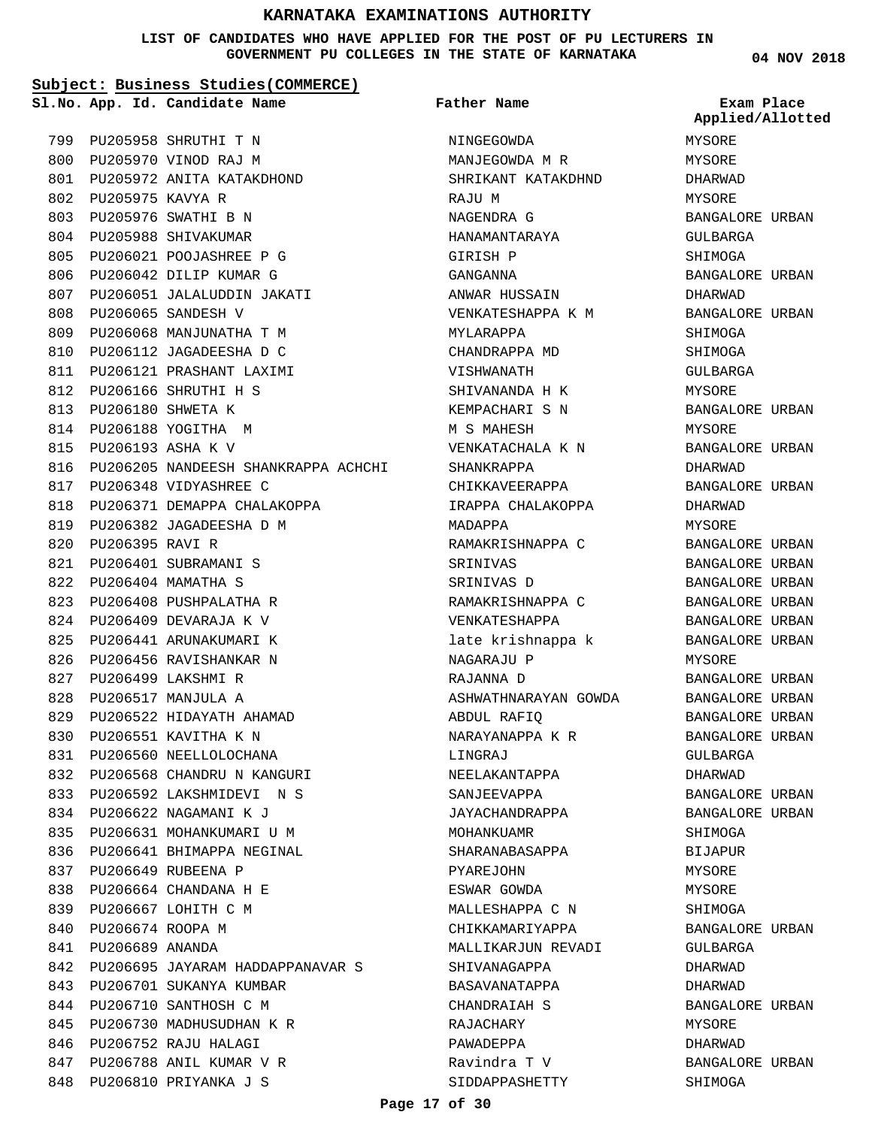#### **LIST OF CANDIDATES WHO HAVE APPLIED FOR THE POST OF PU LECTURERS IN GOVERNMENT PU COLLEGES IN THE STATE OF KARNATAKA**

**Subject: Business Studies(COMMERCE)**

**App. Id. Candidate Name Sl.No. Exam Place Father Name**

PU205958 SHRUTHI T N 799 PU205970 VINOD RAJ M 800 PU205972 ANITA KATAKDHOND 801 PU205975 KAVYA R 802 PU205976 SWATHI B N 803 804 PU205988 SHIVAKUMAR PU206021 POOJASHREE P G 805 806 PU206042 DILIP KUMAR G PU206051 JALALUDDIN JAKATI 807 PU206065 SANDESH V 808 PU206068 MANJUNATHA T M 809 810 PU206112 JAGADEESHA D C PU206121 PRASHANT LAXIMI 811 PU206166 SHRUTHI H S 812 PU206180 SHWETA K 813 814 PU206188 YOGITHA M PU206193 ASHA K V 815 816 PU206205 NANDEESH SHANKRAPPA ACHCHI 817 PU206348 VIDYASHREE C 818 PU206371 DEMAPPA CHALAKOPPA 819 PU206382 JAGADEESHA D M 820 PU206395 RAVI R PU206401 SUBRAMANI S 821 PU206404 MAMATHA S 822 823 PU206408 PUSHPALATHA R PU206409 DEVARAJA K V 824 825 PU206441 ARUNAKUMARI K 826 PU206456 RAVISHANKAR N PU206499 LAKSHMI R 827 PU206517 MANJULA A 828 PU206522 HIDAYATH AHAMAD 829 830 PU206551 KAVITHA K N 831 PU206560 NEELLOLOCHANA 832 PU206568 CHANDRU N KANGURI PU206592 LAKSHMIDEVI N S 833 834 PU206622 NAGAMANI K J 835 PU206631 MOHANKUMARI U M 836 PU206641 BHIMAPPA NEGINAL PU206649 RUBEENA P 837 PU206664 CHANDANA H E 838 839 PU206667 LOHITH C M 840 PU206674 ROOPA M PU206689 ANANDA 841 842 PU206695 JAYARAM HADDAPPANAVAR S 843 PU206701 SUKANYA KUMBAR 844 PU206710 SANTHOSH C M PU206730 MADHUSUDHAN K R 845 846 PU206752 RAJU HALAGI PU206788 ANIL KUMAR V R 847 848 PU206810 PRIYANKA J S

NINGEGOWDA MANJEGOWDA M R SHRIKANT KATAKDHND RAJU M NAGENDRA G HANAMANTARAYA GIRISH P GANGANNA ANWAR HUSSAIN VENKATESHAPPA K M MYLARAPPA CHANDRAPPA MD VISHWANATH SHIVANANDA H K KEMPACHARI S N M S MAHESH VENKATACHALA K N SHANKRAPPA CHIKKAVEERAPPA IRAPPA CHALAKOPPA MADAPPA RAMAKRISHNAPPA C SRINIVAS SRINIVAS D RAMAKRISHNAPPA C VENKATESHAPPA late krishnappa k NAGARAJU P RAJANNA D ASHWATHNARAYAN GOWDA ABDUL RAFIQ NARAYANAPPA K R LINGRAJ NEELAKANTAPPA SANJEEVAPPA JAYACHANDRAPPA MOHANKUAMR SHARANABASAPPA PYAREJOHN ESWAR GOWDA MALLESHAPPA C N CHIKKAMARIYAPPA MALLIKARJUN REVADI SHIVANAGAPPA BASAVANATAPPA CHANDRAIAH S RAJACHARY PAWADEPPA Ravindra T V SIDDAPPASHETTY

**04 NOV 2018**

MYSORE MYSORE DHARWAD MYSORE BANGALORE URBAN GULBARGA SHIMOGA BANGALORE URBAN DHARWAD BANGALORE URBAN SHIMOGA SHIMOGA GULBARGA MYSORE BANGALORE URBAN MYSORE BANGALORE URBAN DHARWAD BANGALORE URBAN DHARWAD **MYSORE** BANGALORE URBAN BANGALORE URBAN BANGALORE URBAN BANGALORE URBAN BANGALORE URBAN BANGALORE URBAN MYSORE BANGALORE URBAN BANGALORE URBAN BANGALORE URBAN BANGALORE URBAN GULBARGA DHARWAD BANGALORE URBAN BANGALORE URBAN SHIMOGA BIJAPUR MYSORE MYSORE SHIMOGA BANGALORE URBAN GULBARGA DHARWAD DHARWAD BANGALORE URBAN MYSORE DHARWAD BANGALORE URBAN SHIMOGA **Applied/Allotted**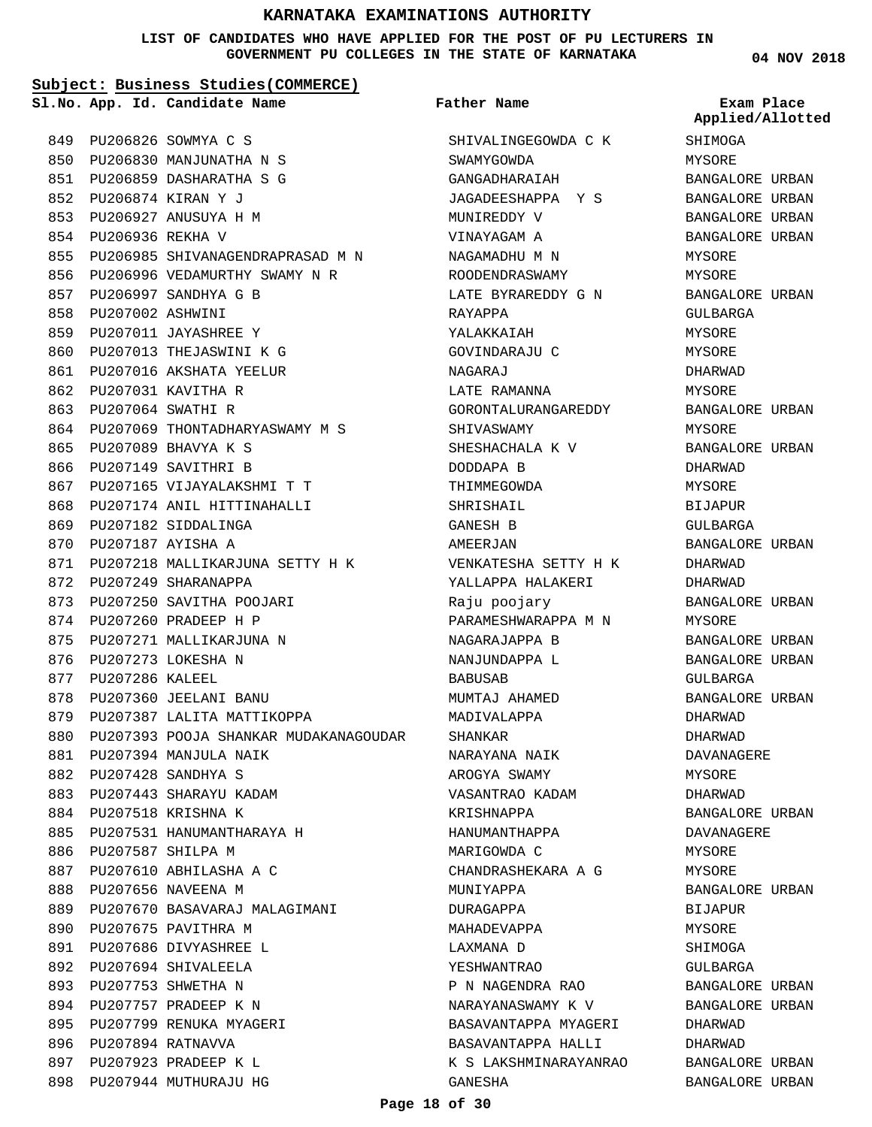**LIST OF CANDIDATES WHO HAVE APPLIED FOR THE POST OF PU LECTURERS IN GOVERNMENT PU COLLEGES IN THE STATE OF KARNATAKA**

#### **Subject: Business Studies(COMMERCE)**

855 PU206985 SHIVANAGENDRAPRASAD M N 856 PU206996 VEDAMURTHY SWAMY N R

864 PU207069 THONTADHARYASWAMY M S

871 PU207218 MALLIKARJUNA SETTY H K

PU207165 VIJAYALAKSHMI T T 867 868 PU207174 ANIL HITTINAHALLI

**App. Id. Candidate Name Sl.No. Exam Place**

PU206826 SOWMYA C S 849 PU206830 MANJUNATHA N S 850 PU206859 DASHARATHA S G 851

PU206874 KIRAN Y J 852 PU206927 ANUSUYA H M 853 854 PU206936 REKHA V

PU206997 SANDHYA G B 857 858 PU207002 ASHWINI PU207011 JAYASHREE Y 859 860 PU207013 THEJASWINI K G 861 PU207016 AKSHATA YEELUR

PU207031 KAVITHA R 862 PU207064 SWATHI R 863

PU207089 BHAVYA K S 865 866 PU207149 SAVITHRI B

869 PU207182 SIDDALINGA 870 PU207187 AYISHA A

872 PU207249 SHARANAPPA

876 PU207273 LOKESHA N 877 PU207286 KALEEL

878 PU207360 JEELANI BANU

PU207394 MANJULA NAIK 881 PU207428 SANDHYA S 882 883 PU207443 SHARAYU KADAM 884 PU207518 KRISHNA K

886 PU207587 SHILPA M

889

890 PU207675 PAVITHRA M 891 PU207686 DIVYASHREE L 892 PU207694 SHIVALEELA PU207753 SHWETHA N 893 894 PU207757 PRADEEP K N 895 PU207799 RENUKA MYAGERI

896 PU207894 RATNAVVA 897 PU207923 PRADEEP K L 898 PU207944 MUTHURAJU HG

879 PU207387 LALITA MATTIKOPPA

885 PU207531 HANUMANTHARAYA H

887 PU207610 ABHILASHA A C 888 PU207656 NAVEENA M

880 PU207393 POOJA SHANKAR MUDAKANAGOUDAR

PU207670 BASAVARAJ MALAGIMANI

873 PU207250 SAVITHA POOJARI 874 PU207260 PRADEEP H P 875 PU207271 MALLIKARJUNA N

**Father Name**

SHIVALINGEGOWDA C K SWAMYGOWDA GANGADHARAIAH JAGADEESHAPPA Y S MUNIREDDY V VINAYAGAM A NAGAMADHU M N ROODENDRASWAMY LATE BYRAREDDY G N RAYAPPA YALAKKAIAH GOVINDARAJU C NAGARAJ LATE RAMANNA GORONTALURANGAREDDY SHIVASWAMY SHESHACHALA K V DODDAPA B THIMMEGOWDA SHRISHAIL GANESH B AMEERJAN VENKATESHA SETTY H K YALLAPPA HALAKERI Raju poojary PARAMESHWARAPPA M N NAGARAJAPPA B NANJUNDAPPA L BABUSAB MUMTAJ AHAMED MADIVALAPPA SHANKAR NARAYANA NAIK AROGYA SWAMY VASANTRAO KADAM KRISHNAPPA HANUMANTHAPPA MARIGOWDA C CHANDRASHEKARA A G MUNIYAPPA DURAGAPPA MAHADEVAPPA LAXMANA D YESHWANTRAO P N NAGENDRA RAO NARAYANASWAMY K V BASAVANTAPPA MYAGERI BASAVANTAPPA HALLI K S LAKSHMINARAYANRAO GANESHA

**04 NOV 2018**

SHIMOGA MYSORE BANGALORE URBAN BANGALORE URBAN BANGALORE URBAN BANGALORE URBAN MYSORE MYSORE BANGALORE URBAN GULBARGA MYSORE. MYSORE DHARWAD MYSORE BANGALORE URBAN MYSORE BANGALORE URBAN DHARWAD MYSORE BIJAPUR GULBARGA BANGALORE URBAN DHARWAD DHARWAD BANGALORE URBAN MYSORE BANGALORE URBAN BANGALORE URBAN GULBARGA BANGALORE URBAN DHARWAD DHARWAD DAVANAGERE MYSORE DHARWAD BANGALORE URBAN DAVANAGERE MYSORE MYSORE BANGALORE URBAN BIJAPUR MYSORE SHIMOGA GULBARGA BANGALORE URBAN BANGALORE URBAN DHARWAD DHARWAD BANGALORE URBAN BANGALORE URBAN **Applied/Allotted**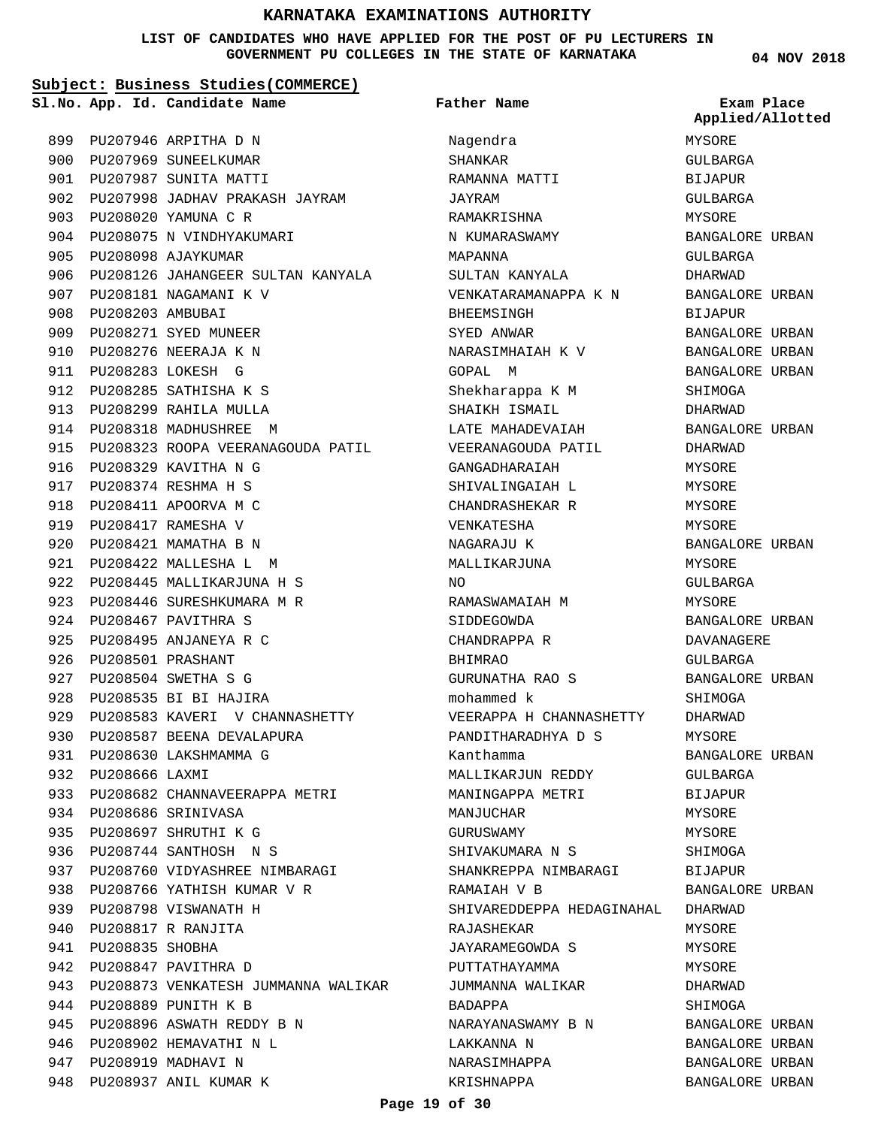#### **LIST OF CANDIDATES WHO HAVE APPLIED FOR THE POST OF PU LECTURERS IN GOVERNMENT PU COLLEGES IN THE STATE OF KARNATAKA**

**04 NOV 2018**

**Applied/Allotted**

MYSORE GULBARGA BIJAPUR GULBARGA

#### **Subject: Business Studies(COMMERCE)**

PU207946 ARPITHA D N 899 900 PU207969 SUNEELKUMAR 901 PU207987 SUNITA MATTI 902 PU207998 JADHAV PRAKASH JAYRAM PU208020 YAMUNA C R 903 904 PU208075 N VINDHYAKUMARI PU208098 AJAYKUMAR 905 906 PU208126 JAHANGEER SULTAN KANYALA 907 PU208181 NAGAMANI K V 908 **PU208203 AMBUBAI** PU208271 SYED MUNEER 909 910 PU208276 NEERAJA K N PU208283 LOKESH G 911 PU208285 SATHISHA K S 912 913 PU208299 RAHILA MULLA 914 PU208318 MADHUSHREE M 915 PU208323 ROOPA VEERANAGOUDA PATIL 916 PU208329 KAVITHA N G PU208374 RESHMA H S 917 918 PU208411 APOORVA M C PU208417 RAMESHA V 919 920 PU208421 MAMATHA B N PU208422 MALLESHA L M 921 PU208445 MALLIKARJUNA H S 922 923 PU208446 SURESHKUMARA M R 924 PU208467 PAVITHRA S PU208495 ANJANEYA R C 925 PU208501 PRASHANT 926 PU208504 SWETHA S G 927 928 PU208535 BI BI HAJIRA 929 PU208583 KAVERI V CHANNASHETTY 930 PU208587 BEENA DEVALAPURA 931 PU208630 LAKSHMAMMA G 932 PU208666 LAXMI 933 PU208682 CHANNAVEERAPPA METRI PU208686 SRINIVASA 934 PU208697 SHRUTHI K G 935 PU208744 SANTHOSH N S 936 937 PU208760 VIDYASHREE NIMBARAGI 938 PU208766 YATHISH KUMAR V R 939 PU208798 VISWANATH H PU208817 R RANJITA 940 941 PU208835 SHOBHA 942 PU208847 PAVITHRA D 943 PU208873 VENKATESH JUMMANNA WALIKAR 944 PU208889 PUNITH K B PU208896 ASWATH REDDY B N 945 946 PU208902 HEMAVATHI N L 947 PU208919 MADHAVI N 948 PU208937 ANIL KUMAR K

**App. Id. Candidate Name Sl.No. Exam Place** Nagendra SHANKAR RAMANNA MATTI JAYRAM RAMAKRISHNA N KUMARASWAMY MAPANNA SULTAN KANYALA VENKATARAMANAPPA K N BHEEMSINGH SYED ANWAR NARASIMHAIAH K V GOPAL M Shekharappa K M SHAIKH ISMAIL LATE MAHADEVAIAH VEERANAGOUDA PATIL GANGADHARAIAH SHIVALINGAIAH L CHANDRASHEKAR R VENKATESHA NAGARAJU K MALLIKARJUNA NO RAMASWAMAIAH M SIDDEGOWDA CHANDRAPPA R BHIMRAO GURUNATHA RAO S mohammed k VEERAPPA H CHANNASHETTY PANDITHARADHYA D S Kanthamma MALLIKARJUN REDDY MANINGAPPA METRI MANJUCHAR GURUSWAMY SHIVAKUMARA N S SHANKREPPA NIMBARAGI RAMAIAH V B SHIVAREDDEPPA HEDAGINAHAL DHARWAD RAJASHEKAR JAYARAMEGOWDA S PUTTATHAYAMMA JUMMANNA WALIKAR BADAPPA NARAYANASWAMY B N LAKKANNA N NARASIMHAPPA KRISHNAPPA **Father Name**

MYSORE BANGALORE URBAN GULBARGA DHARWAD BANGALORE URBAN BIJAPUR BANGALORE URBAN BANGALORE URBAN BANGALORE URBAN SHIMOGA DHARWAD BANGALORE URBAN DHARWAD **MYSORE** MYSORE MYSORE MYSORE BANGALORE URBAN MYSORE GULBARGA MYSORE BANGALORE URBAN DAVANAGERE GULBARGA BANGALORE URBAN SHIMOGA DHARWAD MYSORE BANGALORE URBAN GULBARGA **BIJAPUR** MYSORE MYSORE SHIMOGA BIJAPUR BANGALORE URBAN MYSORE MYSORE MYSORE. DHARWAD SHIMOGA BANGALORE URBAN

BANGALORE URBAN BANGALORE URBAN BANGALORE URBAN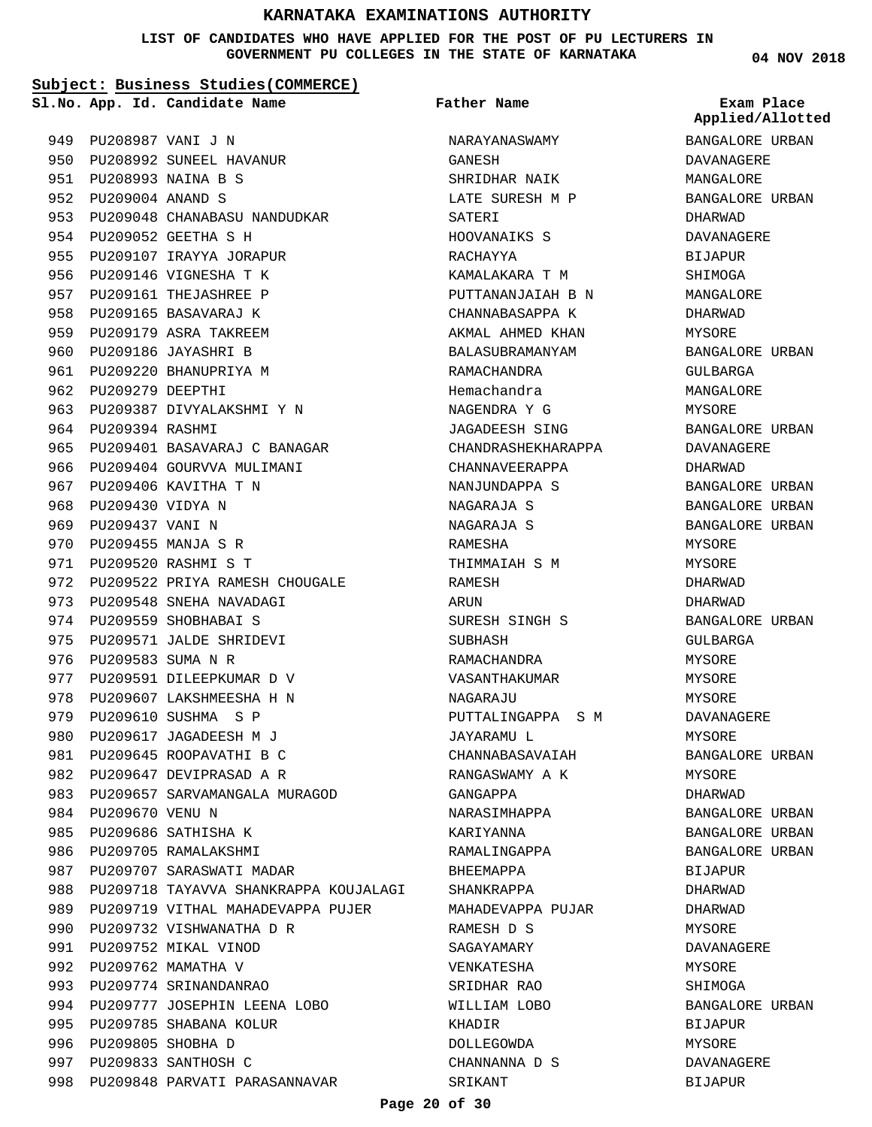**LIST OF CANDIDATES WHO HAVE APPLIED FOR THE POST OF PU LECTURERS IN GOVERNMENT PU COLLEGES IN THE STATE OF KARNATAKA**

#### **Subject: Business Studies(COMMERCE)**

**App. Id. Candidate Name Sl.No. Exam Place**

**Father Name**

PU208987 VANI J N 949 950 PU208992 SUNEEL HAVANUR PU208993 NAINA B S 951 PU209004 ANAND S 952 953 PU209048 CHANABASU NANDUDKAR PU209052 GEETHA S H 954 955 PU209107 IRAYYA JORAPUR 956 PU209146 VIGNESHA T K 957 PU209161 THEJASHREE P 958 PU209165 BASAVARAJ K 959 PU209179 ASRA TAKREEM 960 PU209186 JAYASHRI B 961 PU209220 BHANUPRIYA M 962 PU209279 DEEPTHI 963 PU209387 DIVYALAKSHMI Y N 964 PU209394 RASHMI PU209401 BASAVARAJ C BANAGAR 965 966 PU209404 GOURVVA MULIMANI 967 PU209406 KAVITHA T N 968 PU209430 VIDYA N 969 PU209437 VANI N PU209455 MANJA S R 970 PU209520 RASHMI S T 971 972 PU209522 PRIYA RAMESH CHOUGALE 973 PU209548 SNEHA NAVADAGI 974 PU209559 SHOBHABAI S 975 PU209571 JALDE SHRIDEVI 976 PU209583 SUMA N R 977 PU209591 DILEEPKUMAR D V 978 PU209607 LAKSHMEESHA H N 979 PU209610 SUSHMA S P 980 PU209617 JAGADEESH M J 981 PU209645 ROOPAVATHI B C 982 PU209647 DEVIPRASAD A R 983 PU209657 SARVAMANGALA MURAGOD 984 PU209670 VENU N 985 PU209686 SATHISHA K 986 PU209705 RAMALAKSHMI 987 PU209707 SARASWATI MADAR 988 PU209718 TAYAVVA SHANKRAPPA KOUJALAGI PU209719 VITHAL MAHADEVAPPA PUJER 990 PU209732 VISHWANATHA D R 991 PU209752 MIKAL VINOD 992 PU209762 MAMATHA V 993 PU209774 SRINANDANRAO 994 PU209777 JOSEPHIN LEENA LOBO 995 PU209785 SHABANA KOLUR 996 PU209805 SHOBHA D 997 PU209833 SANTHOSH C 998 PU209848 PARVATI PARASANNAVAR 989

NARAYANASWAMY GANESH SHRIDHAR NAIK LATE SURESH M P SATERI HOOVANAIKS S RACHAYYA KAMALAKARA T M PUTTANANJAJAH B N CHANNABASAPPA K AKMAL AHMED KHAN BALASUBRAMANYAM RAMACHANDRA Hemachandra NAGENDRA Y G JAGADEESH SING CHANDRASHEKHARAPPA CHANNAVEERAPPA NANJUNDAPPA S NAGARAJA S NAGARAJA S RAMESHA THIMMAIAH S M RAMESH ARUN SURESH SINGH S **SUBHASH** RAMACHANDRA VASANTHAKUMAR NAGARAJU PUTTALINGAPPA S M JAYARAMU L CHANNABASAVAIAH RANGASWAMY A K GANGAPPA NARASIMHAPPA KARIYANNA RAMALINGAPPA BHEEMAPPA SHANKRAPPA MAHADEVAPPA PUJAR RAMESH D S SAGAYAMARY VENKATESHA SRIDHAR RAO WILLIAM LOBO KHADIR DOLLEGOWDA CHANNANNA D S SRIKANT

#### **04 NOV 2018**

**Applied/Allotted**

BANGALORE URBAN DAVANAGERE MANGALORE BANGALORE URBAN DHARWAD DAVANAGERE BIJAPUR SHIMOGA MANGALORE DHARWAD MYSORE BANGALORE URBAN GULBARGA MANGALORE MYSORE BANGALORE URBAN DAVANAGERE DHARWAD BANGALORE URBAN BANGALORE URBAN BANGALORE URBAN MYSORE MYSORE DHARWAD DHARWAD BANGALORE URBAN CIILBARGA MYSORE MYSORE MYSORE DAVANAGERE MYSORE BANGALORE URBAN MYSORE DHARWAD BANGALORE URBAN BANGALORE URBAN BANGALORE URBAN BIJAPUR DHARWAD DHARWAD MYSORE DAVANAGERE MYSORE **SHIMOGA** BANGALORE URBAN BIJAPUR MYSORE DAVANAGERE BIJAPUR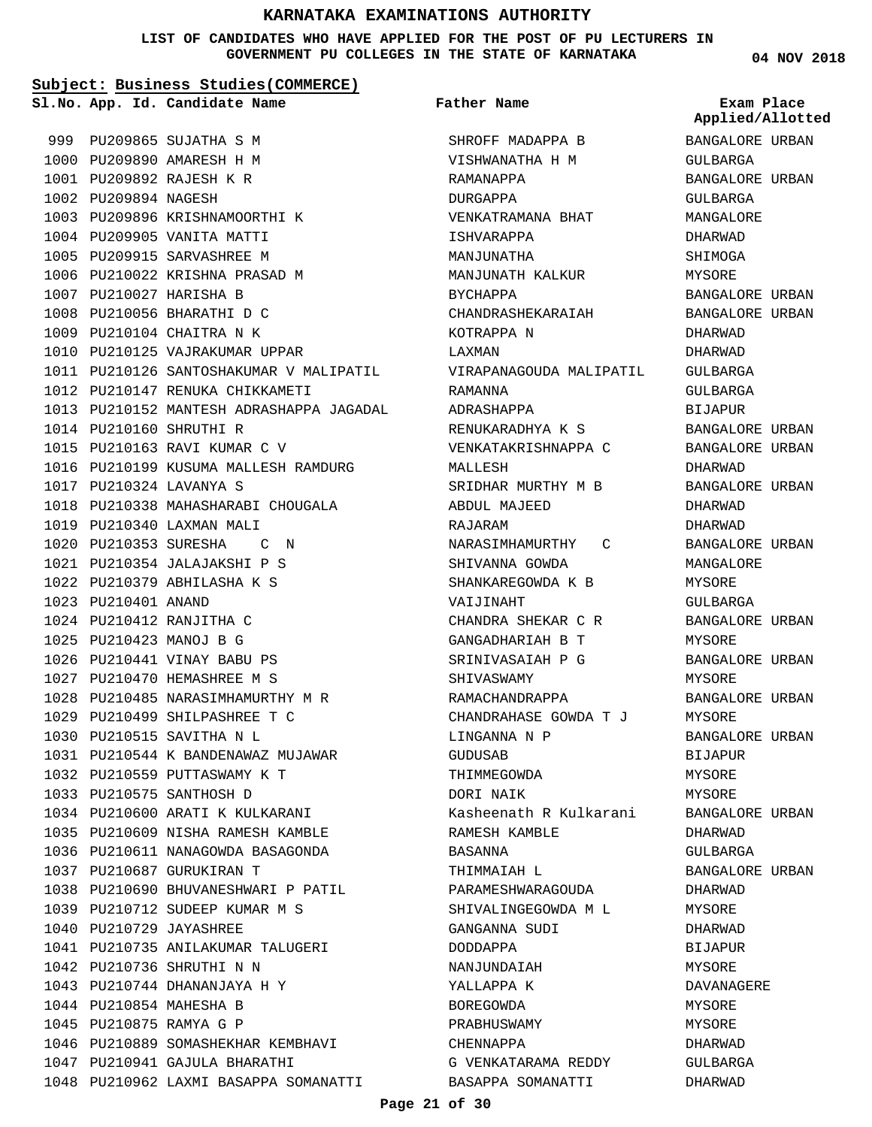#### **LIST OF CANDIDATES WHO HAVE APPLIED FOR THE POST OF PU LECTURERS IN GOVERNMENT PU COLLEGES IN THE STATE OF KARNATAKA**

**Subject: Business Studies(COMMERCE)**

**Father Name**

999 PU209865 SUJATHA S M 1000 PU209890 AMARESH H M PU209892 RAJESH K R 1001 1002 PU209894 NAGESH 1003 PU209896 KRISHNAMOORTHI K 1004 PU209905 VANITA MATTI 1005 PU209915 SARVASHREE M 1006 PU210022 KRISHNA PRASAD M 1007 PU210027 HARISHA B 1008 PU210056 BHARATHI D C 1009 PU210104 CHAITRA N K 1010 PU210125 VAJRAKUMAR UPPAR 1011 PU210126 SANTOSHAKUMAR V MALIPATIL PU210147 RENUKA CHIKKAMETI 1012 1013 PU210152 MANTESH ADRASHAPPA JAGADAL 1014 PU210160 SHRUTHI R 1015 PU210163 RAVI KUMAR C V 1016 PU210199 KUSUMA MALLESH RAMDURG PU210324 LAVANYA S 1017 1018 PU210338 MAHASHARABI CHOUGALA 1019 PU210340 LAXMAN MALI 1020 PU210353 SURESHA C N 1021 PU210354 JALAJAKSHI P S PU210379 ABHILASHA K S 1022 PU210401 ANAND 1023 PU210412 RANJITHA C 1024 PU210423 MANOJ B G 1025 1026 PU210441 VINAY BABU PS PU210470 HEMASHREE M S 1027 1028 PU210485 NARASIMHAMURTHY M R 1029 PU210499 SHILPASHREE T C 1030 PU210515 SAVITHA N L PU210544 K BANDENAWAZ MUJAWAR 1031 1032 PU210559 PUTTASWAMY K T 1033 PU210575 SANTHOSH D 1034 PU210600 ARATI K KULKARANI 1035 PU210609 NISHA RAMESH KAMBLE 1036 PU210611 NANAGOWDA BASAGONDA PU210687 GURUKIRAN T 1037 1038 PU210690 BHUVANESHWARI P PATIL 1039 PU210712 SUDEEP KUMAR M S 1040 PU210729 JAYASHREE 1041 PU210735 ANILAKUMAR TALUGERI PU210736 SHRUTHI N N 1042 1043 PU210744 DHANANJAYA H Y 1044 PU210854 MAHESHA B PU210875 RAMYA G P 1045 1046 PU210889 SOMASHEKHAR KEMBHAVI 1047 PU210941 GAJULA BHARATHI 1048 PU210962 LAXMI BASAPPA SOMANATTI **App. Id. Candidate Name Sl.No. Exam Place**

SHROFF MADAPPA B VISHWANATHA H M RAMANAPPA DURGAPPA VENKATRAMANA BHAT ISHVARAPPA MANJUNATHA MANJUNATH KALKUR BYCHAPPA CHANDRASHEKARAIAH KOTRAPPA N LAXMAN VIRAPANAGOUDA MALIPATIL RAMANNA ADRASHAPPA RENUKARADHYA K S VENKATAKRISHNAPPA C MALLESH SRIDHAR MURTHY M B ABDUL MAJEED RAJARAM NARASIMHAMURTHY C SHIVANNA GOWDA SHANKAREGOWDA K B VAIJINAHT CHANDRA SHEKAR C R GANGADHARIAH B T SRINIVASAIAH P G SHIVASWAMY RAMACHANDRAPPA CHANDRAHASE GOWDA T J LINGANNA N P GUDUSAB THIMMEGOWDA DORI NAIK Kasheenath R Kulkarani RAMESH KAMBLE BASANNA THIMMAIAH L PARAMESHWARAGOUDA SHIVALINGEGOWDA M L GANGANNA SUDI DODDAPPA NANJUNDAIAH YALLAPPA K BOREGOWDA PRABHUSWAMY CHENNAPPA G VENKATARAMA REDDY BASAPPA SOMANATTI

**04 NOV 2018**

BANGALORE URBAN GULBARGA BANGALORE URBAN GULBARGA MANGALORE DHARWAD SHIMOGA MYSORE BANGALORE URBAN BANGALORE URBAN DHARWAD DHARWAD GULBARGA GULBARGA BIJAPUR BANGALORE URBAN BANGALORE URBAN DHARWAD BANGALORE URBAN DHARWAD DHARWAD BANGALORE URBAN MANGALORE MYSORE GULBARGA BANGALORE URBAN MYSORE BANGALORE URBAN MYSORE BANGALORE URBAN MYSORE BANGALORE URBAN BIJAPUR MYSORE **MYSORE** BANGALORE URBAN DHARWAD GULBARGA BANGALORE URBAN DHARWAD MYSORE DHARWAD BIJAPUR MYSORE. DAVANAGERE MYSORE MYSORE DHARWAD GULBARGA DHARWAD **Applied/Allotted**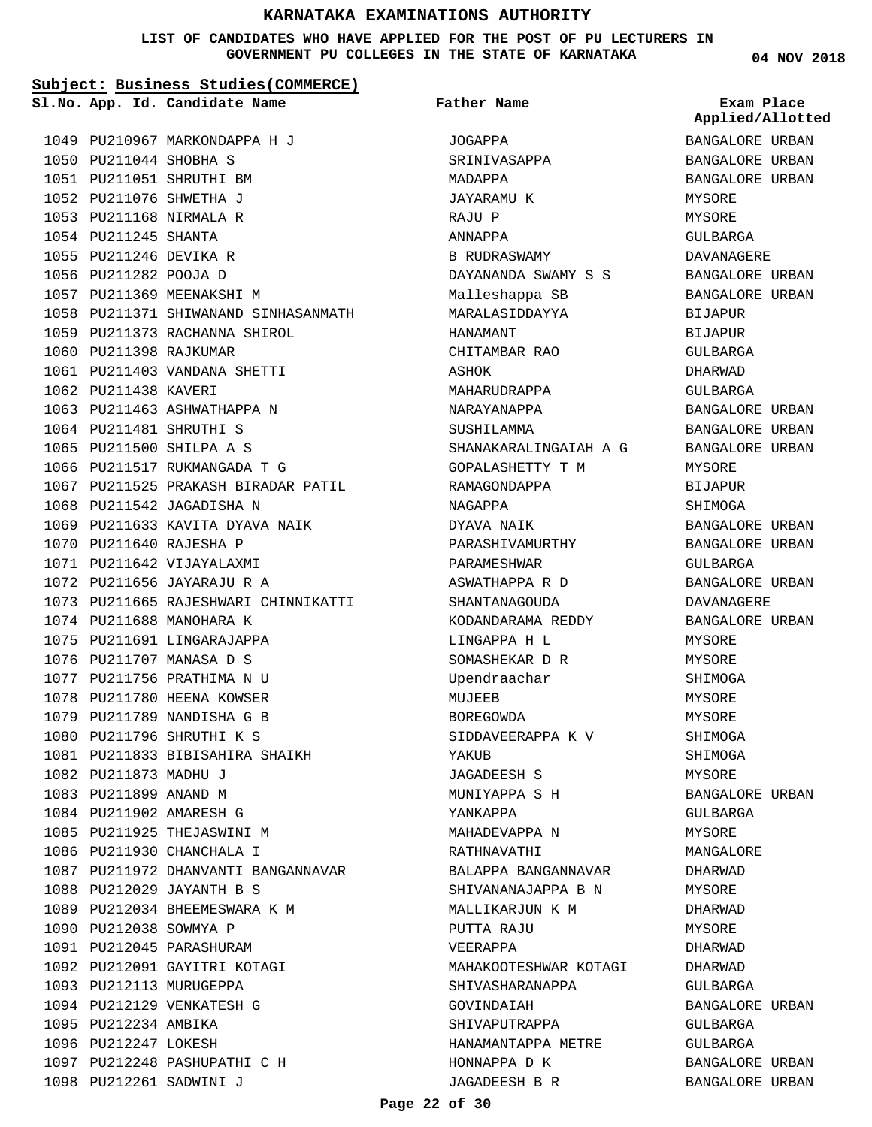#### **LIST OF CANDIDATES WHO HAVE APPLIED FOR THE POST OF PU LECTURERS IN GOVERNMENT PU COLLEGES IN THE STATE OF KARNATAKA**

**Subject: Business Studies(COMMERCE)**

1058 PU211371 SHIWANAND SINHASANMATH

1067 PU211525 PRAKASH BIRADAR PATIL

1073 PU211665 RAJESHWARI CHINNIKATTI

1069 PU211633 KAVITA DYAVA NAIK

PU211833 BIBISAHIRA SHAIKH 1081

1087 PU211972 DHANVANTI BANGANNAVAR

1059 PU211373 RACHANNA SHIROL

1061 PU211403 VANDANA SHETTI

1063 PU211463 ASHWATHAPPA N 1064 PU211481 SHRUTHI S 1065 PU211500 SHILPA A S 1066 PU211517 RUKMANGADA T G

1068 PU211542 JAGADISHA N

1070 PU211640 RAJESHA P 1071 PU211642 VIJAYALAXMI PU211656 JAYARAJU R A 1072

1074 PU211688 MANOHARA K 1075 PU211691 LINGARAJAPPA 1076 PU211707 MANASA D S 1077 PU211756 PRATHIMA N U 1078 PU211780 HEENA KOWSER 1079 PU211789 NANDISHA G B 1080 PU211796 SHRUTHI K S

1082 PU211873 MADHU J 1083 PU211899 ANAND M 1084 PU211902 AMARESH G 1085 PU211925 THEJASWINI M 1086 PU211930 CHANCHALA I

1088 PU212029 JAYANTH B S 1089 PU212034 BHEEMESWARA K M

1090 PU212038 SOWMYA P 1091 PU212045 PARASHURAM 1092 PU212091 GAYITRI KOTAGI

1093 PU212113 MURUGEPPA 1094 PU212129 VENKATESH G

PU212261 SADWINI J 1098

1097 PU212248 PASHUPATHI C H

1095 PU212234 AMBIKA 1096 PU212247 LOKESH

1060 PU211398 RAJKUMAR

1062 PU211438 KAVERI

**App. Id. Candidate Name Sl.No. Exam Place**

1049 PU210967 MARKONDAPPA H J

1050 PU211044 SHOBHA S PU211051 SHRUTHI BM 1051 1052 PU211076 SHWETHA J 1053 PU211168 NIRMALA R 1054 PU211245 SHANTA 1055 PU211246 DEVIKA R 1056 PU211282 POOJA D 1057 PU211369 MEENAKSHI M **Father Name**

JOGAPPA

MADAPPA JAYARAMU K

RAJU P ANNAPPA

HANAMANT

ASHOK

NAGAPPA DYAVA NAIK PARASHIVAMURTHY

MUJEEB BOREGOWDA

YAKUR

YANKAPPA MAHADEVAPPA N RATHNAVATHI

PUTTA RAJU VEERAPPA

GOVINDAIAH SHIVAPUTRAPPA HANAMANTAPPA METRE HONNAPPA D K JAGADEESH B R

SIDDAVEERAPPA K V

BALAPPA BANGANNAVAR SHIVANANAJAPPA B N MALLIKARJUN K M

MAHAKOOTESHWAR KOTAGI

SHIVASHARANAPPA

JAGADEESH S MUNIYAPPA S H

PARAMESHWAR ASWATHAPPA R D SHANTANAGOUDA KODANDARAMA REDDY LINGAPPA H L SOMASHEKAR D R Upendraachar

SRINIVASAPPA

B RUDRASWAMY

CHITAMBAR RAO

MAHARUDRAPPA NARAYANAPPA SUSHILAMMA

SHANAKARALINGAIAH A G GOPALASHETTY T M RAMAGONDAPPA

DAYANANDA SWAMY S S Malleshappa SB MARALASIDDAYYA

**04 NOV 2018**

BANGALORE URBAN BANGALORE URBAN BANGALORE URBAN MYSORE MYSORE GULBARGA DAVANAGERE BANGALORE URBAN BANGALORE URBAN BIJAPUR **BIJAPUR** GULBARGA DHARWAD GULBARGA BANGALORE URBAN BANGALORE URBAN BANGALORE URBAN MYSORE BIJAPUR SHIMOGA BANGALORE URBAN BANGALORE URBAN GULBARGA BANGALORE URBAN DAVANAGERE BANGALORE URBAN MYSORE MYSORE SHIMOGA MYSORE MYSORE SHIMOGA SHIMOGA MYSORE BANGALORE URBAN GULBARGA MYSORE MANGALORE DHARWAD MYSORE DHARWAD MYSORE DHARWAD DHARWAD  $CITIRARCA$ BANGALORE URBAN GULBARGA GULBARGA BANGALORE URBAN **Applied/Allotted**

BANGALORE URBAN

#### **Page 22 of 30**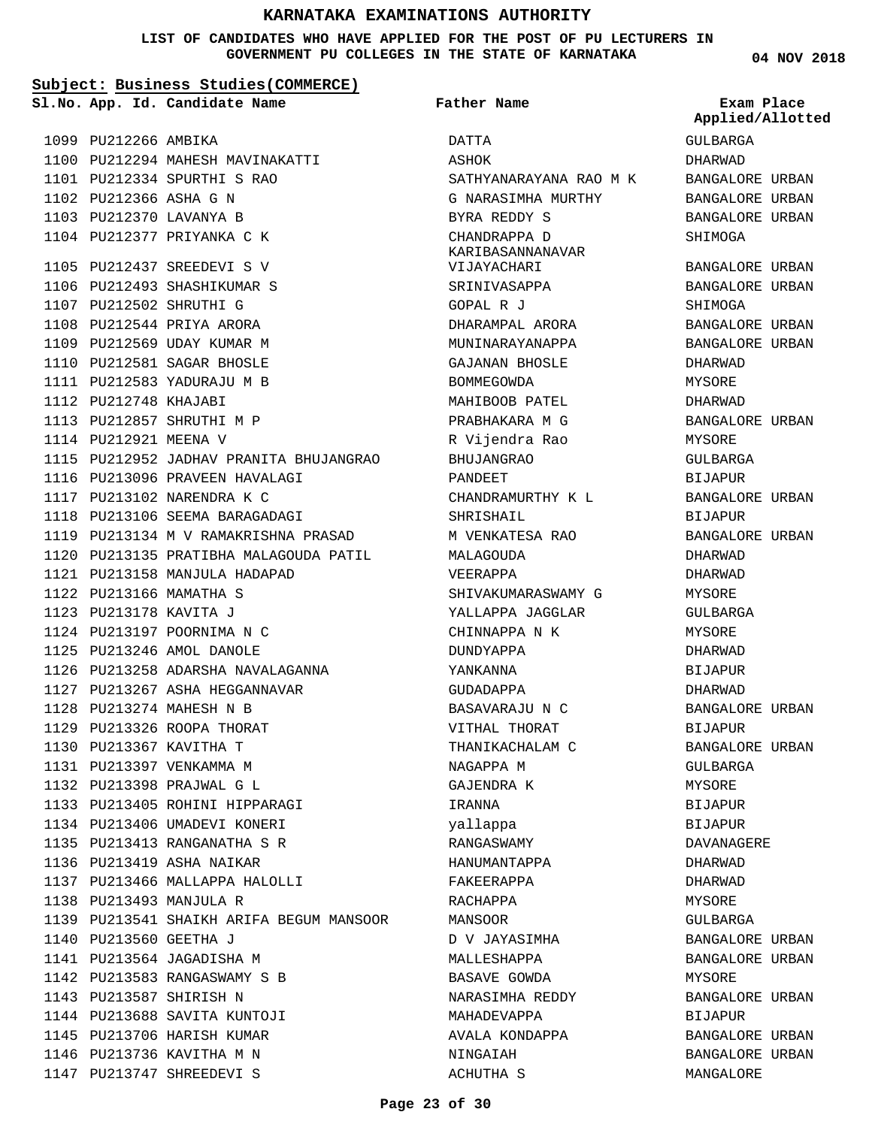### **LIST OF CANDIDATES WHO HAVE APPLIED FOR THE POST OF PU LECTURERS IN GOVERNMENT PU COLLEGES IN THE STATE OF KARNATAKA**

**04 NOV 2018**

| Subject: Business Studies (COMMERCE) |                        |                                          |                                  |                                |
|--------------------------------------|------------------------|------------------------------------------|----------------------------------|--------------------------------|
|                                      |                        | Sl.No. App. Id. Candidate Name           | Father Name                      | Exam Place<br>Applied/Allotted |
|                                      | 1099 PU212266 AMBIKA   |                                          | DATTA                            | GULBARGA                       |
|                                      |                        | 1100 PU212294 MAHESH MAVINAKATTI         | ASHOK                            | DHARWAD                        |
|                                      |                        | 1101 PU212334 SPURTHI S RAO              | SATHYANARAYANA RAO M K           | BANGALORE URBAN                |
|                                      | 1102 PU212366 ASHA G N |                                          | G NARASIMHA MURTHY               | BANGALORE URBAN                |
|                                      |                        | 1103 PU212370 LAVANYA B                  | BYRA REDDY S                     | BANGALORE URBAN                |
|                                      |                        | 1104 PU212377 PRIYANKA C K               | CHANDRAPPA D<br>KARIBASANNANAVAR | SHIMOGA                        |
|                                      |                        | 1105 PU212437 SREEDEVI S V               | VIJAYACHARI                      | BANGALORE URBAN                |
|                                      |                        | 1106 PU212493 SHASHIKUMAR S              | SRINIVASAPPA                     | BANGALORE URBAN                |
|                                      |                        | 1107 PU212502 SHRUTHI G                  | GOPAL R J                        | SHIMOGA                        |
|                                      |                        | 1108 PU212544 PRIYA ARORA                | DHARAMPAL ARORA                  | BANGALORE URBAN                |
|                                      |                        | 1109 PU212569 UDAY KUMAR M               | MUNINARAYANAPPA                  | BANGALORE URBAN                |
|                                      |                        | 1110 PU212581 SAGAR BHOSLE               | GAJANAN BHOSLE                   | DHARWAD                        |
|                                      |                        | 1111 PU212583 YADURAJU M B               | BOMMEGOWDA                       | MYSORE                         |
|                                      | 1112 PU212748 KHAJABI  |                                          | MAHIBOOB PATEL                   | DHARWAD                        |
|                                      |                        | 1113 PU212857 SHRUTHI M P                | PRABHAKARA M G                   | BANGALORE URBAN                |
|                                      | 1114 PU212921 MEENA V  |                                          | R Vijendra Rao                   | MYSORE                         |
|                                      |                        | 1115 PU212952 JADHAV PRANITA BHUJANGRAO  | <b>BHUJANGRAO</b>                | GULBARGA                       |
|                                      |                        | 1116 PU213096 PRAVEEN HAVALAGI           | PANDEET                          | <b>BIJAPUR</b>                 |
|                                      |                        | 1117 PU213102 NARENDRA K C               | CHANDRAMURTHY K L                | BANGALORE URBAN                |
|                                      |                        | 1118 PU213106 SEEMA BARAGADAGI           | SHRISHAIL                        | BIJAPUR                        |
|                                      |                        | 1119 PU213134 M V RAMAKRISHNA PRASAD     | M VENKATESA RAO                  | BANGALORE URBAN                |
|                                      |                        | 1120 PU213135 PRATIBHA MALAGOUDA PATIL   | MALAGOUDA                        | DHARWAD                        |
|                                      |                        | 1121 PU213158 MANJULA HADAPAD            | VEERAPPA                         | DHARWAD                        |
|                                      |                        | 1122 PU213166 MAMATHA S                  | SHIVAKUMARASWAMY G               | MYSORE                         |
|                                      | 1123 PU213178 KAVITA J |                                          | YALLAPPA JAGGLAR                 | GULBARGA                       |
|                                      |                        | 1124 PU213197 POORNIMA N C               | CHINNAPPA N K                    | MYSORE                         |
|                                      |                        | 1125 PU213246 AMOL DANOLE                | <b>DUNDYAPPA</b>                 | DHARWAD                        |
|                                      |                        | 1126 PU213258 ADARSHA NAVALAGANNA        | YANKANNA                         | <b>BIJAPUR</b>                 |
|                                      |                        | 1127 PU213267 ASHA HEGGANNAVAR           | GUDADAPPA                        | DHARWAD                        |
|                                      |                        | 1128 PU213274 MAHESH N B                 | BASAVARAJU N C                   | BANGALORE URBAN                |
|                                      |                        | 1129 PU213326 ROOPA THORAT               | VITHAL THORAT                    | BIJAPUR                        |
|                                      |                        | 1130 PU213367 KAVITHA T                  | THANIKACHALAM C                  | BANGALORE URBAN                |
|                                      |                        | 1131 PU213397 VENKAMMA M                 | NAGAPPA M                        | GULBARGA                       |
|                                      |                        | 1132 PU213398 PRAJWAL G L                | GAJENDRA K                       | MYSORE                         |
|                                      |                        | 1133 PU213405 ROHINI HIPPARAGI           | IRANNA                           | BIJAPUR                        |
|                                      |                        | 1134 PU213406 UMADEVI KONERI             | yallappa                         | BIJAPUR                        |
|                                      |                        | 1135 PU213413 RANGANATHA S R             | RANGASWAMY                       | DAVANAGERE                     |
|                                      |                        | 1136 PU213419 ASHA NAIKAR                | HANUMANTAPPA                     | DHARWAD                        |
|                                      |                        | 1137 PU213466 MALLAPPA HALOLLI           | FAKEERAPPA                       | DHARWAD                        |
|                                      |                        | 1138 PU213493 MANJULA R                  | RACHAPPA                         | MYSORE                         |
|                                      |                        | 1139 PU213541 SHAIKH ARIFA BEGUM MANSOOR | MANSOOR                          | GULBARGA                       |
|                                      | 1140 PU213560 GEETHA J |                                          | D V JAYASIMHA                    | BANGALORE URBAN                |
|                                      |                        | 1141 PU213564 JAGADISHA M                | MALLESHAPPA                      | BANGALORE URBAN                |
|                                      |                        | 1142 PU213583 RANGASWAMY S B             | BASAVE GOWDA                     | MYSORE                         |
|                                      |                        | 1143 PU213587 SHIRISH N                  | NARASIMHA REDDY                  | BANGALORE URBAN                |
|                                      |                        | 1144 PU213688 SAVITA KUNTOJI             | MAHADEVAPPA                      | BIJAPUR                        |
|                                      |                        | 1145 PU213706 HARISH KUMAR               | AVALA KONDAPPA                   | BANGALORE URBAN                |
|                                      |                        | 1146 PU213736 KAVITHA M N                | NINGAIAH                         | BANGALORE URBAN                |
|                                      |                        |                                          |                                  |                                |

ACHUTHA S

MANGALORE

1147 PU213747 SHREEDEVI S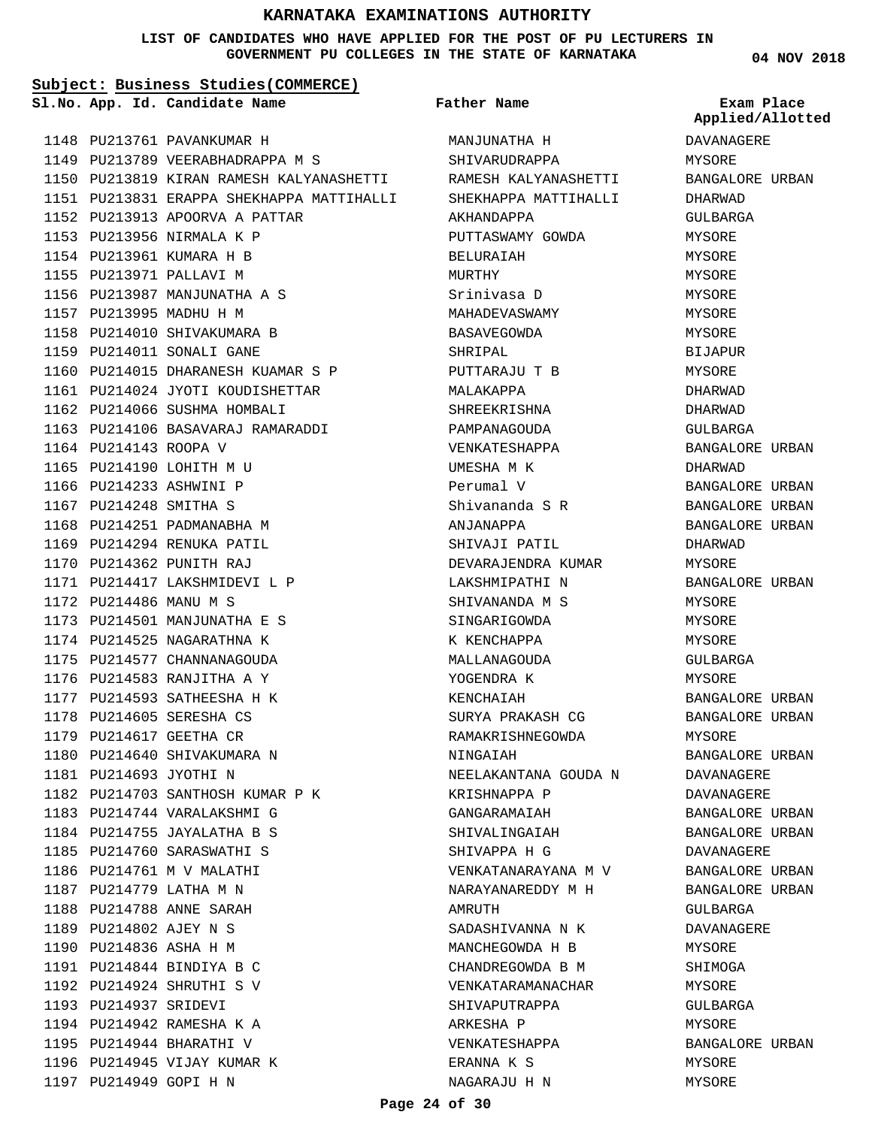#### **LIST OF CANDIDATES WHO HAVE APPLIED FOR THE POST OF PU LECTURERS IN GOVERNMENT PU COLLEGES IN THE STATE OF KARNATAKA**

**Subject: Business Studies(COMMERCE)**

**App. Id. Candidate Name Sl.No. Exam Place**

1148 PU213761 PAVANKUMAR H

**Father Name**

MANJUNATHA H SHIVARUDRAPPA

RAMESH KALYANASHETTI SHEKHAPPA MATTIHALLI

DAVANAGERE MYSORE **Applied/Allotted**

| 1149 |                        | PU213789 VEERABHADRAPPA M S               |
|------|------------------------|-------------------------------------------|
|      |                        | 1150 PU213819 KIRAN RAMESH KALYANASHETTI  |
|      |                        | 1151 PU213831 ERAPPA SHEKHAPPA MATTIHALLI |
|      |                        | 1152 PU213913 APOORVA A PATTAR            |
|      |                        | 1153 PU213956 NIRMALA K P                 |
|      |                        | 1154 PU213961 KUMARA H B                  |
|      |                        | 1155 PU213971 PALLAVI M                   |
|      |                        | 1156 PU213987 MANJUNATHA A S              |
|      |                        | 1157 PU213995 MADHU H M                   |
|      |                        | 1158 PU214010 SHIVAKUMARA B               |
|      |                        | 1159 PU214011 SONALI GANE                 |
|      |                        | 1160 PU214015 DHARANESH KUAMAR S P        |
|      |                        | 1161 PU214024 JYOTI KOUDISHETTAR          |
|      |                        | 1162 PU214066 SUSHMA HOMBALI              |
|      |                        | 1163 PU214106 BASAVARAJ RAMARADDI         |
|      | 1164 PU214143 ROOPA V  |                                           |
|      |                        | 1165 PU214190 LOHITH M U                  |
|      |                        | 1166 PU214233 ASHWINI P                   |
|      | 1167 PU214248 SMITHA S |                                           |
|      |                        | 1168 PU214251 PADMANABHA M                |
|      |                        | 1169 PU214294 RENUKA PATIL                |
|      |                        | 1170 PU214362 PUNITH RAJ                  |
|      |                        | 1171 PU214417 LAKSHMIDEVI L P             |
|      | 1172 PU214486 MANU M S |                                           |
|      |                        | 1173 PU214501 MANJUNATHA E S              |
|      |                        | 1174 PU214525 NAGARATHNA K                |
|      |                        | 1175 PU214577 CHANNANAGOUDA               |
|      |                        | 1176 PU214583 RANJITHA A Y                |
|      |                        | 1177 PU214593 SATHEESHA H K               |
|      |                        | 1178 PU214605 SERESHA CS                  |
|      |                        | 1179 PU214617 GEETHA CR                   |
|      |                        | 1180 PU214640 SHIVAKUMARA N               |
|      | 1181 PU214693 JYOTHI N |                                           |
|      |                        | 1182 PU214703 SANTHOSH KUMAR P K          |
|      |                        | 1183 PU214744 VARALAKSHMI G               |
|      | 1184 PU214755          | JAYALATHA B S                             |
|      | 1185 PU214760          | SARASWATHI S                              |
| 1186 | PU214761               | M V MALATHI                               |
|      | 1187 PU214779          | LATHA M N                                 |
|      | 1188 PU214788          | ANNE SARAH                                |
|      | 1189 PU214802 AJEY N S |                                           |
|      | 1190 PU214836 ASHA H M |                                           |
| 1191 | PU214844               | BINDIYA B C                               |
| 1192 | PU214924               | SHRUTHI S V                               |
| 1193 | PU214937               | SRIDEVI                                   |
|      |                        | 1194 PU214942 RAMESHA K A                 |
|      |                        | 1195 PU214944 BHARATHI V                  |
|      |                        | 1196 PU214945 VIJAY KUMAR K               |
|      | 1197 PU214949 GOPI H N |                                           |

AKHANDAPPA PUTTASWAMY GOWDA BELURAIAH MURTHY Srinivasa D MAHADEVASWAMY BASAVEGOWDA SHRIPAL PUTTARAJU T B MALAKAPPA SHREEKRISHNA PAMPANAGOUDA VENKATESHAPPA UMESHA M K Perumal V Shivananda S R ANJANAPPA SHIVAJI PATIL DEVARAJENDRA KUMAR LAKSHMIPATHI N SHIVANANDA M S SINGARIGOWDA K KENCHAPPA MALLANAGOUDA YOGENDRA K KENCHAIAH SURYA PRAKASH CG RAMAKRISHNEGOWDA NINGAIAH NEELAKANTANA GOUDA N KRISHNAPPA P GANGARAMAIAH SHIVALINGAIAH SHIVAPPA H G VENKATANARAYANA M V NARAYANAREDDY M H AMRUTH SADASHIVANNA N K MANCHEGOWDA H B CHANDREGOWDA B M VENKATARAMANACHAR SHIVAPUTRAPPA ARKESHA P VENKATESHAPPA ERANNA K S NAGARAJU H N

BANGALORE URBAN DHARWAD GULBARGA MYSORE MYSORE MYSORE **MYSORE** MYSORE **MYSORE** BIJAPUR MYSORE DHARWAD DHARWAD GULBARGA BANGALORE URBAN DHARWAD BANGALORE URBAN BANGALORE URBAN BANGALORE URBAN DHARWAD MYSORE BANGALORE URBAN MYSORE MYSORE MYSORE GULBARGA MYSORE BANGALORE URBAN BANGALORE URBAN MYSORE BANGALORE URBAN DAVANAGERE DAVANAGERE BANGALORE URBAN BANGALORE URBAN DAVANAGERE BANGALORE URBAN BANGALORE URBAN GULBARGA DAVANAGERE MYSORE SHIMOGA MYSORE GULBARGA MYSORE BANGALORE URBAN MYSORE

MYSORE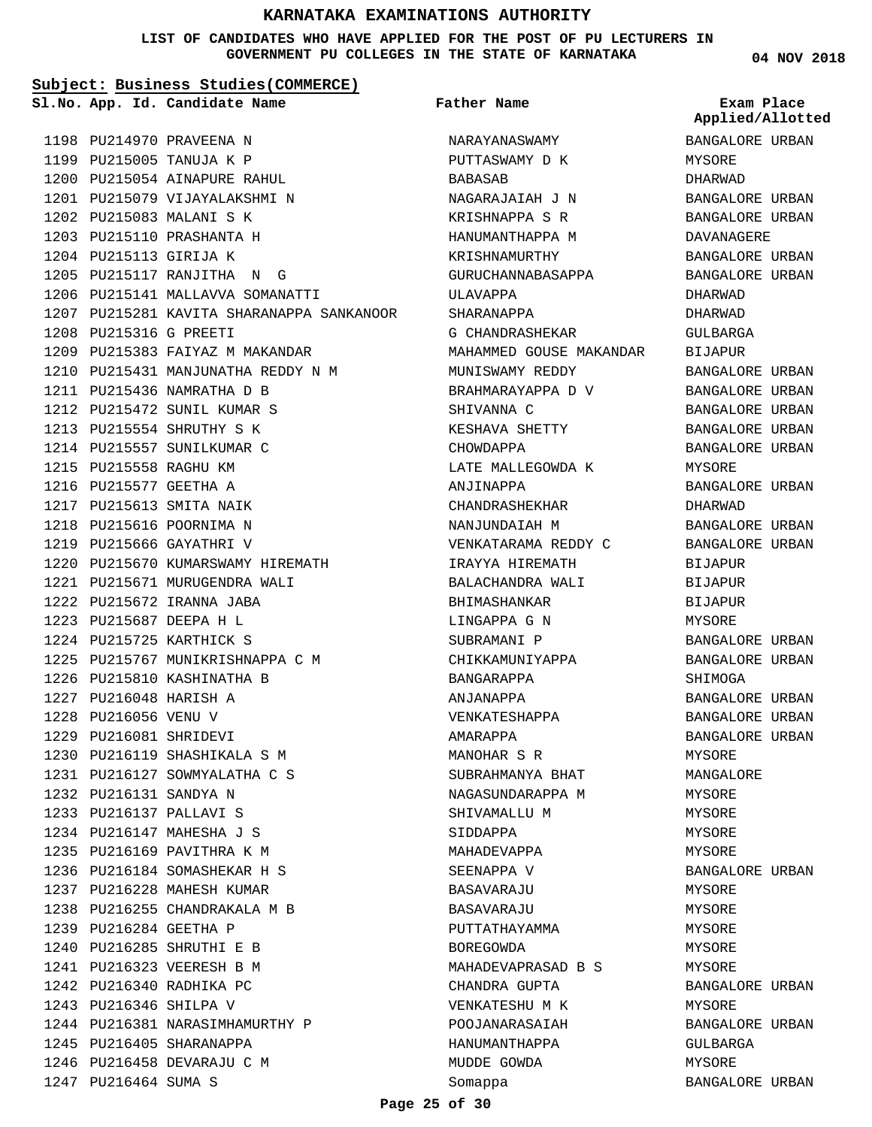#### **LIST OF CANDIDATES WHO HAVE APPLIED FOR THE POST OF PU LECTURERS IN GOVERNMENT PU COLLEGES IN THE STATE OF KARNATAKA**

**Subject: Business Studies(COMMERCE)**

**App. Id. Candidate Name Sl.No. Exam Place**

1198 PU214970 PRAVEENA N 1199 PU215005 TANUJA K P 1200 PU215054 AINAPURE RAHUL 1201 PU215079 VIJAYALAKSHMI N

1202 PU215083 MALANI S K 1203 PU215110 PRASHANTA H 1204 PU215113 GIRIJA K

PU215316 G PREETI 1208

1211 PU215436 NAMRATHA D B 1212 PU215472 SUNIL KUMAR S 1213 PU215554 SHRUTHY S K 1214 PU215557 SUNILKUMAR C 1215 PU215558 RAGHU KM 1216 PU215577 GEETHA A 1217 PU215613 SMITA NAIK 1218 PU215616 POORNIMA N 1219 PU215666 GAYATHRI V

1205 PU215117 RANJITHA N G 1206 PU215141 MALLAVVA SOMANATTI

1209 PU215383 FAIYAZ M MAKANDAR 1210 PU215431 MANJUNATHA REDDY N M

1220 PU215670 KUMARSWAMY HIREMATH 1221 PU215671 MURUGENDRA WALI PU215672 IRANNA JABA 1222 PU215687 DEEPA H L 1223 1224 PU215725 KARTHICK S

1225 PU215767 MUNIKRISHNAPPA C M

1226 PU215810 KASHINATHA B 1227 PU216048 HARISH A 1228 PU216056 VENU V PU216081 SHRIDEVI 1229

1230 PU216119 SHASHIKALA S M 1231 PU216127 SOWMYALATHA C S

PU216131 SANDYA N 1232 PU216137 PALLAVI S 1233 1234 PU216147 MAHESHA J S 1235 PU216169 PAVITHRA K M 1236 PU216184 SOMASHEKAR H S 1237 PU216228 MAHESH KUMAR 1238 PU216255 CHANDRAKALA M B

1239 PU216284 GEETHA P 1240 PU216285 SHRUTHI E B PU216323 VEERESH B M 1241 1242 PU216340 RADHIKA PC 1243 PU216346 SHILPA V

1245 PU216405 SHARANAPPA 1246 PU216458 DEVARAJU C M

1247 PU216464 SUMA S

1244 PU216381 NARASIMHAMURTHY P

1207 PU215281 KAVITA SHARANAPPA SANKANOOR

**Father Name**

NARAYANASWAMY PUTTASWAMY D K BABASAB NAGARAJAIAH J N KRISHNAPPA S R HANUMANTHAPPA M KRISHNAMURTHY GURUCHANNABASAPPA ULAVAPPA SHARANAPPA G CHANDRASHEKAR MAHAMMED GOUSE MAKANDAR MUNISWAMY REDDY BRAHMARAYAPPA D V SHIVANNA C KESHAVA SHETTY CHOWDAPPA LATE MALLEGOWDA K ANJINAPPA CHANDRASHEKHAR NANJUNDAIAH M VENKATARAMA REDDY C IRAYYA HIREMATH BALACHANDRA WALI BHIMASHANKAR LINGAPPA G N SUBRAMANI P CHIKKAMUNIYAPPA BANGARAPPA ANJANAPPA VENKATESHAPPA AMARAPPA MANOHAR S R SUBRAHMANYA BHAT NAGASUNDARAPPA M SHIVAMALLU M SIDDAPPA MAHADEVAPPA SEENAPPA V BASAVARAJU BASAVARAJU PUTTATHAYAMMA BOREGOWDA MAHADEVAPRASAD B S CHANDRA GUPTA VENKATESHU M K POOJANARASAIAH HANUMANTHAPPA MUDDE GOWDA Somappa

**04 NOV 2018**

| Exam Place<br>Applied/Allotted   |       |
|----------------------------------|-------|
|                                  |       |
| BANGALORE URBAN                  |       |
| MYSORE                           |       |
| DHARWAD                          |       |
| BANGALORE URBAN                  |       |
| BANGALORE URBAN                  |       |
| DAVANAGERE                       |       |
| BANGALORE URBAN                  |       |
| BANGALORE URBAN                  |       |
| DHARWAD                          |       |
| DHARWAD                          |       |
| GULBARGA                         |       |
| BIJAPUR                          |       |
| <b>BANGALORE URBAN</b>           |       |
| BANGALORE URBAN                  |       |
| <b>BANGALORE URBAN</b>           |       |
| BANGALORE URBAN                  |       |
| BANGALORE                        | URBAN |
| MYSORE<br><b>BANGALORE URBAN</b> |       |
| DHARWAD                          |       |
| <b>BANGALORE URBAN</b>           |       |
| BANGALORE URBAN                  |       |
| BIJAPUR                          |       |
| <b>BIJAPUR</b>                   |       |
| BIJAPUR                          |       |
| MYSORE                           |       |
| BANGALORE URBAN                  |       |
| BANGALORE URBAN                  |       |
| SHIMOGA                          |       |
| BANGALORE URBAN                  |       |
| <b>BANGALORE URBAN</b>           |       |
| BANGALORE URBAN                  |       |
| MYSORE                           |       |
| MANGALORE                        |       |
| MYSORE                           |       |
| MYSORE                           |       |
| MYSORE                           |       |
| MYSORE                           |       |
| BANGALORE URBAN                  |       |
| MYSORE                           |       |
| MYSORE                           |       |
| MYSORE                           |       |
| MYSORE                           |       |
| MYSORE                           |       |
| BANGALORE URBAN                  |       |
| MYSORE                           |       |
| BANGALORE URBAN                  |       |
| GULBARGA                         |       |
| MYSORE                           |       |
| BANGALORE URBAN                  |       |

**Page 25 of 30**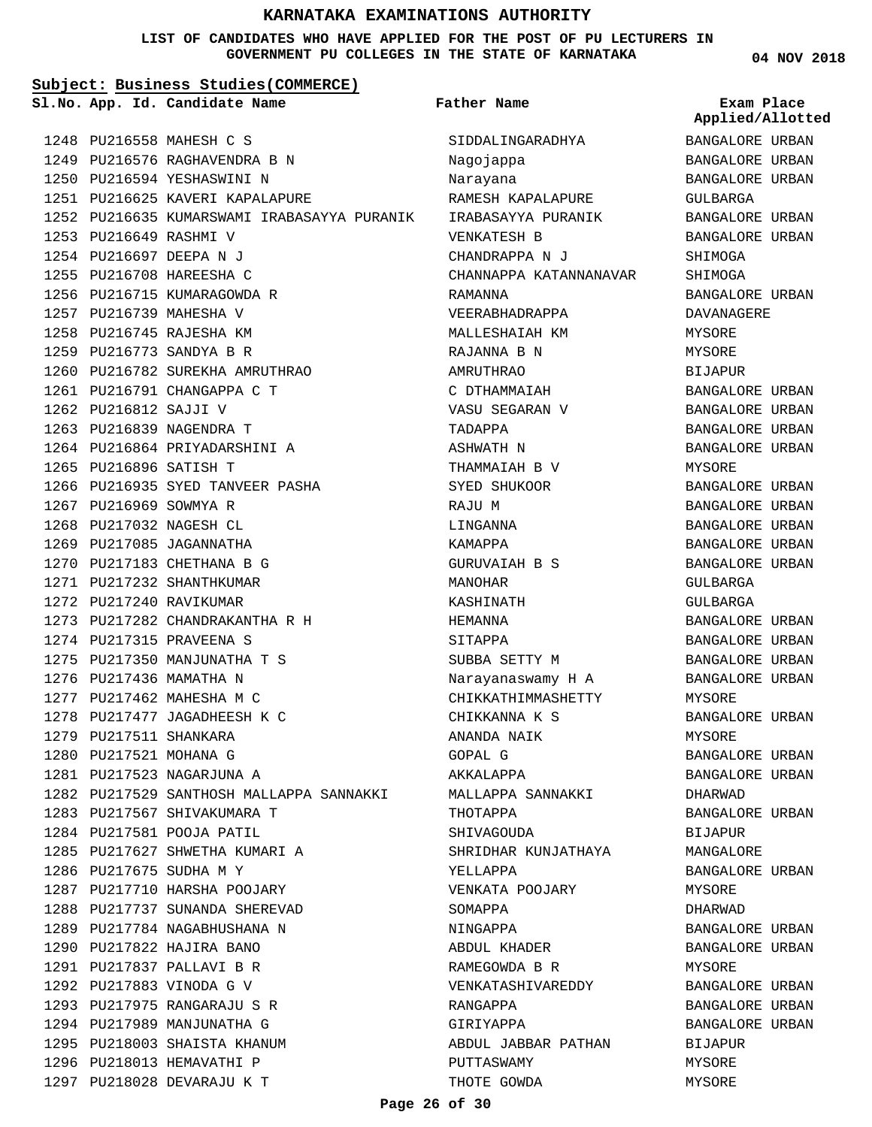#### **LIST OF CANDIDATES WHO HAVE APPLIED FOR THE POST OF PU LECTURERS IN GOVERNMENT PU COLLEGES IN THE STATE OF KARNATAKA**

**Subject: Business Studies(COMMERCE)**

**App. Id. Candidate Name Sl.No. Exam Place**

1249 PU216576 RAGHAVENDRA B N 1250 PU216594 YESHASWINI N

1251 PU216625 KAVERI KAPALAPURE

1260 PU216782 SUREKHA AMRUTHRAO 1261 PU216791 CHANGAPPA C T

1264 PU216864 PRIYADARSHINI A

1266 PU216935 SYED TANVEER PASHA

PU217282 CHANDRAKANTHA R H 1273

1282 PU217529 SANTHOSH MALLAPPA SANNAKKI

1274 PU217315 PRAVEENA S 1275 PU217350 MANJUNATHA T S

1276 PU217436 MAMATHA N 1277 PU217462 MAHESHA M C 1278 PU217477 JAGADHEESH K C

1279 PU217511 SHANKARA 1280 PU217521 MOHANA G PU217523 NAGARJUNA A 1281

1283 PU217567 SHIVAKUMARA T 1284 PU217581 POOJA PATIL

1286 PU217675 SUDHA M Y

1285 PU217627 SHWETHA KUMARI A

1287 PU217710 HARSHA POOJARY 1288 PU217737 SUNANDA SHEREVAD 1289 PU217784 NAGABHUSHANA N 1290 PU217822 HAJIRA BANO PU217837 PALLAVI B R 1291 1292 PU217883 VINODA G V PU217975 RANGARAJU S R 1293 1294 PU217989 MANJUNATHA G 1295 PU218003 SHAISTA KHANUM 1296 PU218013 HEMAVATHI P 1297 PU218028 DEVARAJU K T

1252 PU216635 KUMARSWAMI IRABASAYYA PURANIK

1248 PU216558 MAHESH C S

1253 PU216649 RASHMI V PU216697 DEEPA N J 1254 1255 PU216708 HAREESHA C 1256 PU216715 KUMARAGOWDA R 1257 PU216739 MAHESHA V 1258 PU216745 RAJESHA KM PU216773 SANDYA B R 1259

1262 PU216812 SAJJI V 1263 PU216839 NAGENDRA T

1265 PU216896 SATISH T

1267 PU216969 SOWMYA R 1268 PU217032 NAGESH CL 1269 PU217085 JAGANNATHA 1270 PU217183 CHETHANA B G 1271 PU217232 SHANTHKUMAR 1272 PU217240 RAVIKUMAR

**Father Name**

SIDDALINGARADHYA Nagojappa Narayana RAMESH KAPALAPURE IRABASAYYA PURANIK VENKATESH B CHANDRAPPA N J CHANNAPPA KATANNANAVAR RAMANNA VEERABHADRAPPA MALLESHAIAH KM RAJANNA B N AMRUTHRAO C DTHAMMAIAH VASU SEGARAN V TADAPPA ASHWATH N THAMMATAH B V SYED SHUKOOR RAJU M LINGANNA KAMAPPA GURUVAIAH B S MANOHAR KASHINATH HEMANNA SITAPPA SUBBA SETTY M Narayanaswamy H A CHIKKATHIMMASHETTY CHIKKANNA K S ANANDA NAIK GOPAL G AKKALAPPA MALLAPPA SANNAKKI THOTAPPA SHIVAGOUDA SHRIDHAR KUNJATHAYA YELLAPPA VENKATA POOJARY SOMAPPA NINGAPPA ABDUL KHADER RAMEGOWDA B R VENKATASHIVAREDDY RANGAPPA GIRIYAPPA ABDUL JABBAR PATHAN PUTTASWAMY THOTE GOWDA

**04 NOV 2018**

BANGALORE URBAN BANGALORE URBAN BANGALORE URBAN GULBARGA BANGALORE URBAN BANGALORE URBAN SHIMOGA SHIMOGA BANGALORE URBAN DAVANAGERE MYSORE MYSORE BIJAPUR BANGALORE URBAN BANGALORE URBAN BANGALORE URBAN BANGALORE URBAN MYSORE BANGALORE URBAN BANGALORE URBAN BANGALORE URBAN BANGALORE URBAN BANGALORE URBAN GULBARGA GULBARGA BANGALORE URBAN BANGALORE URBAN BANGALORE URBAN BANGALORE URBAN MYSORE BANGALORE URBAN MYSORE BANGALORE URBAN BANGALORE URBAN DHARWAD BANGALORE URBAN BIJAPUR MANGALORE BANGALORE URBAN MYSORE DHARWAD BANGALORE URBAN BANGALORE URBAN **MYSORE** BANGALORE URBAN BANGALORE URBAN BANGALORE URBAN BIJAPUR MYSORE MYSORE **Applied/Allotted**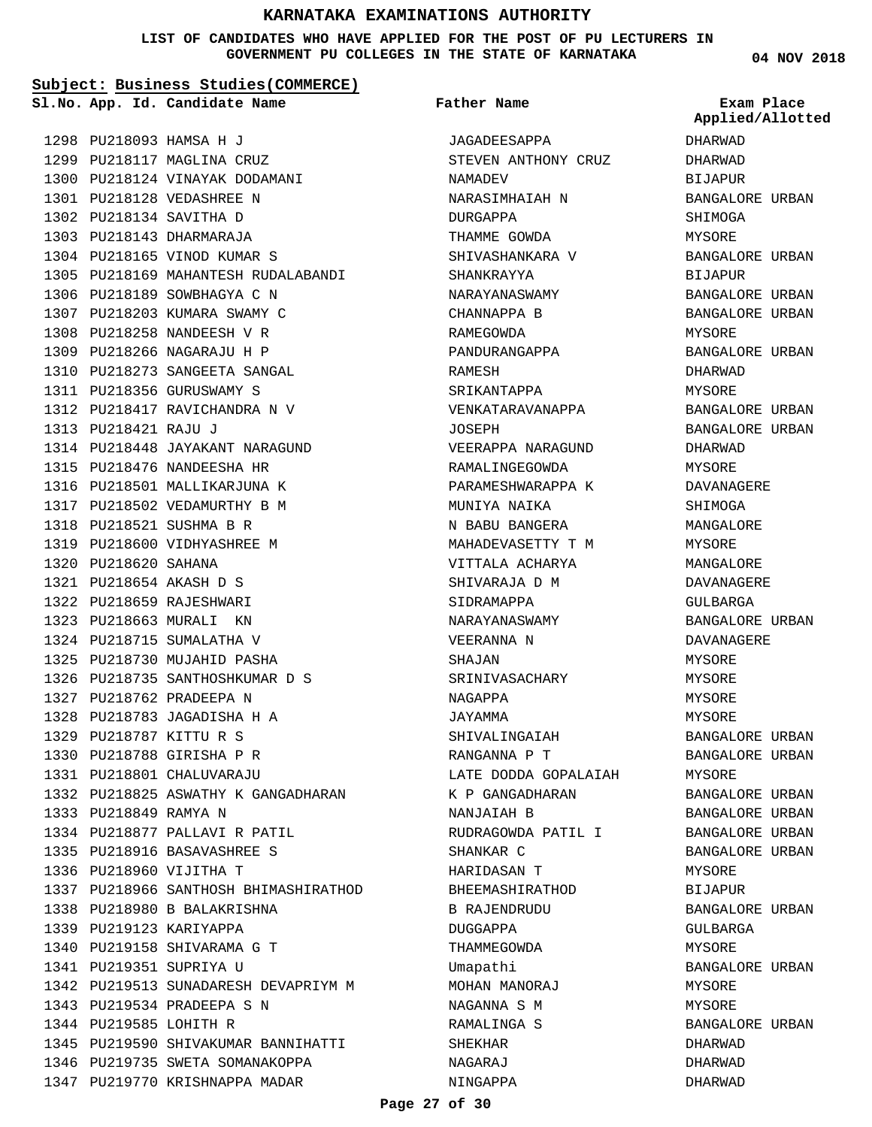#### **LIST OF CANDIDATES WHO HAVE APPLIED FOR THE POST OF PU LECTURERS IN GOVERNMENT PU COLLEGES IN THE STATE OF KARNATAKA**

**Subject: Business Studies(COMMERCE)**

PU218169 MAHANTESH RUDALABANDI 1305

**App. Id. Candidate Name Sl.No. Exam Place**

1298 PU218093 HAMSA H J 1299 PU218117 MAGLINA CRUZ 1300 PU218124 VINAYAK DODAMANI

PU218128 VEDASHREE N 1301 1302 PU218134 SAVITHA D 1303 PU218143 DHARMARAJA 1304 PU218165 VINOD KUMAR S

1306 PU218189 SOWBHAGYA C N 1307 PU218203 KUMARA SWAMY C 1308 PU218258 NANDEESH V R 1309 PU218266 NAGARAJU H P 1310 PU218273 SANGEETA SANGAL 1311 PU218356 GURUSWAMY S 1312 PU218417 RAVICHANDRA N V

PU218448 JAYAKANT NARAGUND 1314

PU218476 NANDEESHA HR 1315 1316 PU218501 MALLIKARJUNA K 1317 PU218502 VEDAMURTHY B M 1318 PU218521 SUSHMA B R 1319 PU218600 VIDHYASHREE M

1313 PU218421 RAJU J

1320 PU218620 SAHANA PU218654 AKASH D S 1321 PU218659 RAJESHWARI 1322 1323 PU218663 MURALI KN 1324 PU218715 SUMALATHA V PU218730 MUJAHID PASHA 1325 1326 PU218735 SANTHOSHKUMAR D S

PU218762 PRADEEPA N 1327 PU218783 JAGADISHA H A 1328 PU218787 KITTU R S 1329 1330 PU218788 GIRISHA P R PU218801 CHALUVARAJU 1331

1333 PU218849 RAMYA N

1332 PU218825 ASWATHY K GANGADHARAN

1337 PU218966 SANTHOSH BHIMASHIRATHOD

1342 PU219513 SUNADARESH DEVAPRIYM M

1345 PU219590 SHIVAKUMAR BANNIHATTI 1346 PU219735 SWETA SOMANAKOPPA 1347 PU219770 KRISHNAPPA MADAR

1334 PU218877 PALLAVI R PATIL PU218916 BASAVASHREE S 1335 1336 PU218960 VIJITHA T

1338 PU218980 B BALAKRISHNA 1339 PU219123 KARIYAPPA 1340 PU219158 SHIVARAMA G T 1341 PU219351 SUPRIYA U

1343 PU219534 PRADEEPA S N 1344 PU219585 LOHITH R

**Father Name**

JAGADEESAPPA STEVEN ANTHONY CRUZ NAMADEV NARASIMHAIAH N DURGAPPA THAMME GOWDA SHIVASHANKARA V SHANKRAYYA NARAYANASWAMY CHANNAPPA B RAMEGOWDA PANDURANGAPPA RAMESH SRIKANTAPPA VENKATARAVANAPPA JOSEPH VEERAPPA NARAGUND RAMALINGEGOWDA PARAMESHWARAPPA K MUNIYA NAIKA N BABU BANGERA MAHADEVASETTY T M VITTALA ACHARYA SHIVARAJA D M SIDRAMAPPA NARAYANASWAMY VEERANNA N SHAJAN SRINIVASACHARY NAGAPPA JAYAMMA SHIVALINGAIAH RANGANNA P T LATE DODDA GOPALAIAH K P GANGADHARAN NANJAIAH B RUDRAGOWDA PATIL I SHANKAR C HARIDASAN T BHEEMASHIRATHOD B RAJENDRUDU DUGGAPPA THAMMEGOWDA Umapathi MOHAN MANORAJ NAGANNA S M RAMALINGA S SHEKHAR NAGARAJ NINGAPPA

**04 NOV 2018**

DHARWAD DHARWAD BIJAPUR BANGALORE URBAN SHIMOGA MYSORE BANGALORE URBAN BIJAPUR BANGALORE URBAN BANGALORE URBAN MYSORE BANGALORE URBAN DHARWAD MYSORE BANGALORE URBAN BANGALORE URBAN DHARWAD MYSORE DAVANAGERE **SHIMOGA** MANGALORE MYSORE MANGALORE DAVANAGERE GULBARGA BANGALORE URBAN DAVANAGERE MYSORE MYSORE MYSORE MYSORE BANGALORE URBAN BANGALORE URBAN MYSORE BANGALORE URBAN BANGALORE URBAN BANGALORE URBAN BANGALORE URBAN MYSORE BIJAPUR BANGALORE URBAN GULBARGA MYSORE BANGALORE URBAN MYSORE **MYSORE** BANGALORE URBAN DHARWAD DHARWAD DHARWAD **Applied/Allotted**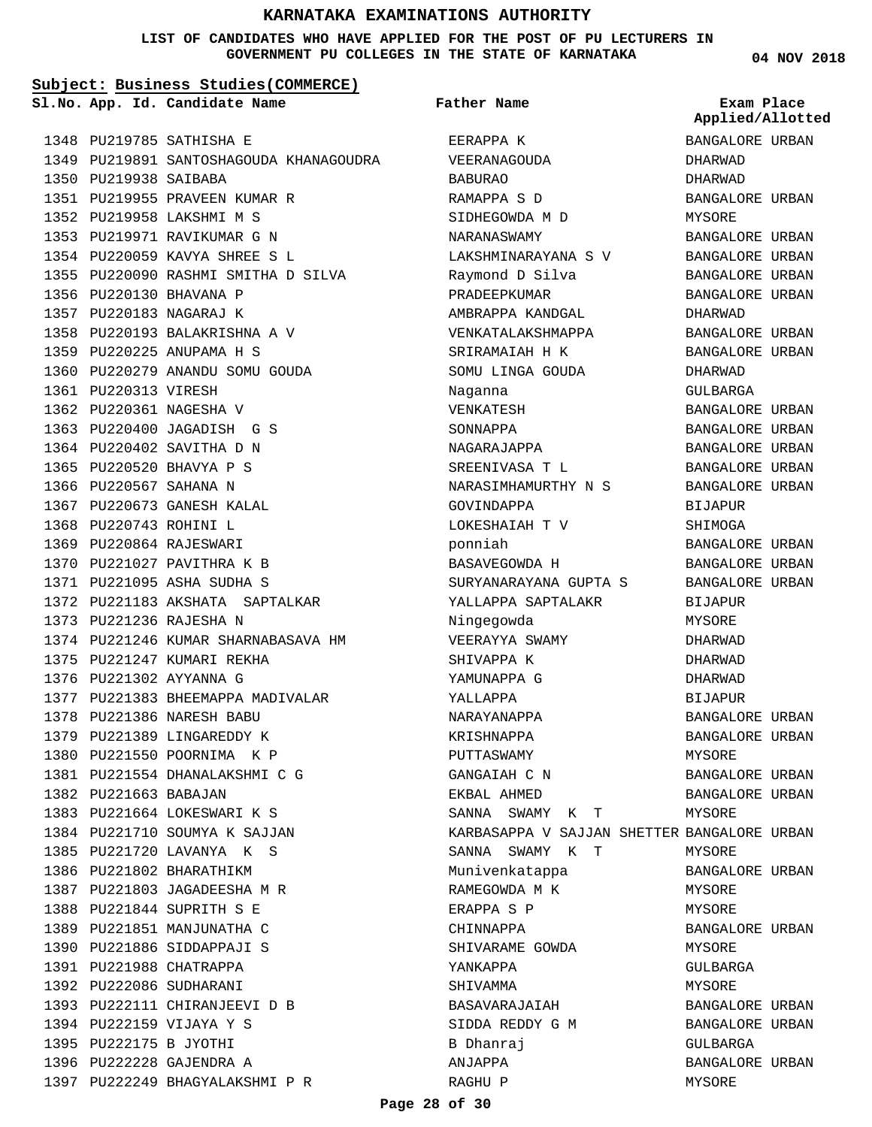#### **LIST OF CANDIDATES WHO HAVE APPLIED FOR THE POST OF PU LECTURERS IN GOVERNMENT PU COLLEGES IN THE STATE OF KARNATAKA**

**Subject: Business Studies(COMMERCE)**

**App. Id. Candidate Name Sl.No. Exam Place**

**Father Name**

1348 PU219785 SATHISHA E 1349 PU219891 SANTOSHAGOUDA KHANAGOUDRA 1350 PU219938 SAIBABA 1351 PU219955 PRAVEEN KUMAR R 1352 PU219958 LAKSHMI M S 1353 PU219971 RAVIKUMAR G N PU220059 KAVYA SHREE S L 1354 1355 PU220090 RASHMI SMITHA D SILVA 1356 PU220130 BHAVANA P 1357 PU220183 NAGARAJ K 1358 PU220193 BALAKRISHNA A V 1359 PU220225 ANUPAMA H S 1360 PU220279 ANANDU SOMU GOUDA 1361 PU220313 VIRESH 1362 PU220361 NAGESHA V 1363 PU220400 JAGADISH G S 1364 PU220402 SAVITHA D N 1365 PU220520 BHAVYA P S 1366 PU220567 SAHANA N 1367 PU220673 GANESH KALAL 1368 PU220743 ROHINI L 1369 PU220864 RAJESWARI 1370 PU221027 PAVITHRA K B PU221095 ASHA SUDHA S 1371 1372 PU221183 AKSHATA SAPTALKAR 1373 PU221236 RAJESHA N 1374 PU221246 KUMAR SHARNABASAVA HM 1375 PU221247 KUMARI REKHA 1376 PU221302 AYYANNA G 1377 PU221383 BHEEMAPPA MADIVALAR PU221386 NARESH BABU 1378 1379 PU221389 LINGAREDDY K 1380 PU221550 POORNIMA K P PU221554 DHANALAKSHMI C G 1381 1382 PU221663 BABAJAN 1383 PU221664 LOKESWARI K S 1384 PU221710 SOUMYA K SAJJAN PU221720 LAVANYA K S 1385 1386 PU221802 BHARATHIKM 1387 PU221803 JAGADEESHA M R 1388 PU221844 SUPRITH S E 1389 PU221851 MANJUNATHA C 1390 PU221886 SIDDAPPAJI S 1391 PU221988 CHATRAPPA 1392 PU222086 SUDHARANI 1393 PU222111 CHIRANJEEVI D B 1394 PU222159 VIJAYA Y S 1395 PU222175 B JYOTHI 1396 PU222228 GAJENDRA A 1397 PU222249 BHAGYALAKSHMI P R

EERAPPA K VEERANAGOUDA BABURAO RAMAPPA S D SIDHEGOWDA M D NARANASWAMY LAKSHMINARAYANA S V Raymond D Silva PRADEEPKUMAR AMBRAPPA KANDGAL VENKATALAKSHMAPPA SRIRAMAIAH H K SOMU LINGA GOUDA Naganna VENKATESH SONNAPPA NAGARAJAPPA SREENIVASA T L NARASIMHAMURTHY N S GOVINDAPPA LOKESHAIAH T V ponniah BASAVEGOWDA H SURYANARAYANA GUPTA S YALLAPPA SAPTALAKR Ningegowda VEERAYYA SWAMY SHIVAPPA K YAMUNAPPA G YALLAPPA NARAYANAPPA KRISHNAPPA PUTTASWAMY GANGAIAH C N EKBAL AHMED SANNA SWAMY K T KARBASAPPA V SAJJAN SHETTER BANGALORE URBAN SANNA SWAMY K T Munivenkatappa RAMEGOWDA M K ERAPPA S P CHINNAPPA SHIVARAME GOWDA YANKAPPA SHIVAMMA BASAVARAJAIAH SIDDA REDDY G M B Dhanraj ANJAPPA RAGHU P BANGALORE URBAN DHARWAD DHARWAD BANGALORE URBAN MYSORE BANGALORE URBAN BANGALORE URBAN BANGALORE URBAN BANGALORE URBAN DHARWAD BANGALORE URBAN BANGALORE URBAN DHARWAD GULBARGA BANGALORE URBAN BANGALORE URBAN BANGALORE URBAN BANGALORE URBAN BANGALORE URBAN BIJAPUR SHIMOGA BANGALORE URBAN BANGALORE URBAN BANGALORE URBAN BIJAPUR MYSORE DHARWAD DHARWAD DHARWAD BIJAPUR BANGALORE URBAN BANGALORE URBAN MYSORE BANGALORE URBAN BANGALORE URBAN MYSORE MYSORE BANGALORE URBAN MYSORE MYSORE BANGALORE URBAN MYSORE GULBARGA MYSORE BANGALORE URBAN BANGALORE URBAN GULBARGA BANGALORE URBAN MYSORE **Applied/Allotted**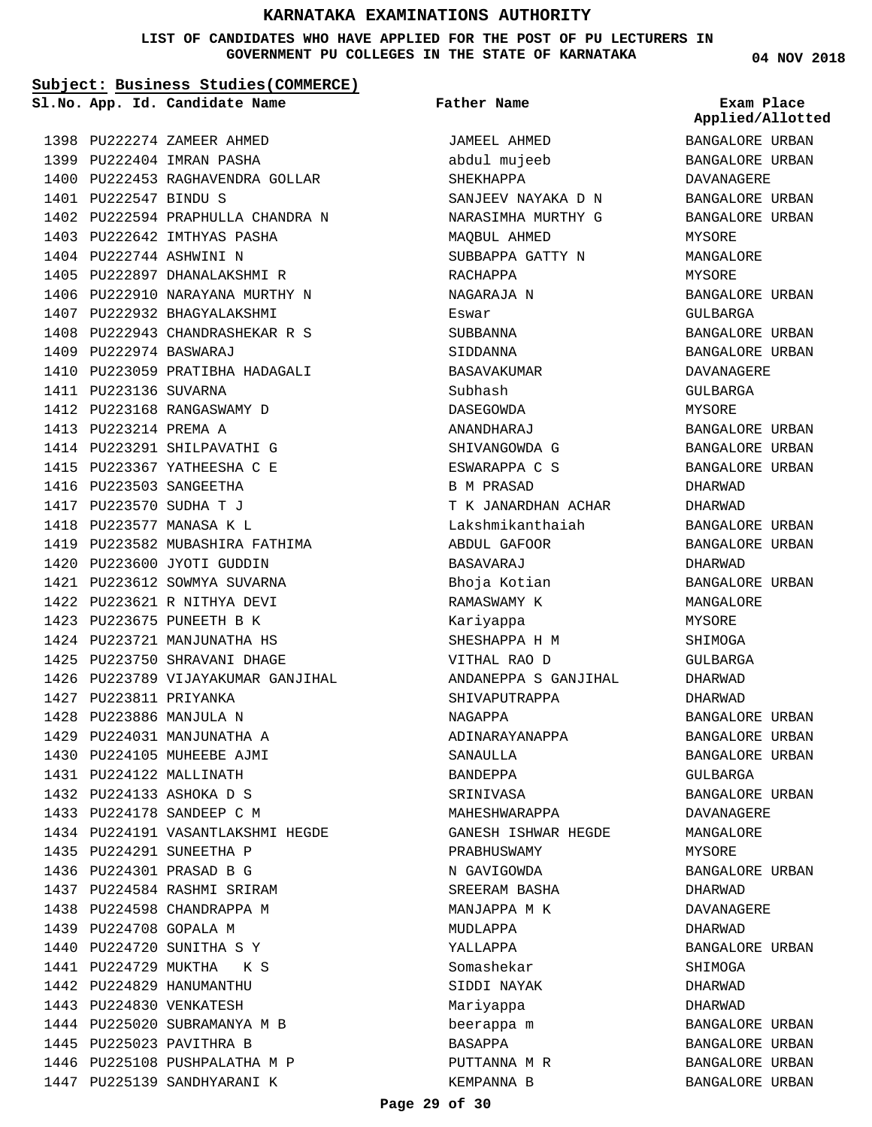#### **LIST OF CANDIDATES WHO HAVE APPLIED FOR THE POST OF PU LECTURERS IN GOVERNMENT PU COLLEGES IN THE STATE OF KARNATAKA**

**Subject: Business Studies(COMMERCE)**

**App. Id. Candidate Name Sl.No. Exam Place**

**Father Name**

1398 PU222274 ZAMEER AHMED 1399 PU222404 IMRAN PASHA 1400 PU222453 RAGHAVENDRA GOLLAR PU222547 BINDU S 1401 1402 PU222594 PRAPHULLA CHANDRA N 1403 PU222642 IMTHYAS PASHA 1404 PU222744 ASHWINI N 1405 PU222897 DHANALAKSHMI R 1406 PU222910 NARAYANA MURTHY N 1407 PU222932 BHAGYALAKSHMI 1408 PU222943 CHANDRASHEKAR R S PU222974 BASWARAJ 1409 1410 PU223059 PRATIBHA HADAGALI 1411 PU223136 SUVARNA 1412 PU223168 RANGASWAMY D 1413 PU223214 PREMA A 1414 PU223291 SHILPAVATHI G 1415 PU223367 YATHEESHA C E 1416 PU223503 SANGEETHA 1417 PU223570 SUDHA T J 1418 PU223577 MANASA K L 1419 PU223582 MUBASHIRA FATHIMA 1420 PU223600 JYOTI GUDDIN 1421 PU223612 SOWMYA SUVARNA PU223621 R NITHYA DEVI 1422 1423 PU223675 PUNEETH B K 1424 PU223721 MANJUNATHA HS 1425 PU223750 SHRAVANI DHAGE 1426 PU223789 VIJAYAKUMAR GANJIHAL 1427 PU223811 PRIYANKA PU223886 MANJULA N 1428 1429 PU224031 MANJUNATHA A 1430 PU224105 MUHEEBE AJMI 1431 PU224122 MALLINATH PU224133 ASHOKA D S 1432 1433 PU224178 SANDEEP C M 1434 PU224191 VASANTLAKSHMI HEGDE 1435 PU224291 SUNEETHA P 1436 PU224301 PRASAD B G 1437 PU224584 RASHMI SRIRAM 1438 PU224598 CHANDRAPPA M 1439 PU224708 GOPALA M 1440 PU224720 SUNITHA S Y 1441 PU224729 MUKTHA K S 1442 PU224829 HANUMANTHU 1443 PU224830 VENKATESH 1444 PU225020 SUBRAMANYA M B 1445 PU225023 PAVITHRA B 1446 PU225108 PUSHPALATHA M P 1447 PU225139 SANDHYARANI K

JAMEEL AHMED abdul mujeeb SHEKHAPPA SANJEEV NAYAKA D N NARASIMHA MURTHY G MAQBUL AHMED SUBBAPPA GATTY N RACHAPPA NAGARAJA N Eswar SUBBANNA SIDDANNA BASAVAKUMAR Subhash DASEGOWDA ANANDHARAJ SHIVANGOWDA G ESWARAPPA C S B M PRASAD T K JANARDHAN ACHAR Lakshmikanthaiah ABDUL GAFOOR BASAVARAJ Bhoja Kotian RAMASWAMY K Kariyappa SHESHAPPA H M VITHAL RAO D ANDANEPPA S GANJIHAL SHIVAPUTRAPPA NAGAPPA ADINARAYANAPPA SANAULLA BANDEPPA SRINIVASA MAHESHWARAPPA GANESH ISHWAR HEGDE PRABHUSWAMY N GAVIGOWDA SREERAM BASHA MANJAPPA M K MUDLAPPA YALLAPPA Somashekar SIDDI NAYAK Mariyappa beerappa m BASAPPA PUTTANNA M R KEMPANNA B

**04 NOV 2018**

BANGALORE URBAN BANGALORE URBAN DAVANAGERE BANGALORE URBAN BANGALORE URBAN MYSORE MANGALORE MYSORE BANGALORE URBAN GULBARGA BANGALORE URBAN BANGALORE URBAN DAVANAGERE GULBARGA MYSORE BANGALORE URBAN BANGALORE URBAN BANGALORE URBAN DHARWAD DHARWAD BANGALORE URBAN BANGALORE URBAN DHARWAD BANGALORE URBAN MANGALORE MYSORE **SHIMOGA** GULBARGA DHARWAD DHARWAD BANGALORE URBAN BANGALORE URBAN BANGALORE URBAN GULBARGA BANGALORE URBAN DAVANAGERE MANGALORE MYSORE BANGALORE URBAN DHARWAD DAVANAGERE DHARWAD BANGALORE URBAN SHIMOGA DHARWAD DHARWAD BANGALORE URBAN BANGALORE URBAN BANGALORE URBAN BANGALORE URBAN **Applied/Allotted**